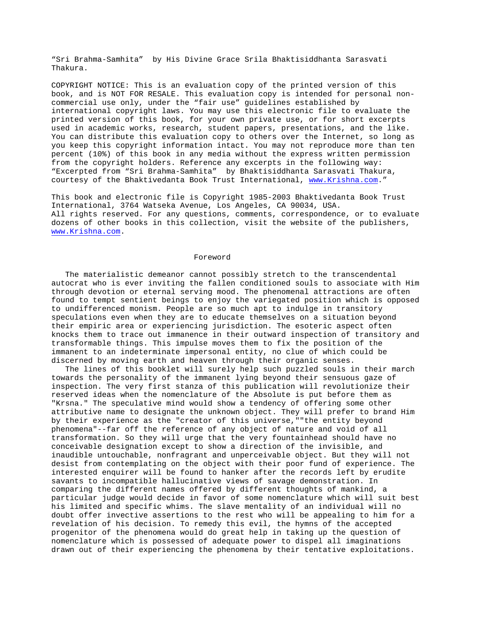"Sri Brahma-Samhita" by His Divine Grace Srila Bhaktisiddhanta Sarasvati Thakura.

COPYRIGHT NOTICE: This is an evaluation copy of the printed version of this book, and is NOT FOR RESALE. This evaluation copy is intended for personal noncommercial use only, under the "fair use" guidelines established by international copyright laws. You may use this electronic file to evaluate the printed version of this book, for your own private use, or for short excerpts used in academic works, research, student papers, presentations, and the like. You can distribute this evaluation copy to others over the Internet, so long as you keep this copyright information intact. You may not reproduce more than ten percent (10%) of this book in any media without the express written permission from the copyright holders. Reference any excerpts in the following way: "Excerpted from "Sri Brahma-Samhita" by Bhaktisiddhanta Sarasvati Thakura, courtesy of the Bhaktivedanta Book Trust International, www.Krishna.com."

This book and electronic file is Copyright 1985-2003 Bhaktivedanta Book Trust International, 3764 Watseka Avenue, Los Angeles, CA 90034, USA. All rights reserved. For any questions, comments, correspondence, or to evaluate dozens of other books in this collection, visit the website of the publishers, www.Krishna.com.

# Foreword

 The materialistic demeanor cannot possibly stretch to the transcendental autocrat who is ever inviting the fallen conditioned souls to associate with Him through devotion or eternal serving mood. The phenomenal attractions are often found to tempt sentient beings to enjoy the variegated position which is opposed to undifferenced monism. People are so much apt to indulge in transitory speculations even when they are to educate themselves on a situation beyond their empiric area or experiencing jurisdiction. The esoteric aspect often knocks them to trace out immanence in their outward inspection of transitory and transformable things. This impulse moves them to fix the position of the immanent to an indeterminate impersonal entity, no clue of which could be discerned by moving earth and heaven through their organic senses.

 The lines of this booklet will surely help such puzzled souls in their march towards the personality of the immanent lying beyond their sensuous gaze of inspection. The very first stanza of this publication will revolutionize their reserved ideas when the nomenclature of the Absolute is put before them as "Krsna." The speculative mind would show a tendency of offering some other attributive name to designate the unknown object. They will prefer to brand Him by their experience as the "creator of this universe,""the entity beyond phenomena"--far off the reference of any object of nature and void of all transformation. So they will urge that the very fountainhead should have no conceivable designation except to show a direction of the invisible, and inaudible untouchable, nonfragrant and unperceivable object. But they will not desist from contemplating on the object with their poor fund of experience. The interested enquirer will be found to hanker after the records left by erudite savants to incompatible hallucinative views of savage demonstration. In comparing the different names offered by different thoughts of mankind, a particular judge would decide in favor of some nomenclature which will suit best his limited and specific whims. The slave mentality of an individual will no doubt offer invective assertions to the rest who will be appealing to him for a revelation of his decision. To remedy this evil, the hymns of the accepted progenitor of the phenomena would do great help in taking up the question of nomenclature which is possessed of adequate power to dispel all imaginations drawn out of their experiencing the phenomena by their tentative exploitations.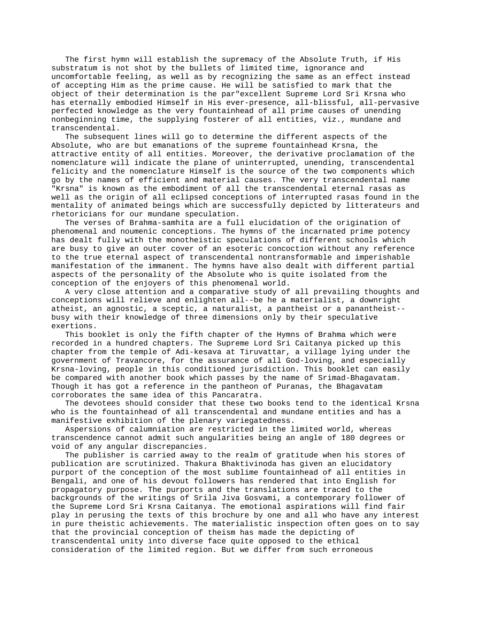The first hymn will establish the supremacy of the Absolute Truth, if His substratum is not shot by the bullets of limited time, ignorance and uncomfortable feeling, as well as by recognizing the same as an effect instead of accepting Him as the prime cause. He will be satisfied to mark that the object of their determination is the par"excellent Supreme Lord Sri Krsna who has eternally embodied Himself in His ever-presence, all-blissful, all-pervasive perfected knowledge as the very fountainhead of all prime causes of unending nonbeginning time, the supplying fosterer of all entities, viz., mundane and transcendental.

 The subsequent lines will go to determine the different aspects of the Absolute, who are but emanations of the supreme fountainhead Krsna, the attractive entity of all entities. Moreover, the derivative proclamation of the nomenclature will indicate the plane of uninterrupted, unending, transcendental felicity and the nomenclature Himself is the source of the two components which go by the names of efficient and material causes. The very transcendental name "Krsna" is known as the embodiment of all the transcendental eternal rasas as well as the origin of all eclipsed conceptions of interrupted rasas found in the mentality of animated beings which are successfully depicted by litterateurs and rhetoricians for our mundane speculation.

 The verses of Brahma-samhita are a full elucidation of the origination of phenomenal and noumenic conceptions. The hymns of the incarnated prime potency has dealt fully with the monotheistic speculations of different schools which are busy to give an outer cover of an esoteric concoction without any reference to the true eternal aspect of transcendental nontransformable and imperishable manifestation of the immanent. The hymns have also dealt with different partial aspects of the personality of the Absolute who is quite isolated from the conception of the enjoyers of this phenomenal world.

 A very close attention and a comparative study of all prevailing thoughts and conceptions will relieve and enlighten all--be he a materialist, a downright atheist, an agnostic, a sceptic, a naturalist, a pantheist or a panantheist- busy with their knowledge of three dimensions only by their speculative exertions.

 This booklet is only the fifth chapter of the Hymns of Brahma which were recorded in a hundred chapters. The Supreme Lord Sri Caitanya picked up this chapter from the temple of Adi-kesava at Tiruvattar, a village lying under the government of Travancore, for the assurance of all God-loving, and especially Krsna-loving, people in this conditioned jurisdiction. This booklet can easily be compared with another book which passes by the name of Srimad-Bhagavatam. Though it has got a reference in the pantheon of Puranas, the Bhagavatam corroborates the same idea of this Pancaratra.

 The devotees should consider that these two books tend to the identical Krsna who is the fountainhead of all transcendental and mundane entities and has a manifestive exhibition of the plenary variegatedness.

 Aspersions of calumniation are restricted in the limited world, whereas transcendence cannot admit such angularities being an angle of 180 degrees or void of any angular discrepancies.

 The publisher is carried away to the realm of gratitude when his stores of publication are scrutinized. Thakura Bhaktivinoda has given an elucidatory purport of the conception of the most sublime fountainhead of all entities in Bengali, and one of his devout followers has rendered that into English for propagatory purpose. The purports and the translations are traced to the backgrounds of the writings of Srila Jiva Gosvami, a contemporary follower of the Supreme Lord Sri Krsna Caitanya. The emotional aspirations will find fair play in perusing the texts of this brochure by one and all who have any interest in pure theistic achievements. The materialistic inspection often goes on to say that the provincial conception of theism has made the depicting of transcendental unity into diverse face quite opposed to the ethical consideration of the limited region. But we differ from such erroneous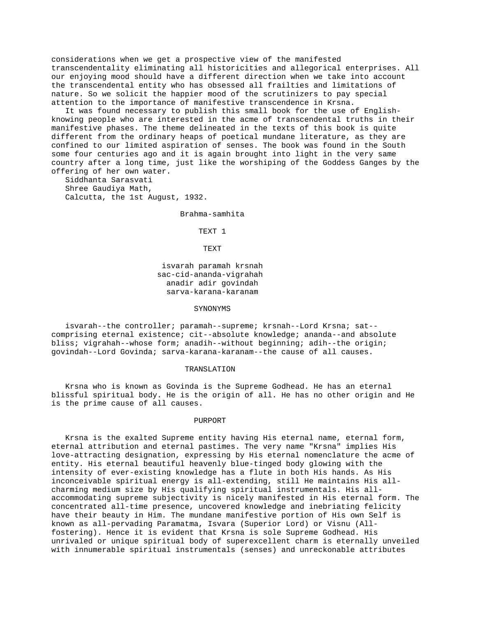considerations when we get a prospective view of the manifested transcendentality eliminating all historicities and allegorical enterprises. All our enjoying mood should have a different direction when we take into account the transcendental entity who has obsessed all frailties and limitations of nature. So we solicit the happier mood of the scrutinizers to pay special attention to the importance of manifestive transcendence in Krsna.

 It was found necessary to publish this small book for the use of Englishknowing people who are interested in the acme of transcendental truths in their manifestive phases. The theme delineated in the texts of this book is quite different from the ordinary heaps of poetical mundane literature, as they are confined to our limited aspiration of senses. The book was found in the South some four centuries ago and it is again brought into light in the very same country after a long time, just like the worshiping of the Goddess Ganges by the offering of her own water.

 Siddhanta Sarasvati Shree Gaudiya Math, Calcutta, the 1st August, 1932.

Brahma-samhita

TEXT 1

TEXT

 isvarah paramah krsnah sac-cid-ananda-vigrahah anadir adir govindah sarva-karana-karanam

SYNONYMS

 isvarah--the controller; paramah--supreme; krsnah--Lord Krsna; sat- comprising eternal existence; cit--absolute knowledge; ananda--and absolute bliss; vigrahah--whose form; anadih--without beginning; adih--the origin; govindah--Lord Govinda; sarva-karana-karanam--the cause of all causes.

# TRANSLATION

 Krsna who is known as Govinda is the Supreme Godhead. He has an eternal blissful spiritual body. He is the origin of all. He has no other origin and He is the prime cause of all causes.

### PURPORT

 Krsna is the exalted Supreme entity having His eternal name, eternal form, eternal attribution and eternal pastimes. The very name "Krsna" implies His love-attracting designation, expressing by His eternal nomenclature the acme of entity. His eternal beautiful heavenly blue-tinged body glowing with the intensity of ever-existing knowledge has a flute in both His hands. As His inconceivable spiritual energy is all-extending, still He maintains His allcharming medium size by His qualifying spiritual instrumentals. His allaccommodating supreme subjectivity is nicely manifested in His eternal form. The concentrated all-time presence, uncovered knowledge and inebriating felicity have their beauty in Him. The mundane manifestive portion of His own Self is known as all-pervading Paramatma, Isvara (Superior Lord) or Visnu (Allfostering). Hence it is evident that Krsna is sole Supreme Godhead. His unrivaled or unique spiritual body of superexcellent charm is eternally unveiled with innumerable spiritual instrumentals (senses) and unreckonable attributes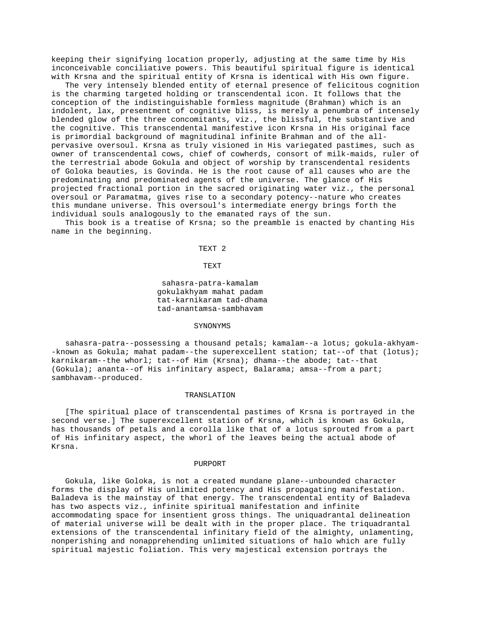keeping their signifying location properly, adjusting at the same time by His inconceivable conciliative powers. This beautiful spiritual figure is identical with Krsna and the spiritual entity of Krsna is identical with His own figure.

 The very intensely blended entity of eternal presence of felicitous cognition is the charming targeted holding or transcendental icon. It follows that the conception of the indistinguishable formless magnitude (Brahman) which is an indolent, lax, presentment of cognitive bliss, is merely a penumbra of intensely blended glow of the three concomitants, viz., the blissful, the substantive and the cognitive. This transcendental manifestive icon Krsna in His original face is primordial background of magnitudinal infinite Brahman and of the allpervasive oversoul. Krsna as truly visioned in His variegated pastimes, such as owner of transcendental cows, chief of cowherds, consort of milk-maids, ruler of the terrestrial abode Gokula and object of worship by transcendental residents of Goloka beauties, is Govinda. He is the root cause of all causes who are the predominating and predominated agents of the universe. The glance of His projected fractional portion in the sacred originating water viz., the personal oversoul or Paramatma, gives rise to a secondary potency--nature who creates this mundane universe. This oversoul's intermediate energy brings forth the individual souls analogously to the emanated rays of the sun.

 This book is a treatise of Krsna; so the preamble is enacted by chanting His name in the beginning.

TEXT 2

# TEXT

# sahasra-patra-kamalam gokulakhyam mahat padam tat-karnikaram tad-dhama tad-anantamsa-sambhavam

# SYNONYMS

 sahasra-patra--possessing a thousand petals; kamalam--a lotus; gokula-akhyam- -known as Gokula; mahat padam--the superexcellent station; tat--of that (lotus); karnikaram--the whorl; tat--of Him (Krsna); dhama--the abode; tat--that (Gokula); ananta--of His infinitary aspect, Balarama; amsa--from a part; sambhavam--produced.

# TRANSLATION

 [The spiritual place of transcendental pastimes of Krsna is portrayed in the second verse.] The superexcellent station of Krsna, which is known as Gokula, has thousands of petals and a corolla like that of a lotus sprouted from a part of His infinitary aspect, the whorl of the leaves being the actual abode of Krsna.

#### PURPORT

 Gokula, like Goloka, is not a created mundane plane--unbounded character forms the display of His unlimited potency and His propagating manifestation. Baladeva is the mainstay of that energy. The transcendental entity of Baladeva has two aspects viz., infinite spiritual manifestation and infinite accommodating space for insentient gross things. The uniquadrantal delineation of material universe will be dealt with in the proper place. The triquadrantal extensions of the transcendental infinitary field of the almighty, unlamenting, nonperishing and nonapprehending unlimited situations of halo which are fully spiritual majestic foliation. This very majestical extension portrays the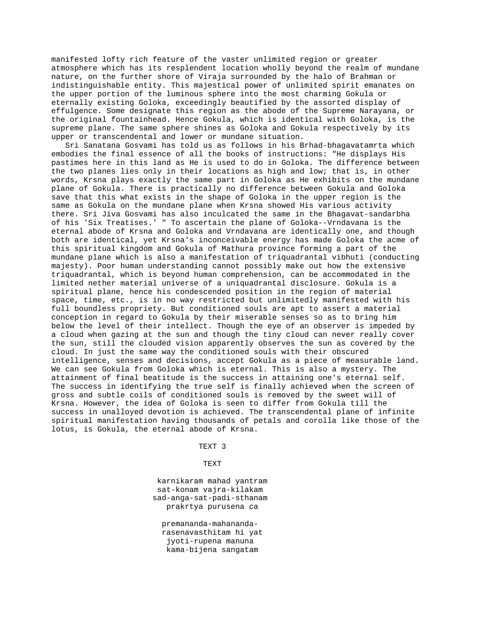manifested lofty rich feature of the vaster unlimited region or greater atmosphere which has its resplendent location wholly beyond the realm of mundane nature, on the further shore of Viraja surrounded by the halo of Brahman or indistinguishable entity. This majestical power of unlimited spirit emanates on the upper portion of the luminous sphere into the most charming Gokula or eternally existing Goloka, exceedingly beautified by the assorted display of effulgence. Some designate this region as the abode of the Supreme Narayana, or the original fountainhead. Hence Gokula, which is identical with Goloka, is the supreme plane. The same sphere shines as Goloka and Gokula respectively by its upper or transcendental and lower or mundane situation.

 Sri Sanatana Gosvami has told us as follows in his Brhad-bhagavatamrta which embodies the final essence of all the books of instructions: "He displays His pastimes here in this land as He is used to do in Goloka. The difference between the two planes lies only in their locations as high and low; that is, in other words, Krsna plays exactly the same part in Goloka as He exhibits on the mundane plane of Gokula. There is practically no difference between Gokula and Goloka save that this what exists in the shape of Goloka in the upper region is the same as Gokula on the mundane plane when Krsna showed His various activity there. Sri Jiva Gosvami has also inculcated the same in the Bhagavat-sandarbha of his 'Six Treatises.' " To ascertain the plane of Goloka--Vrndavana is the eternal abode of Krsna and Goloka and Vrndavana are identically one, and though both are identical, yet Krsna's inconceivable energy has made Goloka the acme of this spiritual kingdom and Gokula of Mathura province forming a part of the mundane plane which is also a manifestation of triquadrantal vibhuti (conducting majesty). Poor human understanding cannot possibly make out how the extensive triquadrantal, which is beyond human comprehension, can be accommodated in the limited nether material universe of a uniquadrantal disclosure. Gokula is a spiritual plane, hence his condescended position in the region of material space, time, etc., is in no way restricted but unlimitedly manifested with his full boundless propriety. But conditioned souls are apt to assert a material conception in regard to Gokula by their miserable senses so as to bring him below the level of their intellect. Though the eye of an observer is impeded by a cloud when gazing at the sun and though the tiny cloud can never really cover the sun, still the clouded vision apparently observes the sun as covered by the cloud. In just the same way the conditioned souls with their obscured intelligence, senses and decisions, accept Gokula as a piece of measurable land. We can see Gokula from Goloka which is eternal. This is also a mystery. The attainment of final beatitude is the success in attaining one's eternal self. The success in identifying the true self is finally achieved when the screen of gross and subtle coils of conditioned souls is removed by the sweet will of Krsna. However, the idea of Goloka is seen to differ from Gokula till the success in unalloyed devotion is achieved. The transcendental plane of infinite spiritual manifestation having thousands of petals and corolla like those of the lotus, is Gokula, the eternal abode of Krsna.

TEXT 3

TEXT

 karnikaram mahad yantram sat-konam vajra-kilakam sad-anga-sat-padi-sthanam prakrtya purusena ca

 premananda-mahananda rasenavasthitam hi yat jyoti-rupena manuna kama-bijena sangatam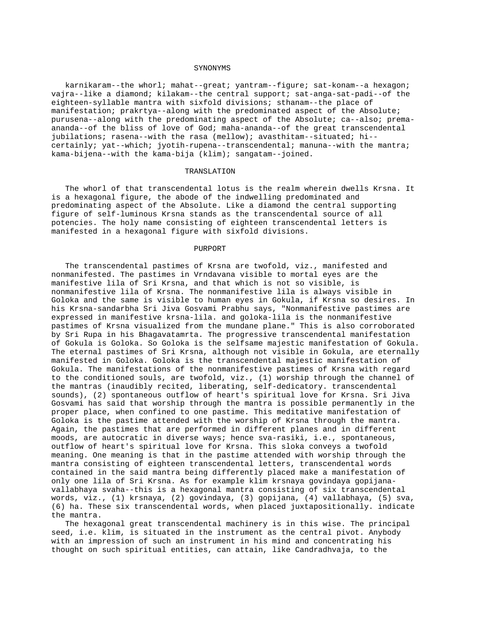### SYNONYMS

 karnikaram--the whorl; mahat--great; yantram--figure; sat-konam--a hexagon; vajra--like a diamond; kilakam--the central support; sat-anga-sat-padi--of the eighteen-syllable mantra with sixfold divisions; sthanam--the place of manifestation; prakrtya--along with the predominated aspect of the Absolute; purusena--along with the predominating aspect of the Absolute; ca--also; premaananda--of the bliss of love of God; maha-ananda--of the great transcendental jubilations; rasena--with the rasa (mellow); avasthitam--situated; hi- certainly; yat--which; jyotih-rupena--transcendental; manuna--with the mantra; kama-bijena--with the kama-bija (klim); sangatam--joined.

# TRANSLATION

 The whorl of that transcendental lotus is the realm wherein dwells Krsna. It is a hexagonal figure, the abode of the indwelling predominated and predominating aspect of the Absolute. Like a diamond the central supporting figure of self-luminous Krsna stands as the transcendental source of all potencies. The holy name consisting of eighteen transcendental letters is manifested in a hexagonal figure with sixfold divisions.

# PURPORT

 The transcendental pastimes of Krsna are twofold, viz., manifested and nonmanifested. The pastimes in Vrndavana visible to mortal eyes are the manifestive lila of Sri Krsna, and that which is not so visible, is nonmanifestive lila of Krsna. The nonmanifestive lila is always visible in Goloka and the same is visible to human eyes in Gokula, if Krsna so desires. In his Krsna-sandarbha Sri Jiva Gosvami Prabhu says, "Nonmanifestive pastimes are expressed in manifestive krsna-lila. and goloka-lila is the nonmanifestive pastimes of Krsna visualized from the mundane plane." This is also corroborated by Sri Rupa in his Bhagavatamrta. The progressive transcendental manifestation of Gokula is Goloka. So Goloka is the selfsame majestic manifestation of Gokula. The eternal pastimes of Sri Krsna, although not visible in Gokula, are eternally manifested in Goloka. Goloka is the transcendental majestic manifestation of Gokula. The manifestations of the nonmanifestive pastimes of Krsna with regard to the conditioned souls, are twofold, viz., (1) worship through the channel of the mantras (inaudibly recited, liberating, self-dedicatory. transcendental sounds), (2) spontaneous outflow of heart's spiritual love for Krsna. Sri Jiva Gosvami has said that worship through the mantra is possible permanently in the proper place, when confined to one pastime. This meditative manifestation of Goloka is the pastime attended with the worship of Krsna through the mantra. Again, the pastimes that are performed in different planes and in different moods, are autocratic in diverse ways; hence sva-rasiki, i.e., spontaneous, outflow of heart's spiritual love for Krsna. This sloka conveys a twofold meaning. One meaning is that in the pastime attended with worship through the mantra consisting of eighteen transcendental letters, transcendental words contained in the said mantra being differently placed make a manifestation of only one lila of Sri Krsna. As for example klim krsnaya govindaya gopijanavallabhaya svaha--this is a hexagonal mantra consisting of six transcendental words, viz., (1) krsnaya, (2) govindaya, (3) gopijana, (4) vallabhaya, (5) sva, (6) ha. These six transcendental words, when placed juxtapositionally. indicate the mantra.

 The hexagonal great transcendental machinery is in this wise. The principal seed, i.e. klim, is situated in the instrument as the central pivot. Anybody with an impression of such an instrument in his mind and concentrating his thought on such spiritual entities, can attain, like Candradhvaja, to the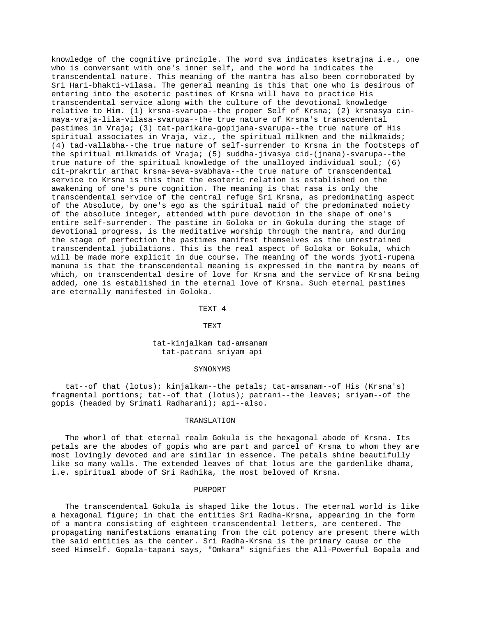knowledge of the cognitive principle. The word sva indicates ksetrajna i.e., one who is conversant with one's inner self, and the word ha indicates the transcendental nature. This meaning of the mantra has also been corroborated by Sri Hari-bhakti-vilasa. The general meaning is this that one who is desirous of entering into the esoteric pastimes of Krsna will have to practice His transcendental service along with the culture of the devotional knowledge relative to Him. (1) krsna-svarupa--the proper Self of Krsna; (2) krsnasya cinmaya-vraja-lila-vilasa-svarupa--the true nature of Krsna's transcendental pastimes in Vraja; (3) tat-parikara-gopijana-svarupa--the true nature of His spiritual associates in Vraja, viz., the spiritual milkmen and the milkmaids; (4) tad-vallabha--the true nature of self-surrender to Krsna in the footsteps of the spiritual milkmaids of Vraja; (5) suddha-jivasya cid-(jnana)-svarupa--the true nature of the spiritual knowledge of the unalloyed individual soul; (6) cit-prakrtir arthat krsna-seva-svabhava--the true nature of transcendental service to Krsna is this that the esoteric relation is established on the awakening of one's pure cognition. The meaning is that rasa is only the transcendental service of the central refuge Sri Krsna, as predominating aspect of the Absolute, by one's ego as the spiritual maid of the predominated moiety of the absolute integer, attended with pure devotion in the shape of one's entire self-surrender. The pastime in Goloka or in Gokula during the stage of devotional progress, is the meditative worship through the mantra, and during the stage of perfection the pastimes manifest themselves as the unrestrained transcendental jubilations. This is the real aspect of Goloka or Gokula, which will be made more explicit in due course. The meaning of the words jyoti-rupena manuna is that the transcendental meaning is expressed in the mantra by means of which, on transcendental desire of love for Krsna and the service of Krsna being added, one is established in the eternal love of Krsna. Such eternal pastimes are eternally manifested in Goloka.

#### TEXT 4

# TEXT

# tat-kinjalkam tad-amsanam tat-patrani sriyam api

# SYNONYMS

 tat--of that (lotus); kinjalkam--the petals; tat-amsanam--of His (Krsna's) fragmental portions; tat--of that (lotus); patrani--the leaves; sriyam--of the gopis (headed by Srimati Radharani); api--also.

### TRANSLATION

 The whorl of that eternal realm Gokula is the hexagonal abode of Krsna. Its petals are the abodes of gopis who are part and parcel of Krsna to whom they are most lovingly devoted and are similar in essence. The petals shine beautifully like so many walls. The extended leaves of that lotus are the gardenlike dhama, i.e. spiritual abode of Sri Radhika, the most beloved of Krsna.

### PURPORT

 The transcendental Gokula is shaped like the lotus. The eternal world is like a hexagonal figure; in that the entities Sri Radha-Krsna, appearing in the form of a mantra consisting of eighteen transcendental letters, are centered. The propagating manifestations emanating from the cit potency are present there with the said entities as the center. Sri Radha-Krsna is the primary cause or the seed Himself. Gopala-tapani says, "Omkara" signifies the All-Powerful Gopala and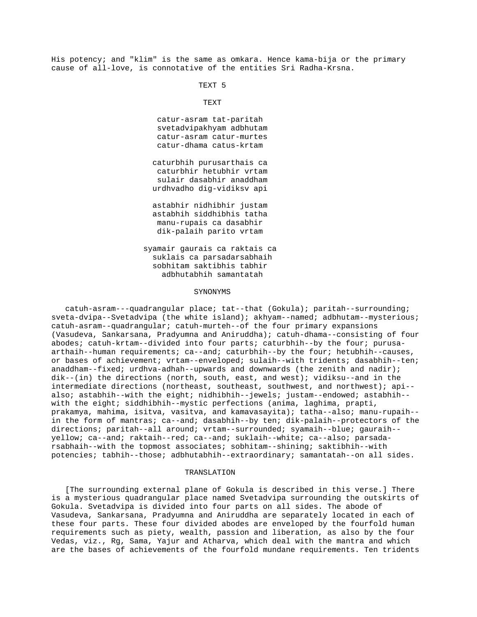His potency; and "klim" is the same as omkara. Hence kama-bija or the primary cause of all-love, is connotative of the entities Sri Radha-Krsna.

TEXT 5

TEXT

 catur-asram tat-paritah svetadvipakhyam adbhutam catur-asram catur-murtes catur-dhama catus-krtam

 caturbhih purusarthais ca caturbhir hetubhir vrtam sulair dasabhir anaddham urdhvadho dig-vidiksv api

 astabhir nidhibhir justam astabhih siddhibhis tatha manu-rupais ca dasabhir dik-palaih parito vrtam

 syamair gaurais ca raktais ca suklais ca parsadarsabhaih sobhitam saktibhis tabhir adbhutabhih samantatah

#### SYNONYMS

 catuh-asram---quadrangular place; tat--that (Gokula); paritah--surrounding; sveta-dvipa--Svetadvipa (the white island); akhyam--named; adbhutam--mysterious; catuh-asram--quadrangular; catuh-murteh--of the four primary expansions (Vasudeva, Sankarsana, Pradyumna and Aniruddha); catuh-dhama--consisting of four abodes; catuh-krtam--divided into four parts; caturbhih--by the four; purusaarthaih--human requirements; ca--and; caturbhih--by the four; hetubhih--causes, or bases of achievement; vrtam--enveloped; sulaih--with tridents; dasabhih--ten; anaddham--fixed; urdhva-adhah--upwards and downwards (the zenith and nadir); dik--(in) the directions (north, south, east, and west); vidiksu--and in the intermediate directions (northeast, southeast, southwest, and northwest); api- also; astabhih--with the eight; nidhibhih--jewels; justam--endowed; astabhih- with the eight; siddhibhih--mystic perfections (anima, laghima, prapti, prakamya, mahima, isitva, vasitva, and kamavasayita); tatha--also; manu-rupaih- in the form of mantras; ca--and; dasabhih--by ten; dik-palaih--protectors of the directions; paritah--all around; vrtam--surrounded; syamaih--blue; gauraih- yellow; ca--and; raktaih--red; ca--and; suklaih--white; ca--also; parsadarsabhaih--with the topmost associates; sobhitam--shining; saktibhih--with potencies; tabhih--those; adbhutabhih--extraordinary; samantatah--on all sides.

#### TRANSLATION

 [The surrounding external plane of Gokula is described in this verse.] There is a mysterious quadrangular place named Svetadvipa surrounding the outskirts of Gokula. Svetadvipa is divided into four parts on all sides. The abode of Vasudeva, Sankarsana, Pradyumna and Aniruddha are separately located in each of these four parts. These four divided abodes are enveloped by the fourfold human requirements such as piety, wealth, passion and liberation, as also by the four Vedas, viz., Rg, Sama, Yajur and Atharva, which deal with the mantra and which are the bases of achievements of the fourfold mundane requirements. Ten tridents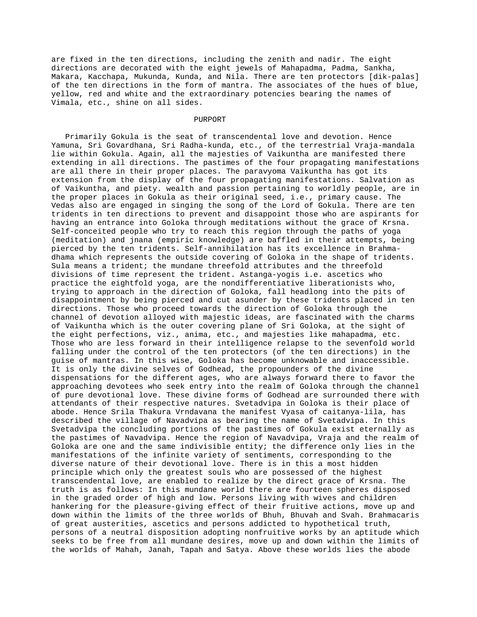are fixed in the ten directions, including the zenith and nadir. The eight directions are decorated with the eight jewels of Mahapadma, Padma, Sankha, Makara, Kacchapa, Mukunda, Kunda, and Nila. There are ten protectors [dik-palas] of the ten directions in the form of mantra. The associates of the hues of blue, yellow, red and white and the extraordinary potencies bearing the names of Vimala, etc., shine on all sides.

#### PURPORT

 Primarily Gokula is the seat of transcendental love and devotion. Hence Yamuna, Sri Govardhana, Sri Radha-kunda, etc., of the terrestrial Vraja-mandala lie within Gokula. Again, all the majesties of Vaikuntha are manifested there extending in all directions. The pastimes of the four propagating manifestations are all there in their proper places. The paravyoma Vaikuntha has got its extension from the display of the four propagating manifestations. Salvation as of Vaikuntha, and piety. wealth and passion pertaining to worldly people, are in the proper places in Gokula as their original seed, i.e., primary cause. The Vedas also are engaged in singing the song of the Lord of Gokula. There are ten tridents in ten directions to prevent and disappoint those who are aspirants for having an entrance into Goloka through meditations without the grace of Krsna. Self-conceited people who try to reach this region through the paths of yoga (meditation) and jnana (empiric knowledge) are baffled in their attempts, being pierced by the ten tridents. Self-annihilation has its excellence in Brahmadhama which represents the outside covering of Goloka in the shape of tridents. Sula means a trident; the mundane threefold attributes and the threefold divisions of time represent the trident. Astanga-yogis i.e. ascetics who practice the eightfold yoga, are the nondifferentiative liberationists who, trying to approach in the direction of Goloka, fall headlong into the pits of disappointment by being pierced and cut asunder by these tridents placed in ten directions. Those who proceed towards the direction of Goloka through the channel of devotion alloyed with majestic ideas, are fascinated with the charms of Vaikuntha which is the outer covering plane of Sri Goloka, at the sight of the eight perfections, viz., anima, etc., and majesties like mahapadma, etc. Those who are less forward in their intelligence relapse to the sevenfold world falling under the control of the ten protectors (of the ten directions) in the guise of mantras. In this wise, Goloka has become unknowable and inaccessible. It is only the divine selves of Godhead, the propounders of the divine dispensations for the different ages, who are always forward there to favor the approaching devotees who seek entry into the realm of Goloka through the channel of pure devotional love. These divine forms of Godhead are surrounded there with attendants of their respective natures. Svetadvipa in Goloka is their place of abode. Hence Srila Thakura Vrndavana the manifest Vyasa of caitanya-lila, has described the village of Navadvipa as bearing the name of Svetadvipa. In this Svetadvipa the concluding portions of the pastimes of Gokula exist eternally as the pastimes of Navadvipa. Hence the region of Navadvipa, Vraja and the realm of Goloka are one and the same indivisible entity; the difference only lies in the manifestations of the infinite variety of sentiments, corresponding to the diverse nature of their devotional love. There is in this a most hidden principle which only the greatest souls who are possessed of the highest transcendental love, are enabled to realize by the direct grace of Krsna. The truth is as follows: In this mundane world there are fourteen spheres disposed in the graded order of high and low. Persons living with wives and children hankering for the pleasure-giving effect of their fruitive actions, move up and down within the limits of the three worlds of Bhuh, Bhuvah and Svah. Brahmacaris of great austerities, ascetics and persons addicted to hypothetical truth, persons of a neutral disposition adopting nonfruitive works by an aptitude which seeks to be free from all mundane desires, move up and down within the limits of the worlds of Mahah, Janah, Tapah and Satya. Above these worlds lies the abode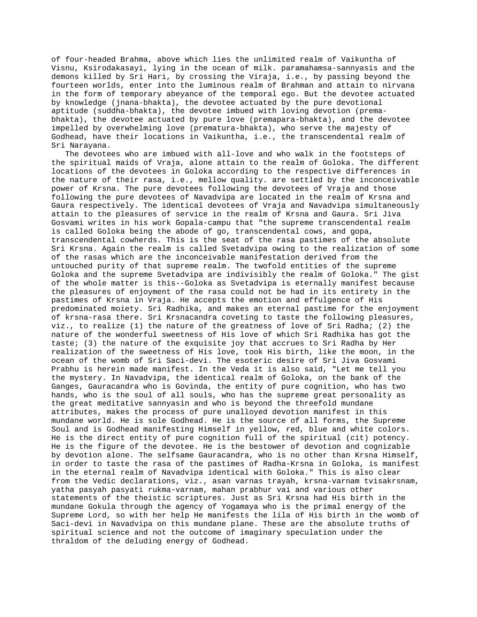of four-headed Brahma, above which lies the unlimited realm of Vaikuntha of Visnu, Ksirodakasayi, lying in the ocean of milk. paramahamsa-sannyasis and the demons killed by Sri Hari, by crossing the Viraja, i.e., by passing beyond the fourteen worlds, enter into the luminous realm of Brahman and attain to nirvana in the form of temporary abeyance of the temporal ego. But the devotee actuated by knowledge (jnana-bhakta), the devotee actuated by the pure devotional aptitude (suddha-bhakta), the devotee imbued with loving devotion (premabhakta), the devotee actuated by pure love (premapara-bhakta), and the devotee impelled by overwhelming love (prematura-bhakta), who serve the majesty of Godhead, have their locations in Vaikuntha, i.e., the transcendental realm of Sri Narayana.

 The devotees who are imbued with all-love and who walk in the footsteps of the spiritual maids of Vraja, alone attain to the realm of Goloka. The different locations of the devotees in Goloka according to the respective differences in the nature of their rasa, i.e., mellow quality. are settled by the inconceivable power of Krsna. The pure devotees following the devotees of Vraja and those following the pure devotees of Navadvipa are located in the realm of Krsna and Gaura respectively. The identical devotees of Vraja and Navadvipa simultaneously attain to the pleasures of service in the realm of Krsna and Gaura. Sri Jiva Gosvami writes in his work Gopala-campu that "the supreme transcendental realm is called Goloka being the abode of go, transcendental cows, and gopa, transcendental cowherds. This is the seat of the rasa pastimes of the absolute Sri Krsna. Again the realm is called Svetadvipa owing to the realization of some of the rasas which are the inconceivable manifestation derived from the untouched purity of that supreme realm. The twofold entities of the supreme Goloka and the supreme Svetadvipa are indivisibly the realm of Goloka." The gist of the whole matter is this--Goloka as Svetadvipa is eternally manifest because the pleasures of enjoyment of the rasa could not be had in its entirety in the pastimes of Krsna in Vraja. He accepts the emotion and effulgence of His predominated moiety. Sri Radhika, and makes an eternal pastime for the enjoyment of krsna-rasa there. Sri Krsnacandra coveting to taste the following pleasures, viz., to realize (1) the nature of the greatness of love of Sri Radha; (2) the nature of the wonderful sweetness of His love of which Sri Radhika has got the taste; (3) the nature of the exquisite joy that accrues to Sri Radha by Her realization of the sweetness of His love, took His birth, like the moon, in the ocean of the womb of Sri Saci-devi. The esoteric desire of Sri Jiva Gosvami Prabhu is herein made manifest. In the Veda it is also said, "Let me tell you the mystery. In Navadvipa, the identical realm of Goloka, on the bank of the Ganges, Gauracandra who is Govinda, the entity of pure cognition, who has two hands, who is the soul of all souls, who has the supreme great personality as the great meditative sannyasin and who is beyond the threefold mundane attributes, makes the process of pure unalloyed devotion manifest in this mundane world. He is sole Godhead. He is the source of all forms, the Supreme Soul and is Godhead manifesting Himself in yellow, red, blue and white colors. He is the direct entity of pure cognition full of the spiritual (cit) potency. He is the figure of the devotee. He is the bestower of devotion and cognizable by devotion alone. The selfsame Gauracandra, who is no other than Krsna Himself, in order to taste the rasa of the pastimes of Radha-Krsna in Goloka, is manifest in the eternal realm of Navadvipa identical with Goloka." This is also clear from the Vedic declarations, viz., asan varnas trayah, krsna-varnam tvisakrsnam, yatha pasyah pasyati rukma-varnam, mahan prabhur vai and various other statements of the theistic scriptures. Just as Sri Krsna had His birth in the mundane Gokula through the agency of Yogamaya who is the primal energy of the Supreme Lord, so with her help He manifests the lila of His birth in the womb of Saci-devi in Navadvipa on this mundane plane. These are the absolute truths of spiritual science and not the outcome of imaginary speculation under the thraldom of the deluding energy of Godhead.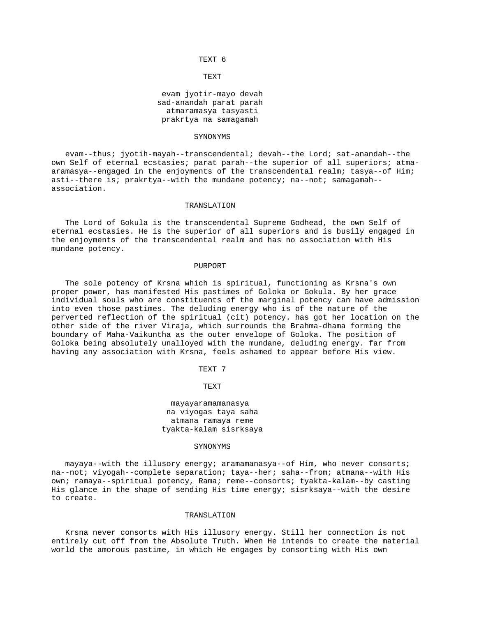#### TEXT 6

# TEXT

# evam jyotir-mayo devah sad-anandah parat parah atmaramasya tasyasti prakrtya na samagamah

## SYNONYMS

 evam--thus; jyotih-mayah--transcendental; devah--the Lord; sat-anandah--the own Self of eternal ecstasies; parat parah--the superior of all superiors; atmaaramasya--engaged in the enjoyments of the transcendental realm; tasya--of Him; asti--there is; prakrtya--with the mundane potency; na--not; samagamah- association.

## TRANSLATION

 The Lord of Gokula is the transcendental Supreme Godhead, the own Self of eternal ecstasies. He is the superior of all superiors and is busily engaged in the enjoyments of the transcendental realm and has no association with His mundane potency.

## PURPORT

 The sole potency of Krsna which is spiritual, functioning as Krsna's own proper power, has manifested His pastimes of Goloka or Gokula. By her grace individual souls who are constituents of the marginal potency can have admission into even those pastimes. The deluding energy who is of the nature of the perverted reflection of the spiritual (cit) potency. has got her location on the other side of the river Viraja, which surrounds the Brahma-dhama forming the boundary of Maha-Vaikuntha as the outer envelope of Goloka. The position of Goloka being absolutely unalloyed with the mundane, deluding energy. far from having any association with Krsna, feels ashamed to appear before His view.

# TEXT 7

# TEXT

# mayayaramamanasya na viyogas taya saha atmana ramaya reme tyakta-kalam sisrksaya

# SYNONYMS

 mayaya--with the illusory energy; aramamanasya--of Him, who never consorts; na--not; viyogah--complete separation; taya--her; saha--from; atmana--with His own; ramaya--spiritual potency, Rama; reme--consorts; tyakta-kalam--by casting His glance in the shape of sending His time energy; sisrksaya--with the desire to create.

# TRANSLATION

 Krsna never consorts with His illusory energy. Still her connection is not entirely cut off from the Absolute Truth. When He intends to create the material world the amorous pastime, in which He engages by consorting with His own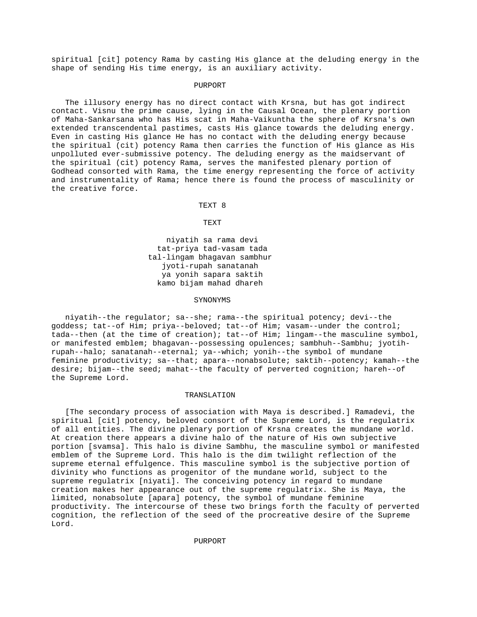spiritual [cit] potency Rama by casting His glance at the deluding energy in the shape of sending His time energy, is an auxiliary activity.

### PURPORT

 The illusory energy has no direct contact with Krsna, but has got indirect contact. Visnu the prime cause, lying in the Causal Ocean, the plenary portion of Maha-Sankarsana who has His scat in Maha-Vaikuntha the sphere of Krsna's own extended transcendental pastimes, casts His glance towards the deluding energy. Even in casting His glance He has no contact with the deluding energy because the spiritual (cit) potency Rama then carries the function of His glance as His unpolluted ever-submissive potency. The deluding energy as the maidservant of the spiritual (cit) potency Rama, serves the manifested plenary portion of Godhead consorted with Rama, the time energy representing the force of activity and instrumentality of Rama; hence there is found the process of masculinity or the creative force.

#### TEXT 8

# TEXT

 niyatih sa rama devi tat-priya tad-vasam tada tal-lingam bhagavan sambhur jyoti-rupah sanatanah ya yonih sapara saktih kamo bijam mahad dhareh

# SYNONYMS

 niyatih--the regulator; sa--she; rama--the spiritual potency; devi--the goddess; tat--of Him; priya--beloved; tat--of Him; vasam--under the control; tada--then (at the time of creation); tat--of Him; lingam--the masculine symbol, or manifested emblem; bhagavan--possessing opulences; sambhuh--Sambhu; jyotihrupah--halo; sanatanah--eternal; ya--which; yonih--the symbol of mundane feminine productivity; sa--that; apara--nonabsolute; saktih--potency; kamah--the desire; bijam--the seed; mahat--the faculty of perverted cognition; hareh--of the Supreme Lord.

# TRANSLATION

 [The secondary process of association with Maya is described.] Ramadevi, the spiritual [cit] potency, beloved consort of the Supreme Lord, is the regulatrix of all entities. The divine plenary portion of Krsna creates the mundane world. At creation there appears a divine halo of the nature of His own subjective portion [svamsa]. This halo is divine Sambhu, the masculine symbol or manifested emblem of the Supreme Lord. This halo is the dim twilight reflection of the supreme eternal effulgence. This masculine symbol is the subjective portion of divinity who functions as progenitor of the mundane world, subject to the supreme regulatrix [niyati]. The conceiving potency in regard to mundane creation makes her appearance out of the supreme regulatrix. She is Maya, the limited, nonabsolute [apara] potency, the symbol of mundane feminine productivity. The intercourse of these two brings forth the faculty of perverted cognition, the reflection of the seed of the procreative desire of the Supreme Lord.

PURPORT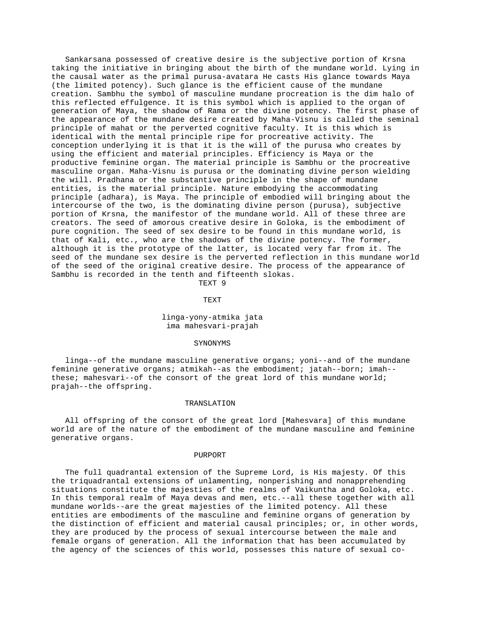Sankarsana possessed of creative desire is the subjective portion of Krsna taking the initiative in bringing about the birth of the mundane world. Lying in the causal water as the primal purusa-avatara He casts His glance towards Maya (the limited potency). Such glance is the efficient cause of the mundane creation. Sambhu the symbol of masculine mundane procreation is the dim halo of this reflected effulgence. It is this symbol which is applied to the organ of generation of Maya, the shadow of Rama or the divine potency. The first phase of the appearance of the mundane desire created by Maha-Visnu is called the seminal principle of mahat or the perverted cognitive faculty. It is this which is identical with the mental principle ripe for procreative activity. The conception underlying it is that it is the will of the purusa who creates by using the efficient and material principles. Efficiency is Maya or the productive feminine organ. The material principle is Sambhu or the procreative masculine organ. Maha-Visnu is purusa or the dominating divine person wielding the will. Pradhana or the substantive principle in the shape of mundane entities, is the material principle. Nature embodying the accommodating principle (adhara), is Maya. The principle of embodied will bringing about the intercourse of the two, is the dominating divine person (purusa), subjective portion of Krsna, the manifestor of the mundane world. All of these three are creators. The seed of amorous creative desire in Goloka, is the embodiment of pure cognition. The seed of sex desire to be found in this mundane world, is that of Kali, etc., who are the shadows of the divine potency. The former, although it is the prototype of the latter, is located very far from it. The seed of the mundane sex desire is the perverted reflection in this mundane world of the seed of the original creative desire. The process of the appearance of Sambhu is recorded in the tenth and fifteenth slokas. TEXT 9

TEXT

# linga-yony-atmika jata ima mahesvari-prajah

# SYNONYMS

 linga--of the mundane masculine generative organs; yoni--and of the mundane feminine generative organs; atmikah--as the embodiment; jatah--born; imah- these; mahesvari--of the consort of the great lord of this mundane world; prajah--the offspring.

## TRANSLATION

 All offspring of the consort of the great lord [Mahesvara] of this mundane world are of the nature of the embodiment of the mundane masculine and feminine generative organs.

# PURPORT

 The full quadrantal extension of the Supreme Lord, is His majesty. Of this the triquadrantal extensions of unlamenting, nonperishing and nonapprehending situations constitute the majesties of the realms of Vaikuntha and Goloka, etc. In this temporal realm of Maya devas and men, etc.--all these together with all mundane worlds--are the great majesties of the limited potency. All these entities are embodiments of the masculine and feminine organs of generation by the distinction of efficient and material causal principles; or, in other words, they are produced by the process of sexual intercourse between the male and female organs of generation. All the information that has been accumulated by the agency of the sciences of this world, possesses this nature of sexual co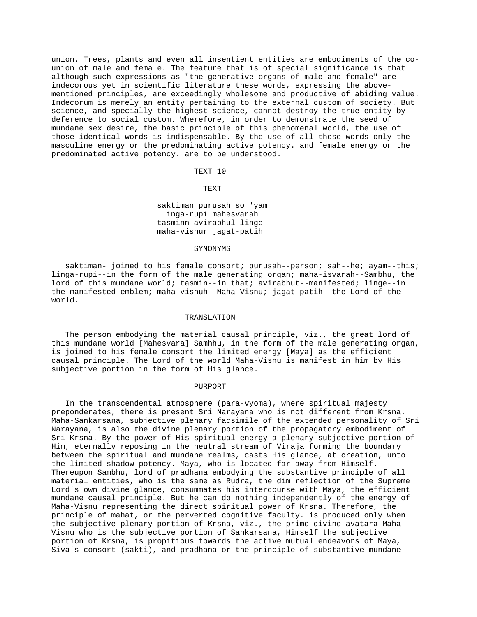union. Trees, plants and even all insentient entities are embodiments of the counion of male and female. The feature that is of special significance is that although such expressions as "the generative organs of male and female" are indecorous yet in scientific literature these words, expressing the abovementioned principles, are exceedingly wholesome and productive of abiding value. Indecorum is merely an entity pertaining to the external custom of society. But science, and specially the highest science, cannot destroy the true entity by deference to social custom. Wherefore, in order to demonstrate the seed of mundane sex desire, the basic principle of this phenomenal world, the use of those identical words is indispensable. By the use of all these words only the masculine energy or the predominating active potency. and female energy or the predominated active potency. are to be understood.

### TEXT 10

#### TEXT

 saktiman purusah so 'yam linga-rupi mahesvarah tasminn avirabhul linge maha-visnur jagat-patih

# SYNONYMS

 saktiman- joined to his female consort; purusah--person; sah--he; ayam--this; linga-rupi--in the form of the male generating organ; maha-isvarah--Sambhu, the lord of this mundane world; tasmin--in that; avirabhut--manifested; linge--in the manifested emblem; maha-visnuh--Maha-Visnu; jagat-patih--the Lord of the world.

#### TRANSLATION

 The person embodying the material causal principle, viz., the great lord of this mundane world [Mahesvara] Samhhu, in the form of the male generating organ, is joined to his female consort the limited energy [Maya] as the efficient causal principle. The Lord of the world Maha-Visnu is manifest in him by His subjective portion in the form of His glance.

## PURPORT

 In the transcendental atmosphere (para-vyoma), where spiritual majesty preponderates, there is present Sri Narayana who is not different from Krsna. Maha-Sankarsana, subjective plenary facsimile of the extended personality of Sri Narayana, is also the divine plenary portion of the propagatory embodiment of Sri Krsna. By the power of His spiritual energy a plenary subjective portion of Him, eternally reposing in the neutral stream of Viraja forming the boundary between the spiritual and mundane realms, casts His glance, at creation, unto the limited shadow potency. Maya, who is located far away from Himself. Thereupon Sambhu, lord of pradhana embodying the substantive principle of all material entities, who is the same as Rudra, the dim reflection of the Supreme Lord's own divine glance, consummates his intercourse with Maya, the efficient mundane causal principle. But he can do nothing independently of the energy of Maha-Visnu representing the direct spiritual power of Krsna. Therefore, the principle of mahat, or the perverted cognitive faculty. is produced only when the subjective plenary portion of Krsna, viz., the prime divine avatara Maha-Visnu who is the subjective portion of Sankarsana, Himself the subjective portion of Krsna, is propitious towards the active mutual endeavors of Maya, Siva's consort (sakti), and pradhana or the principle of substantive mundane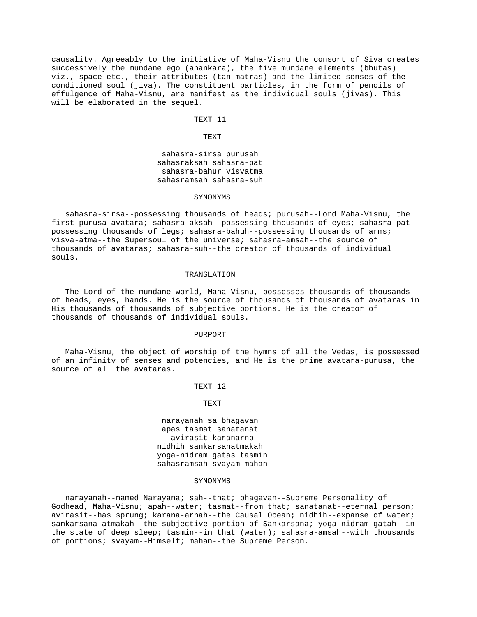causality. Agreeably to the initiative of Maha-Visnu the consort of Siva creates successively the mundane ego (ahankara), the five mundane elements (bhutas) viz., space etc., their attributes (tan-matras) and the limited senses of the conditioned soul (jiva). The constituent particles, in the form of pencils of effulgence of Maha-Visnu, are manifest as the individual souls (jivas). This will be elaborated in the sequel.

#### TEXT 11

# TEXT

 sahasra-sirsa purusah sahasraksah sahasra-pat sahasra-bahur visvatma sahasramsah sahasra-suh

# SYNONYMS

 sahasra-sirsa--possessing thousands of heads; purusah--Lord Maha-Visnu, the first purusa-avatara; sahasra-aksah--possessing thousands of eyes; sahasra-pat- possessing thousands of legs; sahasra-bahuh--possessing thousands of arms; visva-atma--the Supersoul of the universe; sahasra-amsah--the source of thousands of avataras; sahasra-suh--the creator of thousands of individual souls.

# TRANSLATION

 The Lord of the mundane world, Maha-Visnu, possesses thousands of thousands of heads, eyes, hands. He is the source of thousands of thousands of avataras in His thousands of thousands of subjective portions. He is the creator of thousands of thousands of individual souls.

### PURPORT

 Maha-Visnu, the object of worship of the hymns of all the Vedas, is possessed of an infinity of senses and potencies, and He is the prime avatara-purusa, the source of all the avataras.

#### TEXT 12

# TEXT

 narayanah sa bhagavan apas tasmat sanatanat avirasit karanarno nidhih sankarsanatmakah yoga-nidram gatas tasmin sahasramsah svayam mahan

#### SYNONYMS

 narayanah--named Narayana; sah--that; bhagavan--Supreme Personality of Godhead, Maha-Visnu; apah--water; tasmat--from that; sanatanat--eternal person; avirasit--has sprung; karana-arnah--the Causal Ocean; nidhih--expanse of water; sankarsana-atmakah--the subjective portion of Sankarsana; yoga-nidram gatah--in the state of deep sleep; tasmin--in that (water); sahasra-amsah--with thousands of portions; svayam--Himself; mahan--the Supreme Person.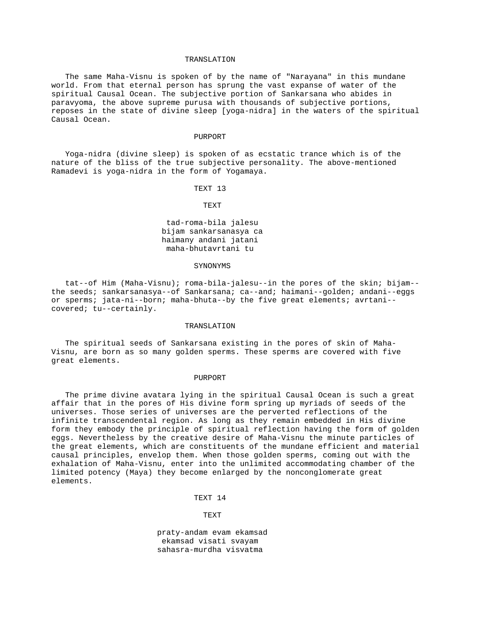## TRANSLATION

 The same Maha-Visnu is spoken of by the name of "Narayana" in this mundane world. From that eternal person has sprung the vast expanse of water of the spiritual Causal Ocean. The subjective portion of Sankarsana who abides in paravyoma, the above supreme purusa with thousands of subjective portions, reposes in the state of divine sleep [yoga-nidra] in the waters of the spiritual Causal Ocean.

### PURPORT

 Yoga-nidra (divine sleep) is spoken of as ecstatic trance which is of the nature of the bliss of the true subjective personality. The above-mentioned Ramadevi is yoga-nidra in the form of Yogamaya.

TEXT 13

TEXT

# tad-roma-bila jalesu bijam sankarsanasya ca haimany andani jatani maha-bhutavrtani tu

# SYNONYMS

 tat--of Him (Maha-Visnu); roma-bila-jalesu--in the pores of the skin; bijam- the seeds; sankarsanasya--of Sankarsana; ca--and; haimani--golden; andani--eggs or sperms; jata-ni--born; maha-bhuta--by the five great elements; avrtani- covered; tu--certainly.

# TRANSLATION

 The spiritual seeds of Sankarsana existing in the pores of skin of Maha-Visnu, are born as so many golden sperms. These sperms are covered with five great elements.

#### PURPORT

 The prime divine avatara lying in the spiritual Causal Ocean is such a great affair that in the pores of His divine form spring up myriads of seeds of the universes. Those series of universes are the perverted reflections of the infinite transcendental region. As long as they remain embedded in His divine form they embody the principle of spiritual reflection having the form of golden eggs. Nevertheless by the creative desire of Maha-Visnu the minute particles of the great elements, which are constituents of the mundane efficient and material causal principles, envelop them. When those golden sperms, coming out with the exhalation of Maha-Visnu, enter into the unlimited accommodating chamber of the limited potency (Maya) they become enlarged by the nonconglomerate great elements.

### TEXT 14

TEXT

 praty-andam evam ekamsad ekamsad visati svayam sahasra-murdha visvatma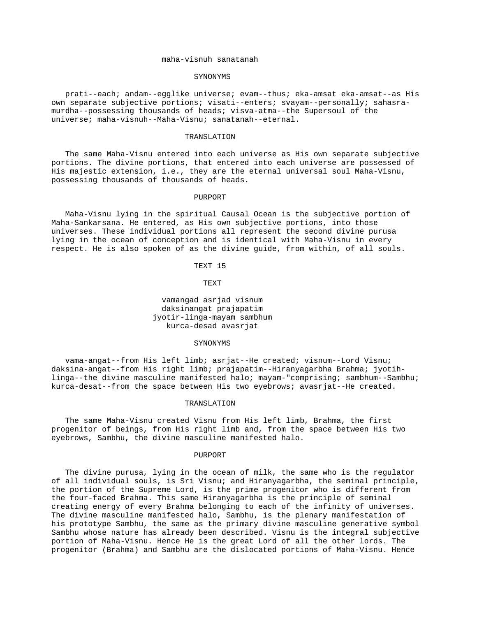# maha-visnuh sanatanah

#### SYNONYMS

 prati--each; andam--egglike universe; evam--thus; eka-amsat eka-amsat--as His own separate subjective portions; visati--enters; svayam--personally; sahasramurdha--possessing thousands of heads; visva-atma--the Supersoul of the universe; maha-visnuh--Maha-Visnu; sanatanah--eternal.

# TRANSLATION

 The same Maha-Visnu entered into each universe as His own separate subjective portions. The divine portions, that entered into each universe are possessed of His majestic extension, i.e., they are the eternal universal soul Maha-Visnu, possessing thousands of thousands of heads.

#### PURPORT

 Maha-Visnu lying in the spiritual Causal Ocean is the subjective portion of Maha-Sankarsana. He entered, as His own subjective portions, into those universes. These individual portions all represent the second divine purusa lying in the ocean of conception and is identical with Maha-Visnu in every respect. He is also spoken of as the divine guide, from within, of all souls.

# TEXT 15

TEXT

# vamangad asrjad visnum daksinangat prajapatim jyotir-linga-mayam sambhum kurca-desad avasrjat

# SYNONYMS

 vama-angat--from His left limb; asrjat--He created; visnum--Lord Visnu; daksina-angat--from His right limb; prajapatim--Hiranyagarbha Brahma; jyotihlinga--the divine masculine manifested halo; mayam-"comprising; sambhum--Sambhu; kurca-desat--from the space between His two eyebrows; avasrjat--He created.

# TRANSLATION

 The same Maha-Visnu created Visnu from His left limb, Brahma, the first progenitor of beings, from His right limb and, from the space between His two eyebrows, Sambhu, the divine masculine manifested halo.

# PURPORT

 The divine purusa, lying in the ocean of milk, the same who is the regulator of all individual souls, is Sri Visnu; and Hiranyagarbha, the seminal principle, the portion of the Supreme Lord, is the prime progenitor who is different from the four-faced Brahma. This same Hiranyagarbha is the principle of seminal creating energy of every Brahma belonging to each of the infinity of universes. The divine masculine manifested halo, Sambhu, is the plenary manifestation of his prototype Sambhu, the same as the primary divine masculine generative symbol Sambhu whose nature has already been described. Visnu is the integral subjective portion of Maha-Visnu. Hence He is the great Lord of all the other lords. The progenitor (Brahma) and Sambhu are the dislocated portions of Maha-Visnu. Hence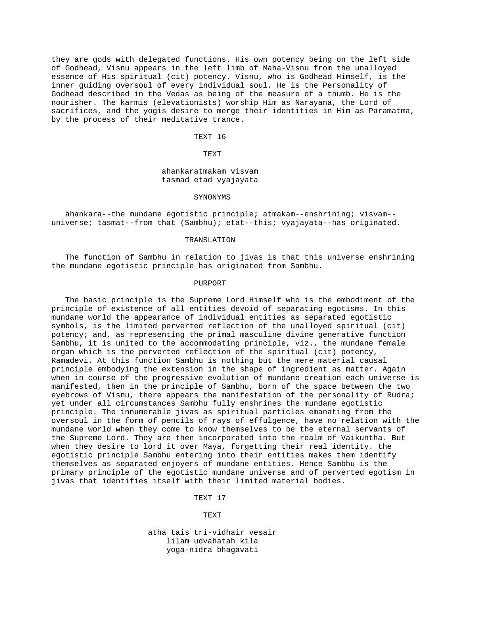they are gods with delegated functions. His own potency being on the left side of Godhead, Visnu appears in the left limb of Maha-Visnu from the unalloyed essence of His spiritual (cit) potency. Visnu, who is Godhead Himself, is the inner guiding oversoul of every individual soul. He is the Personality of Godhead described in the Vedas as being of the measure of a thumb. He is the nourisher. The karmis (elevationists) worship Him as Narayana, the Lord of sacrifices, and the yogis desire to merge their identities in Him as Paramatma, by the process of their meditative trance.

### TEXT 16

# TEXT

# ahankaratmakam visvam tasmad etad vyajayata

# SYNONYMS

 ahankara--the mundane egotistic principle; atmakam--enshrining; visvam- universe; tasmat--from that (Sambhu); etat--this; vyajayata--has originated.

### TRANSLATION

 The function of Sambhu in relation to jivas is that this universe enshrining the mundane egotistic principle has originated from Sambhu.

#### PURPORT

 The basic principle is the Supreme Lord Himself who is the embodiment of the principle of existence of all entities devoid of separating egotisms. In this mundane world the appearance of individual entities as separated egotistic symbols, is the limited perverted reflection of the unalloyed spiritual (cit) potency; and, as representing the primal masculine divine generative function Sambhu, it is united to the accommodating principle, viz., the mundane female organ which is the perverted reflection of the spiritual (cit) potency, Ramadevi. At this function Sambhu is nothing but the mere material causal principle embodying the extension in the shape of ingredient as matter. Again when in course of the progressive evolution of mundane creation each universe is manifested, then in the principle of Sambhu, born of the space between the two eyebrows of Visnu, there appears the manifestation of the personality of Rudra; yet under all circumstances Sambhu fully enshrines the mundane egotistic principle. The innumerable jivas as spiritual particles emanating from the oversoul in the form of pencils of rays of effulgence, have no relation with the mundane world when they come to know themselves to be the eternal servants of the Supreme Lord. They are then incorporated into the realm of Vaikuntha. But when they desire to lord it over Maya, forgetting their real identity. the egotistic principle Sambhu entering into their entities makes them identify themselves as separated enjoyers of mundane entities. Hence Sambhu is the primary principle of the egotistic mundane universe and of perverted egotism in jivas that identifies itself with their limited material bodies.

# TEXT 17

# TEXT

 atha tais tri-vidhair vesair lilam udvahatah kila yoga-nidra bhagavati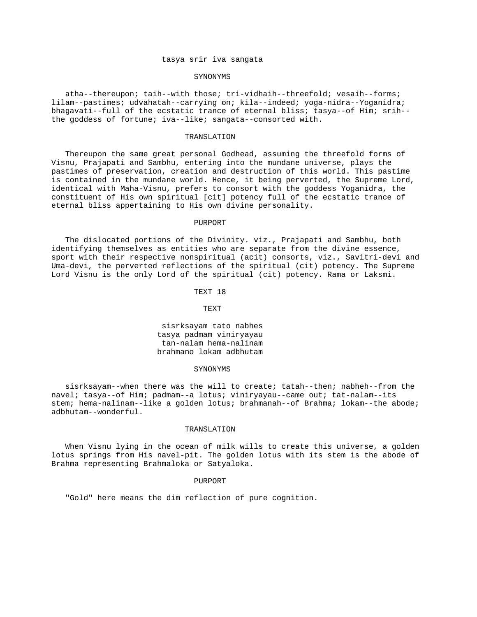#### tasya srir iva sangata

#### SYNONYMS

 atha--thereupon; taih--with those; tri-vidhaih--threefold; vesaih--forms; lilam--pastimes; udvahatah--carrying on; kila--indeed; yoga-nidra--Yoganidra; bhagavati--full of the ecstatic trance of eternal bliss; tasya--of Him; srih- the goddess of fortune; iva--like; sangata--consorted with.

# TRANSLATION

 Thereupon the same great personal Godhead, assuming the threefold forms of Visnu, Prajapati and Sambhu, entering into the mundane universe, plays the pastimes of preservation, creation and destruction of this world. This pastime is contained in the mundane world. Hence, it being perverted, the Supreme Lord, identical with Maha-Visnu, prefers to consort with the goddess Yoganidra, the constituent of His own spiritual [cit] potency full of the ecstatic trance of eternal bliss appertaining to His own divine personality.

#### PURPORT

 The dislocated portions of the Divinity. viz., Prajapati and Sambhu, both identifying themselves as entities who are separate from the divine essence, sport with their respective nonspiritual (acit) consorts, viz., Savitri-devi and Uma-devi, the perverted reflections of the spiritual (cit) potency. The Supreme Lord Visnu is the only Lord of the spiritual (cit) potency. Rama or Laksmi.

#### TEXT 18

# TEXT

# sisrksayam tato nabhes tasya padmam viniryayau tan-nalam hema-nalinam brahmano lokam adbhutam

# SYNONYMS

 sisrksayam--when there was the will to create; tatah--then; nabheh--from the navel; tasya--of Him; padmam--a lotus; viniryayau--came out; tat-nalam--its stem; hema-nalinam--like a golden lotus; brahmanah--of Brahma; lokam--the abode; adbhutam--wonderful.

#### TRANSLATION

 When Visnu lying in the ocean of milk wills to create this universe, a golden lotus springs from His navel-pit. The golden lotus with its stem is the abode of Brahma representing Brahmaloka or Satyaloka.

## PURPORT

"Gold" here means the dim reflection of pure cognition.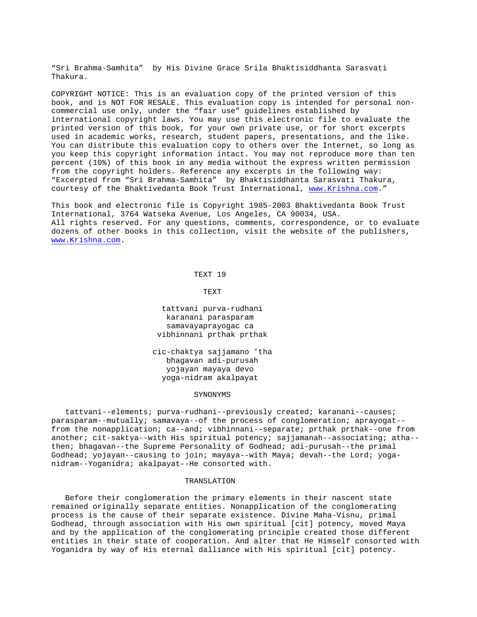"Sri Brahma-Samhita" by His Divine Grace Srila Bhaktisiddhanta Sarasvati Thakura.

COPYRIGHT NOTICE: This is an evaluation copy of the printed version of this book, and is NOT FOR RESALE. This evaluation copy is intended for personal noncommercial use only, under the "fair use" guidelines established by international copyright laws. You may use this electronic file to evaluate the printed version of this book, for your own private use, or for short excerpts used in academic works, research, student papers, presentations, and the like. You can distribute this evaluation copy to others over the Internet, so long as you keep this copyright information intact. You may not reproduce more than ten percent (10%) of this book in any media without the express written permission from the copyright holders. Reference any excerpts in the following way: "Excerpted from "Sri Brahma-Samhita" by Bhaktisiddhanta Sarasvati Thakura, courtesy of the Bhaktivedanta Book Trust International, www.Krishna.com."

This book and electronic file is Copyright 1985-2003 Bhaktivedanta Book Trust International, 3764 Watseka Avenue, Los Angeles, CA 90034, USA. All rights reserved. For any questions, comments, correspondence, or to evaluate dozens of other books in this collection, visit the website of the publishers, www.Krishna.com.

# TEXT 19

# TEXT

 tattvani purva-rudhani karanani parasparam samavayaprayogac ca vibhinnani prthak prthak

 cic-chaktya sajjamano 'tha bhagavan adi-purusah yojayan mayaya devo yoga-nidram akalpayat

## SYNONYMS

 tattvani--elements; purva-rudhani--previously created; karanani--causes; parasparam--mutually; samavaya--of the process of conglomeration; aprayogat- from the nonapplication; ca--and; vibhinnani--separate; prthak prthak--one from another; cit-saktya--with His spiritual potency; sajjamanah--associating; atha- then; bhagavan--the Supreme Personality of Godhead; adi-purusah--the primal Godhead; yojayan--causing to join; mayaya--with Maya; devah--the Lord; yoganidram--Yoganidra; akalpayat--He consorted with.

#### TRANSLATION

 Before their conglomeration the primary elements in their nascent state remained originally separate entities. Nonapplication of the conglomerating process is the cause of their separate existence. Divine Maha-Visnu, primal Godhead, through association with His own spiritual [cit] potency, moved Maya and by the application of the conglomerating principle created those different entities in their state of cooperation. And alter that He Himself consorted with Yoganidra by way of His eternal dalliance with His spiritual [cit] potency.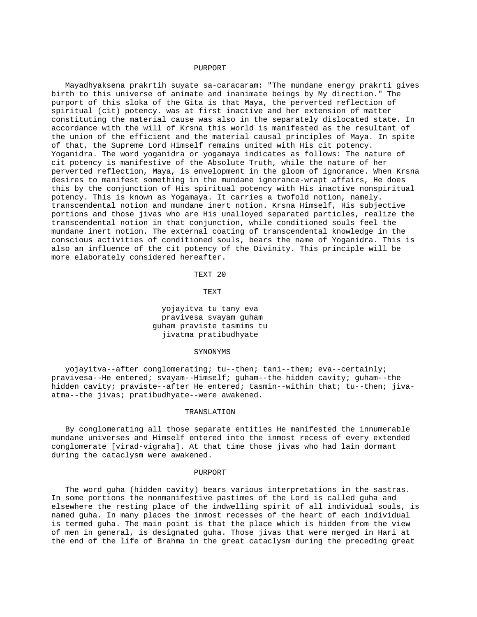## PURPORT

 Mayadhyaksena prakrtih suyate sa-caracaram: "The mundane energy prakrti gives birth to this universe of animate and inanimate beings by My direction." The purport of this sloka of the Gita is that Maya, the perverted reflection of spiritual (cit) potency. was at first inactive and her extension of matter constituting the material cause was also in the separately dislocated state. In accordance with the will of Krsna this world is manifested as the resultant of the union of the efficient and the material causal principles of Maya. In spite of that, the Supreme Lord Himself remains united with His cit potency. Yoganidra. The word yoganidra or yogamaya indicates as follows: The nature of cit potency is manifestive of the Absolute Truth, while the nature of her perverted reflection, Maya, is envelopment in the gloom of ignorance. When Krsna desires to manifest something in the mundane ignorance-wrapt affairs, He does this by the conjunction of His spiritual potency with His inactive nonspiritual potency. This is known as Yogamaya. It carries a twofold notion, namely. transcendental notion and mundane inert notion. Krsna Himself, His subjective portions and those jivas who are His unalloyed separated particles, realize the transcendental notion in that conjunction, while conditioned souls feel the mundane inert notion. The external coating of transcendental knowledge in the conscious activities of conditioned souls, bears the name of Yoganidra. This is also an influence of the cit potency of the Divinity. This principle will be more elaborately considered hereafter.

## TEXT 20

# TEXT

# yojayitva tu tany eva pravivesa svayam guham guham praviste tasmims tu jivatma pratibudhyate

# SYNONYMS

 yojayitva--after conglomerating; tu--then; tani--them; eva--certainly; pravivesa--He entered; svayam--Himself; guham--the hidden cavity; guham--the hidden cavity; praviste--after He entered; tasmin--within that; tu--then; jivaatma--the jivas; pratibudhyate--were awakened.

#### TRANSLATION

 By conglomerating all those separate entities He manifested the innumerable mundane universes and Himself entered into the inmost recess of every extended conglomerate [virad-vigraha]. At that time those jivas who had lain dormant during the cataclysm were awakened.

#### PURPORT

 The word guha (hidden cavity) bears various interpretations in the sastras. In some portions the nonmanifestive pastimes of the Lord is called guha and elsewhere the resting place of the indwelling spirit of all individual souls, is named guha. In many places the inmost recesses of the heart of each individual is termed guha. The main point is that the place which is hidden from the view of men in general, is designated guha. Those jivas that were merged in Hari at the end of the life of Brahma in the great cataclysm during the preceding great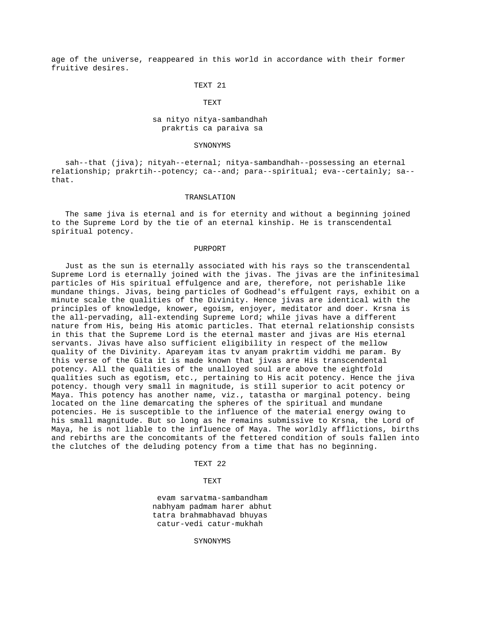age of the universe, reappeared in this world in accordance with their former fruitive desires.

# TEXT 21

# TEXT

# sa nityo nitya-sambandhah prakrtis ca paraiva sa

#### SYNONYMS

sah--that (jiva); nityah--eternal; nitya-sambandhah--possessing an eternal relationship; prakrtih--potency; ca--and; para--spiritual; eva--certainly; sa- that.

### TRANSLATION

 The same jiva is eternal and is for eternity and without a beginning joined to the Supreme Lord by the tie of an eternal kinship. He is transcendental spiritual potency.

# PURPORT

 Just as the sun is eternally associated with his rays so the transcendental Supreme Lord is eternally joined with the jivas. The jivas are the infinitesimal particles of His spiritual effulgence and are, therefore, not perishable like mundane things. Jivas, being particles of Godhead's effulgent rays, exhibit on a minute scale the qualities of the Divinity. Hence jivas are identical with the principles of knowledge, knower, egoism, enjoyer, meditator and doer. Krsna is the all-pervading, all-extending Supreme Lord; while jivas have a different nature from His, being His atomic particles. That eternal relationship consists in this that the Supreme Lord is the eternal master and jivas are His eternal servants. Jivas have also sufficient eligibility in respect of the mellow quality of the Divinity. Apareyam itas tv anyam prakrtim viddhi me param. By this verse of the Gita it is made known that jivas are His transcendental potency. All the qualities of the unalloyed soul are above the eightfold qualities such as egotism, etc., pertaining to His acit potency. Hence the jiva potency. though very small in magnitude, is still superior to acit potency or Maya. This potency has another name, viz., tatastha or marginal potency. being located on the line demarcating the spheres of the spiritual and mundane potencies. He is susceptible to the influence of the material energy owing to his small magnitude. But so long as he remains submissive to Krsna, the Lord of Maya, he is not liable to the influence of Maya. The worldly afflictions, births and rebirths are the concomitants of the fettered condition of souls fallen into the clutches of the deluding potency from a time that has no beginning.

# TEXT 22

# TEXT

 evam sarvatma-sambandham nabhyam padmam harer abhut tatra brahmabhavad bhuyas catur-vedi catur-mukhah

SYNONYMS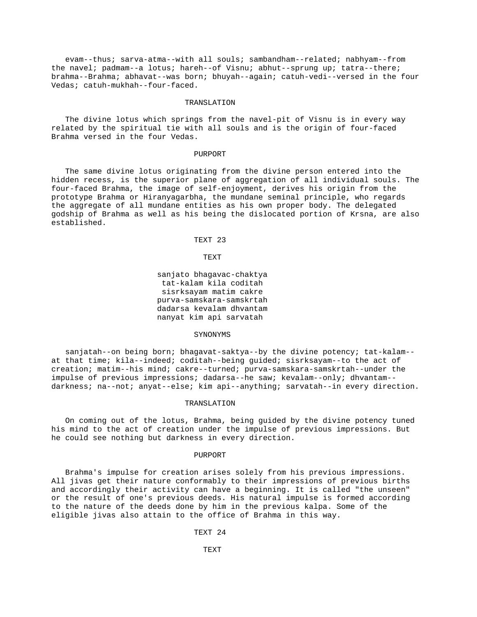evam--thus; sarva-atma--with all souls; sambandham--related; nabhyam--from the navel; padmam--a lotus; hareh--of Visnu; abhut--sprung up; tatra--there; brahma--Brahma; abhavat--was born; bhuyah--again; catuh-vedi--versed in the four Vedas; catuh-mukhah--four-faced.

# TRANSLATION

 The divine lotus which springs from the navel-pit of Visnu is in every way related by the spiritual tie with all souls and is the origin of four-faced Brahma versed in the four Vedas.

### PURPORT

 The same divine lotus originating from the divine person entered into the hidden recess, is the superior plane of aggregation of all individual souls. The four-faced Brahma, the image of self-enjoyment, derives his origin from the prototype Brahma or Hiranyagarbha, the mundane seminal principle, who regards the aggregate of all mundane entities as his own proper body. The delegated godship of Brahma as well as his being the dislocated portion of Krsna, are also established.

#### TEXT 23

# TEXT

 sanjato bhagavac-chaktya tat-kalam kila coditah sisrksayam matim cakre purva-samskara-samskrtah dadarsa kevalam dhvantam nanyat kim api sarvatah

### SYNONYMS

 sanjatah--on being born; bhagavat-saktya--by the divine potency; tat-kalam- at that time; kila--indeed; coditah--being guided; sisrksayam--to the act of creation; matim--his mind; cakre--turned; purva-samskara-samskrtah--under the impulse of previous impressions; dadarsa--he saw; kevalam--only; dhvantam- darkness; na--not; anyat--else; kim api--anything; sarvatah--in every direction.

## TRANSLATION

 On coming out of the lotus, Brahma, being guided by the divine potency tuned his mind to the act of creation under the impulse of previous impressions. But he could see nothing but darkness in every direction.

# PURPORT

 Brahma's impulse for creation arises solely from his previous impressions. All jivas get their nature conformably to their impressions of previous births and accordingly their activity can have a beginning. It is called "the unseen" or the result of one's previous deeds. His natural impulse is formed according to the nature of the deeds done by him in the previous kalpa. Some of the eligible jivas also attain to the office of Brahma in this way.

# TEXT 24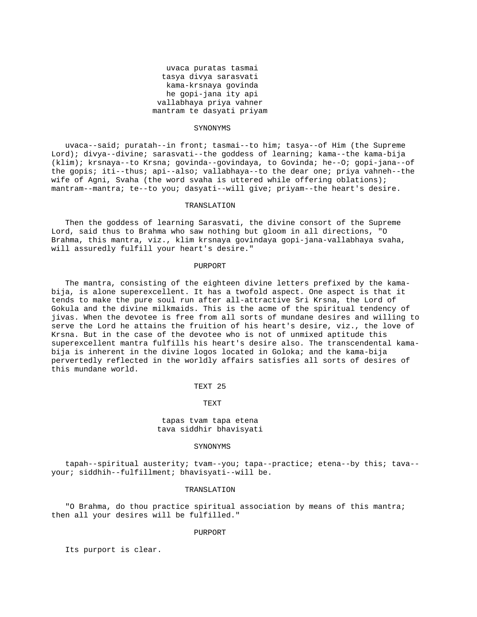uvaca puratas tasmai tasya divya sarasvati kama-krsnaya govinda he gopi-jana ity api vallabhaya priya vahner mantram te dasyati priyam

# SYNONYMS

 uvaca--said; puratah--in front; tasmai--to him; tasya--of Him (the Supreme Lord); divya--divine; sarasvati--the goddess of learning; kama--the kama-bija (klim); krsnaya--to Krsna; govinda--govindaya, to Govinda; he--O; gopi-jana--of the gopis; iti--thus; api--also; vallabhaya--to the dear one; priya vahneh--the wife of Agni, Svaha (the word svaha is uttered while offering oblations); mantram--mantra; te--to you; dasyati--will give; priyam--the heart's desire.

## TRANSLATION

 Then the goddess of learning Sarasvati, the divine consort of the Supreme Lord, said thus to Brahma who saw nothing but gloom in all directions, "O Brahma, this mantra, viz., klim krsnaya govindaya gopi-jana-vallabhaya svaha, will assuredly fulfill your heart's desire."

## PURPORT

 The mantra, consisting of the eighteen divine letters prefixed by the kamabija, is alone superexcellent. It has a twofold aspect. One aspect is that it tends to make the pure soul run after all-attractive Sri Krsna, the Lord of Gokula and the divine milkmaids. This is the acme of the spiritual tendency of jivas. When the devotee is free from all sorts of mundane desires and willing to serve the Lord he attains the fruition of his heart's desire, viz., the love of Krsna. But in the case of the devotee who is not of unmixed aptitude this superexcellent mantra fulfills his heart's desire also. The transcendental kamabija is inherent in the divine logos located in Goloka; and the kama-bija pervertedly reflected in the worldly affairs satisfies all sorts of desires of this mundane world.

# TEXT 25

# TEXT

# tapas tvam tapa etena tava siddhir bhavisyati

# SYNONYMS

 tapah--spiritual austerity; tvam--you; tapa--practice; etena--by this; tava- your; siddhih--fulfillment; bhavisyati--will be.

#### TRANSLATION

 "O Brahma, do thou practice spiritual association by means of this mantra; then all your desires will be fulfilled."

# PURPORT

Its purport is clear.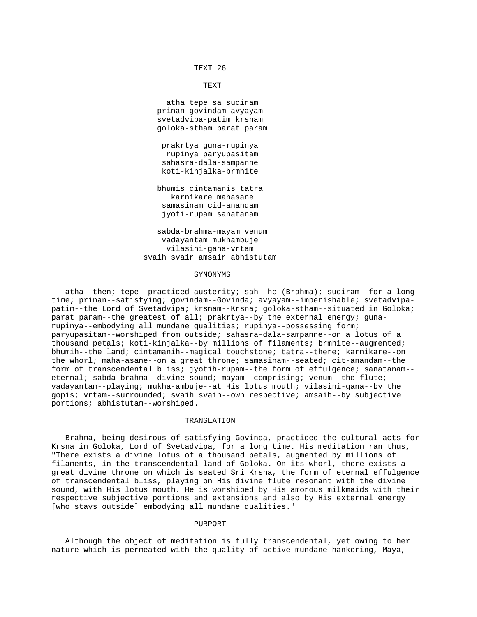TEXT 26

# TEXT

 atha tepe sa suciram prinan govindam avyayam svetadvipa-patim krsnam goloka-stham parat param

 prakrtya guna-rupinya rupinya paryupasitam sahasra-dala-sampanne koti-kinjalka-brmhite

 bhumis cintamanis tatra karnikare mahasane samasinam cid-anandam jyoti-rupam sanatanam

 sabda-brahma-mayam venum vadayantam mukhambuje vilasini-gana-vrtam svaih svair amsair abhistutam

# **SYNONYMS**

 atha--then; tepe--practiced austerity; sah--he (Brahma); suciram--for a long time; prinan--satisfying; govindam--Govinda; avyayam--imperishable; svetadvipapatim--the Lord of Svetadvipa; krsnam--Krsna; goloka-stham--situated in Goloka; parat param--the greatest of all; prakrtya--by the external energy; gunarupinya--embodying all mundane qualities; rupinya--possessing form; paryupasitam--worshiped from outside; sahasra-dala-sampanne--on a lotus of a thousand petals; koti-kinjalka--by millions of filaments; brmhite--augmented; bhumih--the land; cintamanih--magical touchstone; tatra--there; karnikare--on the whorl; maha-asane--on a great throne; samasinam--seated; cit-anandam--the form of transcendental bliss; jyotih-rupam--the form of effulgence; sanatanam- eternal; sabda-brahma--divine sound; mayam--comprising; venum--the flute; vadayantam--playing; mukha-ambuje--at His lotus mouth; vilasini-gana--by the gopis; vrtam--surrounded; svaih svaih--own respective; amsaih--by subjective portions; abhistutam--worshiped.

# TRANSLATION

 Brahma, being desirous of satisfying Govinda, practiced the cultural acts for Krsna in Goloka, Lord of Svetadvipa, for a long time. His meditation ran thus, "There exists a divine lotus of a thousand petals, augmented by millions of filaments, in the transcendental land of Goloka. On its whorl, there exists a great divine throne on which is seated Sri Krsna, the form of eternal effulgence of transcendental bliss, playing on His divine flute resonant with the divine sound, with His lotus mouth. He is worshiped by His amorous milkmaids with their respective subjective portions and extensions and also by His external energy [who stays outside] embodying all mundane qualities."

#### PURPORT

 Although the object of meditation is fully transcendental, yet owing to her nature which is permeated with the quality of active mundane hankering, Maya,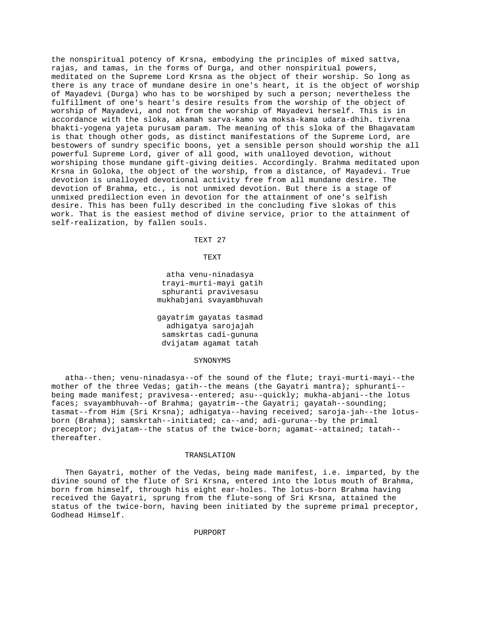the nonspiritual potency of Krsna, embodying the principles of mixed sattva, rajas, and tamas, in the forms of Durga, and other nonspiritual powers, meditated on the Supreme Lord Krsna as the object of their worship. So long as there is any trace of mundane desire in one's heart, it is the object of worship of Mayadevi (Durga) who has to be worshiped by such a person; nevertheless the fulfillment of one's heart's desire results from the worship of the object of worship of Mayadevi, and not from the worship of Mayadevi herself. This is in accordance with the sloka, akamah sarva-kamo va moksa-kama udara-dhih. tivrena bhakti-yogena yajeta purusam param. The meaning of this sloka of the Bhagavatam is that though other gods, as distinct manifestations of the Supreme Lord, are bestowers of sundry specific boons, yet a sensible person should worship the all powerful Supreme Lord, giver of all good, with unalloyed devotion, without worshiping those mundane gift-giving deities. Accordingly. Brahma meditated upon Krsna in Goloka, the object of the worship, from a distance, of Mayadevi. True devotion is unalloyed devotional activity free from all mundane desire. The devotion of Brahma, etc., is not unmixed devotion. But there is a stage of unmixed predilection even in devotion for the attainment of one's selfish desire. This has been fully described in the concluding five slokas of this work. That is the easiest method of divine service, prior to the attainment of self-realization, by fallen souls.

TEXT 27

TEXT

 atha venu-ninadasya trayi-murti-mayi gatih sphuranti pravivesasu mukhabjani svayambhuvah

 gayatrim gayatas tasmad adhigatya sarojajah samskrtas cadi-gununa dvijatam agamat tatah

# SYNONYMS

 atha--then; venu-ninadasya--of the sound of the flute; trayi-murti-mayi--the mother of the three Vedas; gatih--the means (the Gayatri mantra); sphuranti- being made manifest; pravivesa--entered; asu--quickly; mukha-abjani--the lotus faces; svayambhuvah--of Brahma; gayatrim--the Gayatri; gayatah--sounding; tasmat--from Him (Sri Krsna); adhigatya--having received; saroja-jah--the lotusborn (Brahma); samskrtah--initiated; ca--and; adi-guruna--by the primal preceptor; dvijatam--the status of the twice-born; agamat--attained; tatah- thereafter.

# TRANSLATION

 Then Gayatri, mother of the Vedas, being made manifest, i.e. imparted, by the divine sound of the flute of Sri Krsna, entered into the lotus mouth of Brahma, born from himself, through his eight ear-holes. The lotus-born Brahma having received the Gayatri, sprung from the flute-song of Sri Krsna, attained the status of the twice-born, having been initiated by the supreme primal preceptor, Godhead Himself.

PURPORT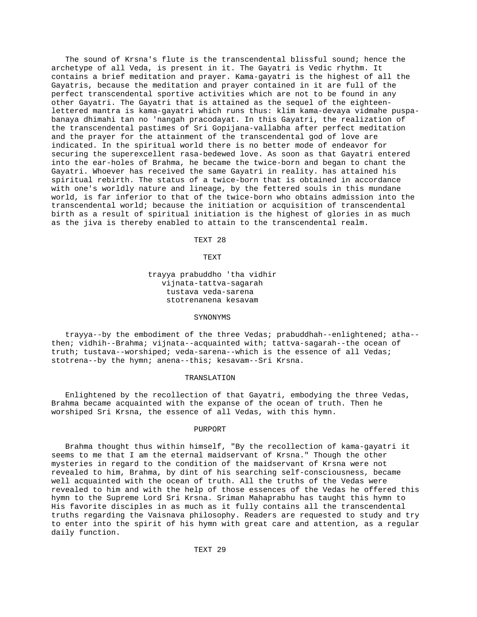The sound of Krsna's flute is the transcendental blissful sound; hence the archetype of all Veda, is present in it. The Gayatri is Vedic rhythm. It contains a brief meditation and prayer. Kama-gayatri is the highest of all the Gayatris, because the meditation and prayer contained in it are full of the perfect transcendental sportive activities which are not to be found in any other Gayatri. The Gayatri that is attained as the sequel of the eighteenlettered mantra is kama-gayatri which runs thus: klim kama-devaya vidmahe puspabanaya dhimahi tan no 'nangah pracodayat. In this Gayatri, the realization of the transcendental pastimes of Sri Gopijana-vallabha after perfect meditation and the prayer for the attainment of the transcendental god of love are indicated. In the spiritual world there is no better mode of endeavor for securing the superexcellent rasa-bedewed love. As soon as that Gayatri entered into the ear-holes of Brahma, he became the twice-born and began to chant the Gayatri. Whoever has received the same Gayatri in reality. has attained his spiritual rebirth. The status of a twice-born that is obtained in accordance with one's worldly nature and lineage, by the fettered souls in this mundane world, is far inferior to that of the twice-born who obtains admission into the transcendental world; because the initiation or acquisition of transcendental birth as a result of spiritual initiation is the highest of glories in as much as the jiva is thereby enabled to attain to the transcendental realm.

### TEXT 28

TEXT

 trayya prabuddho 'tha vidhir vijnata-tattva-sagarah tustava veda-sarena stotrenanena kesavam

## SYNONYMS

 trayya--by the embodiment of the three Vedas; prabuddhah--enlightened; atha- then; vidhih--Brahma; vijnata--acquainted with; tattva-sagarah--the ocean of truth; tustava--worshiped; veda-sarena--which is the essence of all Vedas; stotrena--by the hymn; anena--this; kesavam--Sri Krsna.

#### TRANSLATION

 Enlightened by the recollection of that Gayatri, embodying the three Vedas, Brahma became acquainted with the expanse of the ocean of truth. Then he worshiped Sri Krsna, the essence of all Vedas, with this hymn.

#### PURPORT

 Brahma thought thus within himself, "By the recollection of kama-gayatri it seems to me that I am the eternal maidservant of Krsna." Though the other mysteries in regard to the condition of the maidservant of Krsna were not revealed to him, Brahma, by dint of his searching self-consciousness, became well acquainted with the ocean of truth. All the truths of the Vedas were revealed to him and with the help of those essences of the Vedas he offered this hymn to the Supreme Lord Sri Krsna. Sriman Mahaprabhu has taught this hymn to His favorite disciples in as much as it fully contains all the transcendental truths regarding the Vaisnava philosophy. Readers are requested to study and try to enter into the spirit of his hymn with great care and attention, as a regular daily function.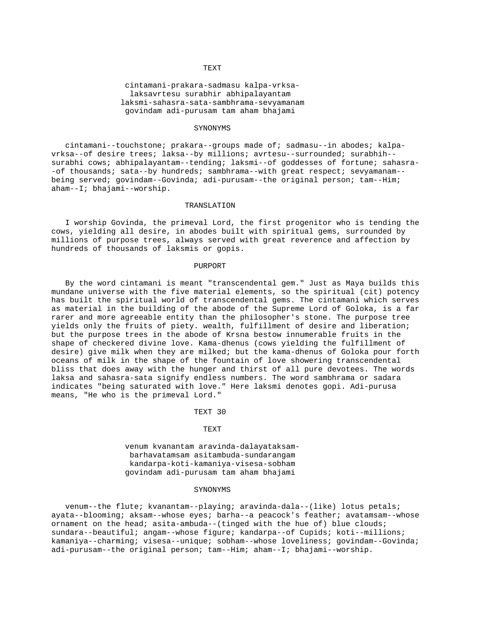# TEXT

# cintamani-prakara-sadmasu kalpa-vrksa laksavrtesu surabhir abhipalayantam laksmi-sahasra-sata-sambhrama-sevyamanam govindam adi-purusam tam aham bhajami

# SYNONYMS

 cintamani--touchstone; prakara--groups made of; sadmasu--in abodes; kalpavrksa--of desire trees; laksa--by millions; avrtesu--surrounded; surabhih- surabhi cows; abhipalayantam--tending; laksmi--of goddesses of fortune; sahasra--of thousands; sata--by hundreds; sambhrama--with great respect; sevyamanam- being served; govindam--Govinda; adi-purusam--the original person; tam--Him; aham--I; bhajami--worship.

### TRANSLATION

 I worship Govinda, the primeval Lord, the first progenitor who is tending the cows, yielding all desire, in abodes built with spiritual gems, surrounded by millions of purpose trees, always served with great reverence and affection by hundreds of thousands of laksmis or gopis.

## PURPORT

 By the word cintamani is meant "transcendental gem." Just as Maya builds this mundane universe with the five material elements, so the spiritual (cit) potency has built the spiritual world of transcendental gems. The cintamani which serves as material in the building of the abode of the Supreme Lord of Goloka, is a far rarer and more agreeable entity than the philosopher's stone. The purpose tree yields only the fruits of piety. wealth, fulfillment of desire and liberation; but the purpose trees in the abode of Krsna bestow innumerable fruits in the shape of checkered divine love. Kama-dhenus (cows yielding the fulfillment of desire) give milk when they are milked; but the kama-dhenus of Goloka pour forth oceans of milk in the shape of the fountain of love showering transcendental bliss that does away with the hunger and thirst of all pure devotees. The words laksa and sahasra-sata signify endless numbers. The word sambhrama or sadara indicates "being saturated with love." Here laksmi denotes gopi. Adi-purusa means, "He who is the primeval Lord."

#### TEXT 30

# TEXT

 venum kvanantam aravinda-dalayataksam barhavatamsam asitambuda-sundarangam kandarpa-koti-kamaniya-visesa-sobham govindam adi-purusam tam aham bhajami

# SYNONYMS

 venum--the flute; kvanantam--playing; aravinda-dala--(like) lotus petals; ayata--blooming; aksam--whose eyes; barha--a peacock's feather; avatamsam--whose ornament on the head; asita-ambuda--(tinged with the hue of) blue clouds; sundara--beautiful; angam--whose figure; kandarpa--of Cupids; koti--millions; kamaniya--charming; visesa--unique; sobham--whose loveliness; govindam--Govinda; adi-purusam--the original person; tam--Him; aham--I; bhajami--worship.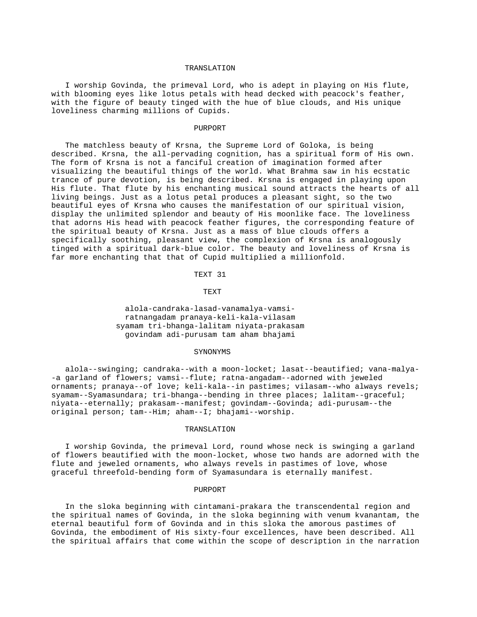# TRANSLATION

 I worship Govinda, the primeval Lord, who is adept in playing on His flute, with blooming eyes like lotus petals with head decked with peacock's feather, with the figure of beauty tinged with the hue of blue clouds, and His unique loveliness charming millions of Cupids.

# PURPORT

 The matchless beauty of Krsna, the Supreme Lord of Goloka, is being described. Krsna, the all-pervading cognition, has a spiritual form of His own. The form of Krsna is not a fanciful creation of imagination formed after visualizing the beautiful things of the world. What Brahma saw in his ecstatic trance of pure devotion, is being described. Krsna is engaged in playing upon His flute. That flute by his enchanting musical sound attracts the hearts of all living beings. Just as a lotus petal produces a pleasant sight, so the two beautiful eyes of Krsna who causes the manifestation of our spiritual vision, display the unlimited splendor and beauty of His moonlike face. The loveliness that adorns His head with peacock feather figures, the corresponding feature of the spiritual beauty of Krsna. Just as a mass of blue clouds offers a specifically soothing, pleasant view, the complexion of Krsna is analogously tinged with a spiritual dark-blue color. The beauty and loveliness of Krsna is far more enchanting that that of Cupid multiplied a millionfold.

## TEXT 31

# TEXT

 alola-candraka-lasad-vanamalya-vamsi ratnangadam pranaya-keli-kala-vilasam syamam tri-bhanga-lalitam niyata-prakasam govindam adi-purusam tam aham bhajami

# SYNONYMS

 alola--swinging; candraka--with a moon-locket; lasat--beautified; vana-malya- -a garland of flowers; vamsi--flute; ratna-angadam--adorned with jeweled ornaments; pranaya--of love; keli-kala--in pastimes; vilasam--who always revels; syamam--Syamasundara; tri-bhanga--bending in three places; lalitam--graceful; niyata--eternally; prakasam--manifest; govindam--Govinda; adi-purusam--the original person; tam--Him; aham--I; bhajami--worship.

### TRANSLATION

 I worship Govinda, the primeval Lord, round whose neck is swinging a garland of flowers beautified with the moon-locket, whose two hands are adorned with the flute and jeweled ornaments, who always revels in pastimes of love, whose graceful threefold-bending form of Syamasundara is eternally manifest.

# PURPORT

 In the sloka beginning with cintamani-prakara the transcendental region and the spiritual names of Govinda, in the sloka beginning with venum kvanantam, the eternal beautiful form of Govinda and in this sloka the amorous pastimes of Govinda, the embodiment of His sixty-four excellences, have been described. All the spiritual affairs that come within the scope of description in the narration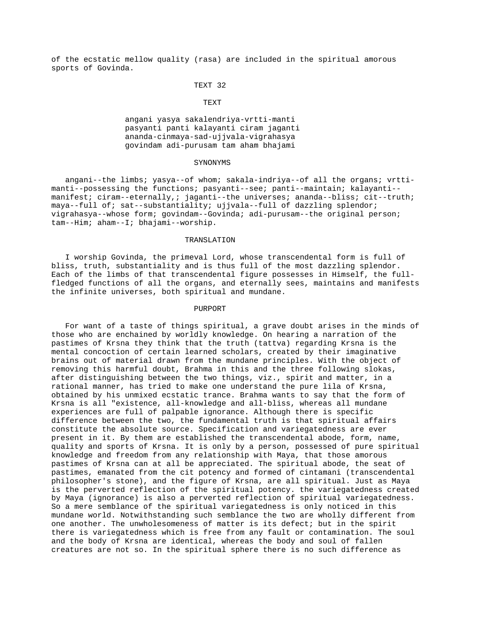of the ecstatic mellow quality (rasa) are included in the spiritual amorous sports of Govinda.

# TEXT 32

# TEXT

 angani yasya sakalendriya-vrtti-manti pasyanti panti kalayanti ciram jaganti ananda-cinmaya-sad-ujjvala-vigrahasya govindam adi-purusam tam aham bhajami

# SYNONYMS

 angani--the limbs; yasya--of whom; sakala-indriya--of all the organs; vrttimanti--possessing the functions; pasyanti--see; panti--maintain; kalayanti- manifest; ciram--eternally,; jaganti--the universes; ananda--bliss; cit--truth; maya--full of; sat--substantiality; ujjvala--full of dazzling splendor; vigrahasya--whose form; govindam--Govinda; adi-purusam--the original person; tam--Him; aham--I; bhajami--worship.

#### TRANSLATION

 I worship Govinda, the primeval Lord, whose transcendental form is full of bliss, truth, substantiality and is thus full of the most dazzling splendor. Each of the limbs of that transcendental figure possesses in Himself, the fullfledged functions of all the organs, and eternally sees, maintains and manifests the infinite universes, both spiritual and mundane.

## PURPORT

 For want of a taste of things spiritual, a grave doubt arises in the minds of those who are enchained by worldly knowledge. On hearing a narration of the pastimes of Krsna they think that the truth (tattva) regarding Krsna is the mental concoction of certain learned scholars, created by their imaginative brains out of material drawn from the mundane principles. With the object of removing this harmful doubt, Brahma in this and the three following slokas, after distinguishing between the two things, viz., spirit and matter, in a rational manner, has tried to make one understand the pure lila of Krsna, obtained by his unmixed ecstatic trance. Brahma wants to say that the form of Krsna is all "existence, all-knowledge and all-bliss, whereas all mundane experiences are full of palpable ignorance. Although there is specific difference between the two, the fundamental truth is that spiritual affairs constitute the absolute source. Specification and variegatedness are ever present in it. By them are established the transcendental abode, form, name, quality and sports of Krsna. It is only by a person, possessed of pure spiritual knowledge and freedom from any relationship with Maya, that those amorous pastimes of Krsna can at all be appreciated. The spiritual abode, the seat of pastimes, emanated from the cit potency and formed of cintamani (transcendental philosopher's stone), and the figure of Krsna, are all spiritual. Just as Maya is the perverted reflection of the spiritual potency. the variegatedness created by Maya (ignorance) is also a perverted reflection of spiritual variegatedness. So a mere semblance of the spiritual variegatedness is only noticed in this mundane world. Notwithstanding such semblance the two are wholly different from one another. The unwholesomeness of matter is its defect; but in the spirit there is variegatedness which is free from any fault or contamination. The soul and the body of Krsna are identical, whereas the body and soul of fallen creatures are not so. In the spiritual sphere there is no such difference as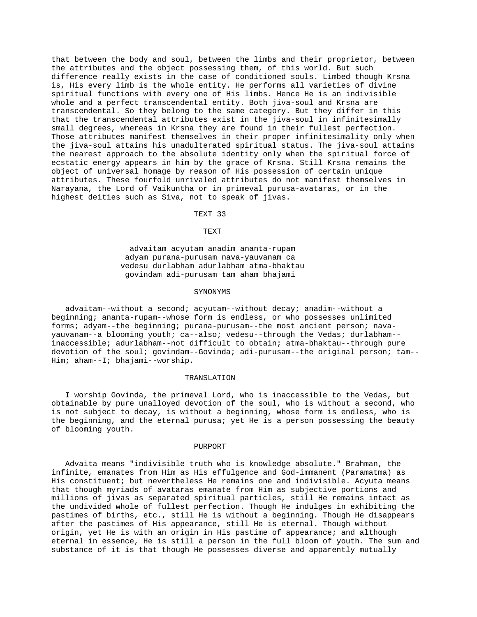that between the body and soul, between the limbs and their proprietor, between the attributes and the object possessing them, of this world. But such difference really exists in the case of conditioned souls. Limbed though Krsna is, His every limb is the whole entity. He performs all varieties of divine spiritual functions with every one of His limbs. Hence He is an indivisible whole and a perfect transcendental entity. Both jiva-soul and Krsna are transcendental. So they belong to the same category. But they differ in this that the transcendental attributes exist in the jiva-soul in infinitesimally small degrees, whereas in Krsna they are found in their fullest perfection. Those attributes manifest themselves in their proper infinitesimality only when the jiva-soul attains his unadulterated spiritual status. The jiva-soul attains the nearest approach to the absolute identity only when the spiritual force of ecstatic energy appears in him by the grace of Krsna. Still Krsna remains the object of universal homage by reason of His possession of certain unique attributes. These fourfold unrivaled attributes do not manifest themselves in Narayana, the Lord of Vaikuntha or in primeval purusa-avataras, or in the highest deities such as Siva, not to speak of jivas.

# TEXT 33

# TEXT

 advaitam acyutam anadim ananta-rupam adyam purana-purusam nava-yauvanam ca vedesu durlabham adurlabham atma-bhaktau govindam adi-purusam tam aham bhajami

#### SYNONYMS

 advaitam--without a second; acyutam--without decay; anadim--without a beginning; ananta-rupam--whose form is endless, or who possesses unlimited forms; adyam--the beginning; purana-purusam--the most ancient person; navayauvanam--a blooming youth; ca--also; vedesu--through the Vedas; durlabham- inaccessible; adurlabham--not difficult to obtain; atma-bhaktau--through pure devotion of the soul; govindam--Govinda; adi-purusam--the original person; tam-- Him; aham--I; bhajami--worship.

#### TRANSLATION

 I worship Govinda, the primeval Lord, who is inaccessible to the Vedas, but obtainable by pure unalloyed devotion of the soul, who is without a second, who is not subject to decay, is without a beginning, whose form is endless, who is the beginning, and the eternal purusa; yet He is a person possessing the beauty of blooming youth.

#### PURPORT

 Advaita means "indivisible truth who is knowledge absolute." Brahman, the infinite, emanates from Him as His effulgence and God-immanent (Paramatma) as His constituent; but nevertheless He remains one and indivisible. Acyuta means that though myriads of avataras emanate from Him as subjective portions and millions of jivas as separated spiritual particles, still He remains intact as the undivided whole of fullest perfection. Though He indulges in exhibiting the pastimes of births, etc., still He is without a beginning. Though He disappears after the pastimes of His appearance, still He is eternal. Though without origin, yet He is with an origin in His pastime of appearance; and although eternal in essence, He is still a person in the full bloom of youth. The sum and substance of it is that though He possesses diverse and apparently mutually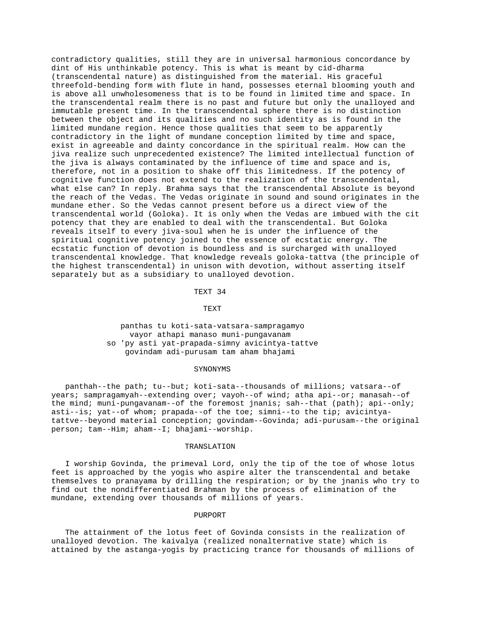contradictory qualities, still they are in universal harmonious concordance by dint of His unthinkable potency. This is what is meant by cid-dharma (transcendental nature) as distinguished from the material. His graceful threefold-bending form with flute in hand, possesses eternal blooming youth and is above all unwholesomeness that is to be found in limited time and space. In the transcendental realm there is no past and future but only the unalloyed and immutable present time. In the transcendental sphere there is no distinction between the object and its qualities and no such identity as is found in the limited mundane region. Hence those qualities that seem to be apparently contradictory in the light of mundane conception limited by time and space, exist in agreeable and dainty concordance in the spiritual realm. How can the jiva realize such unprecedented existence? The limited intellectual function of the jiva is always contaminated by the influence of time and space and is, therefore, not in a position to shake off this limitedness. If the potency of cognitive function does not extend to the realization of the transcendental, what else can? In reply. Brahma says that the transcendental Absolute is beyond the reach of the Vedas. The Vedas originate in sound and sound originates in the mundane ether. So the Vedas cannot present before us a direct view of the transcendental world (Goloka). It is only when the Vedas are imbued with the cit potency that they are enabled to deal with the transcendental. But Goloka reveals itself to every jiva-soul when he is under the influence of the spiritual cognitive potency joined to the essence of ecstatic energy. The ecstatic function of devotion is boundless and is surcharged with unalloyed transcendental knowledge. That knowledge reveals goloka-tattva (the principle of the highest transcendental) in unison with devotion, without asserting itself separately but as a subsidiary to unalloyed devotion.

TEXT 34

# TEXT

# panthas tu koti-sata-vatsara-sampragamyo vayor athapi manaso muni-pungavanam so 'py asti yat-prapada-simny avicintya-tattve govindam adi-purusam tam aham bhajami

# SYNONYMS

 panthah--the path; tu--but; koti-sata--thousands of millions; vatsara--of years; sampragamyah--extending over; vayoh--of wind; atha api--or; manasah--of the mind; muni-pungavanam--of the foremost jnanis; sah--that (path); api--only; asti--is; yat--of whom; prapada--of the toe; simni--to the tip; avicintyatattve--beyond material conception; govindam--Govinda; adi-purusam--the original person; tam--Him; aham--I; bhajami--worship.

# TRANSLATION

 I worship Govinda, the primeval Lord, only the tip of the toe of whose lotus feet is approached by the yogis who aspire alter the transcendental and betake themselves to pranayama by drilling the respiration; or by the jnanis who try to find out the nondifferentiated Brahman by the process of elimination of the mundane, extending over thousands of millions of years.

# PURPORT

 The attainment of the lotus feet of Govinda consists in the realization of unalloyed devotion. The kaivalya (realized nonalternative state) which is attained by the astanga-yogis by practicing trance for thousands of millions of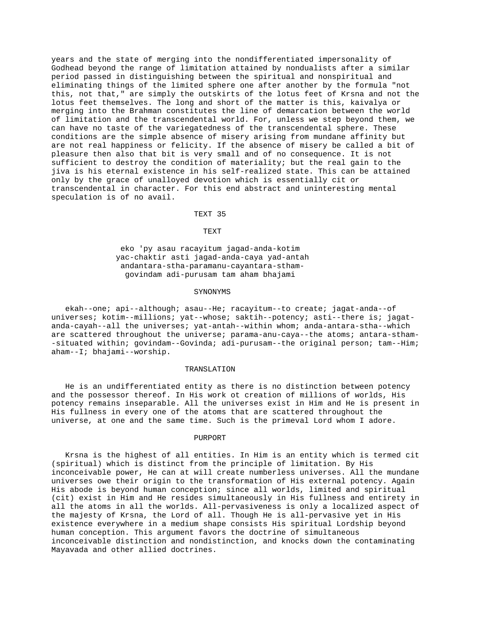years and the state of merging into the nondifferentiated impersonality of Godhead beyond the range of limitation attained by nondualists after a similar period passed in distinguishing between the spiritual and nonspiritual and eliminating things of the limited sphere one after another by the formula "not this, not that," are simply the outskirts of the lotus feet of Krsna and not the lotus feet themselves. The long and short of the matter is this, kaivalya or merging into the Brahman constitutes the line of demarcation between the world of limitation and the transcendental world. For, unless we step beyond them, we can have no taste of the variegatedness of the transcendental sphere. These conditions are the simple absence of misery arising from mundane affinity but are not real happiness or felicity. If the absence of misery be called a bit of pleasure then also that bit is very small and of no consequence. It is not sufficient to destroy the condition of materiality; but the real gain to the jiva is his eternal existence in his self-realized state. This can be attained only by the grace of unalloyed devotion which is essentially cit or transcendental in character. For this end abstract and uninteresting mental speculation is of no avail.

# TEXT 35

# TEXT

 eko 'py asau racayitum jagad-anda-kotim yac-chaktir asti jagad-anda-caya yad-antah andantara-stha-paramanu-cayantara-stham govindam adi-purusam tam aham bhajami

#### SYNONYMS

 ekah--one; api--although; asau--He; racayitum--to create; jagat-anda--of universes; kotim--millions; yat--whose; saktih--potency; asti--there is; jagatanda-cayah--all the universes; yat-antah--within whom; anda-antara-stha--which are scattered throughout the universe; parama-anu-caya--the atoms; antara-stham- -situated within; govindam--Govinda; adi-purusam--the original person; tam--Him; aham--I; bhajami--worship.

### TRANSLATION

 He is an undifferentiated entity as there is no distinction between potency and the possessor thereof. In His work ot creation of millions of worlds, His potency remains inseparable. All the universes exist in Him and He is present in His fullness in every one of the atoms that are scattered throughout the universe, at one and the same time. Such is the primeval Lord whom I adore.

#### PURPORT

 Krsna is the highest of all entities. In Him is an entity which is termed cit (spiritual) which is distinct from the principle of limitation. By His inconceivable power, He can at will create numberless universes. All the mundane universes owe their origin to the transformation of His external potency. Again His abode is beyond human conception; since all worlds, limited and spiritual (cit) exist in Him and He resides simultaneously in His fullness and entirety in all the atoms in all the worlds. All-pervasiveness is only a localized aspect of the majesty of Krsna, the Lord of all. Though He is all-pervasive yet in His existence everywhere in a medium shape consists His spiritual Lordship beyond human conception. This argument favors the doctrine of simultaneous inconceivable distinction and nondistinction, and knocks down the contaminating Mayavada and other allied doctrines.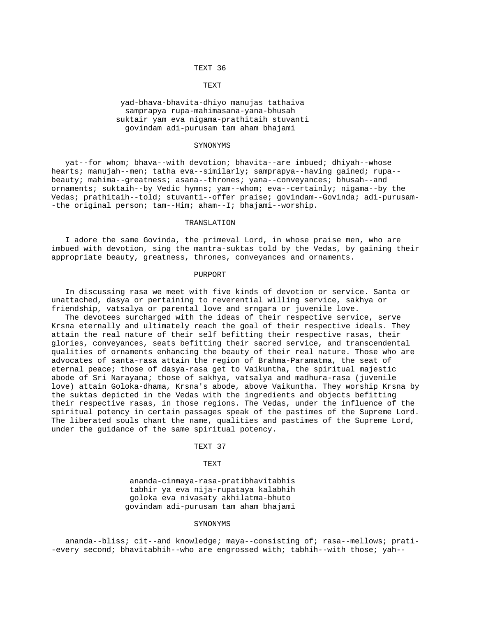#### TEXT 36

# TEXT

# yad-bhava-bhavita-dhiyo manujas tathaiva samprapya rupa-mahimasana-yana-bhusah suktair yam eva nigama-prathitaih stuvanti govindam adi-purusam tam aham bhajami

# SYNONYMS

 yat--for whom; bhava--with devotion; bhavita--are imbued; dhiyah--whose hearts; manujah--men; tatha eva--similarly; samprapya--having gained; rupa- beauty; mahima--greatness; asana--thrones; yana--conveyances; bhusah--and ornaments; suktaih--by Vedic hymns; yam--whom; eva--certainly; nigama--by the Vedas; prathitaih--told; stuvanti--offer praise; govindam--Govinda; adi-purusam- -the original person; tam--Him; aham--I; bhajami--worship.

#### TRANSLATION

 I adore the same Govinda, the primeval Lord, in whose praise men, who are imbued with devotion, sing the mantra-suktas told by the Vedas, by gaining their appropriate beauty, greatness, thrones, conveyances and ornaments.

# PURPORT

 In discussing rasa we meet with five kinds of devotion or service. Santa or unattached, dasya or pertaining to reverential willing service, sakhya or friendship, vatsalya or parental love and srngara or juvenile love.

 The devotees surcharged with the ideas of their respective service, serve Krsna eternally and ultimately reach the goal of their respective ideals. They attain the real nature of their self befitting their respective rasas, their glories, conveyances, seats befitting their sacred service, and transcendental qualities of ornaments enhancing the beauty of their real nature. Those who are advocates of santa-rasa attain the region of Brahma-Paramatma, the seat of eternal peace; those of dasya-rasa get to Vaikuntha, the spiritual majestic abode of Sri Narayana; those of sakhya, vatsalya and madhura-rasa (juvenile love) attain Goloka-dhama, Krsna's abode, above Vaikuntha. They worship Krsna by the suktas depicted in the Vedas with the ingredients and objects befitting their respective rasas, in those regions. The Vedas, under the influence of the spiritual potency in certain passages speak of the pastimes of the Supreme Lord. The liberated souls chant the name, qualities and pastimes of the Supreme Lord, under the guidance of the same spiritual potency.

# TEXT 37

# TEXT

 ananda-cinmaya-rasa-pratibhavitabhis tabhir ya eva nija-rupataya kalabhih goloka eva nivasaty akhilatma-bhuto govindam adi-purusam tam aham bhajami

#### SYNONYMS

 ananda--bliss; cit--and knowledge; maya--consisting of; rasa--mellows; prati- -every second; bhavitabhih--who are engrossed with; tabhih--with those; yah--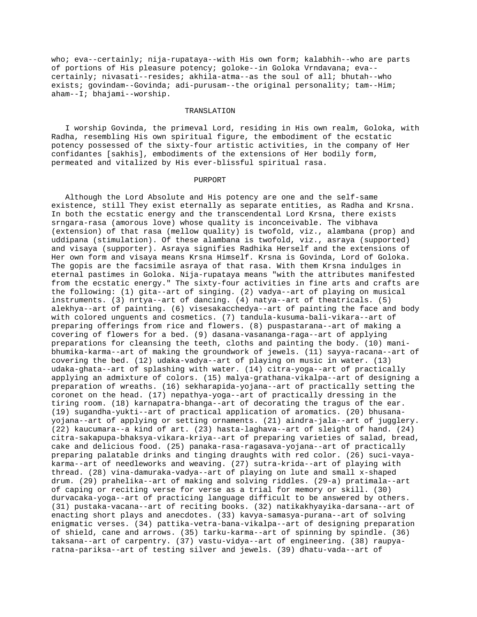who; eva--certainly; nija-rupataya--with His own form; kalabhih--who are parts of portions of His pleasure potency; goloke--in Goloka Vrndavana; eva- certainly; nivasati--resides; akhila-atma--as the soul of all; bhutah--who exists; govindam--Govinda; adi-purusam--the original personality; tam--Him; aham--I; bhajami--worship.

# TRANSLATION

 I worship Govinda, the primeval Lord, residing in His own realm, Goloka, with Radha, resembling His own spiritual figure, the embodiment of the ecstatic potency possessed of the sixty-four artistic activities, in the company of Her confidantes [sakhis], embodiments of the extensions of Her bodily form, permeated and vitalized by His ever-blissful spiritual rasa.

#### PURPORT

 Although the Lord Absolute and His potency are one and the self-same existence, still They exist eternally as separate entities, as Radha and Krsna. In both the ecstatic energy and the transcendental Lord Krsna, there exists srngara-rasa (amorous love) whose quality is inconceivable. The vibhava (extension) of that rasa (mellow quality) is twofold, viz., alambana (prop) and uddipana (stimulation). Of these alambana is twofold, viz., asraya (supported) and visaya (supporter). Asraya signifies Radhika Herself and the extensions of Her own form and visaya means Krsna Himself. Krsna is Govinda, Lord of Goloka. The gopis are the facsimile asraya of that rasa. With them Krsna indulges in eternal pastimes in Goloka. Nija-rupataya means "with the attributes manifested from the ecstatic energy." The sixty-four activities in fine arts and crafts are the following: (1) gita--art of singing. (2) vadya--art of playing on musical instruments. (3) nrtya--art of dancing. (4) natya--art of theatricals. (5) alekhya--art of painting. (6) visesakacchedya--art of painting the face and body with colored unguents and cosmetics. (7) tandula-kusuma-bali-vikara--art of preparing offerings from rice and flowers. (8) puspastarana--art of making a covering of flowers for a bed. (9) dasana-vasananga-raga--art of applying preparations for cleansing the teeth, cloths and painting the body. (10) manibhumika-karma--art of making the groundwork of jewels. (11) sayya-racana--art of covering the bed. (12) udaka-vadya--art of playing on music in water. (13) udaka-ghata--art of splashing with water. (14) citra-yoga--art of practically applying an admixture of colors. (15) malya-grathana-vikalpa--art of designing a preparation of wreaths. (16) sekharapida-yojana--art of practically setting the coronet on the head. (17) nepathya-yoga--art of practically dressing in the tiring room. (18) karnapatra-bhanga--art of decorating the tragus of the ear. (19) sugandha-yukti--art of practical application of aromatics. (20) bhusanayojana--art of applying or setting ornaments. (21) aindra-jala--art of jugglery. (22) kaucumara--a kind of art. (23) hasta-laghava--art of sleight of hand. (24) citra-sakapupa-bhaksya-vikara-kriya--art of preparing varieties of salad, bread, cake and delicious food. (25) panaka-rasa-ragasava-yojana--art of practically preparing palatable drinks and tinging draughts with red color. (26) suci-vayakarma--art of needleworks and weaving. (27) sutra-krida--art of playing with thread. (28) vina-damuraka-vadya--art of playing on lute and small x-shaped drum. (29) prahelika--art of making and solving riddles. (29-a) pratimala--art of caping or reciting verse for verse as a trial for memory or skill. (30) durvacaka-yoga--art of practicing language difficult to be answered by others. (31) pustaka-vacana--art of reciting books. (32) natikakhyayika-darsana--art of enacting short plays and anecdotes. (33) kavya-samasya-purana--art of solving enigmatic verses. (34) pattika-vetra-bana-vikalpa--art of designing preparation of shield, cane and arrows. (35) tarku-karma--art of spinning by spindle. (36) taksana--art of carpentry. (37) vastu-vidya--art of engineering. (38) raupyaratna-pariksa--art of testing silver and jewels. (39) dhatu-vada--art of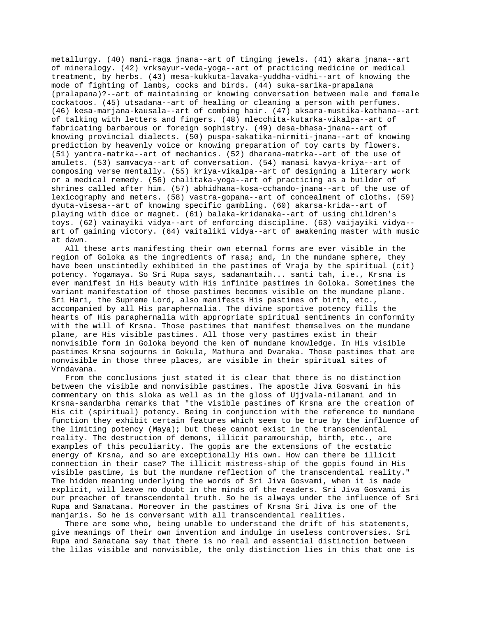metallurgy. (40) mani-raga jnana--art of tinging jewels. (41) akara jnana--art of mineralogy. (42) vrksayur-veda-yoga--art of practicing medicine or medical treatment, by herbs. (43) mesa-kukkuta-lavaka-yuddha-vidhi--art of knowing the mode of fighting of lambs, cocks and birds. (44) suka-sarika-prapalana (pralapana)?--art of maintaining or knowing conversation between male and female cockatoos. (45) utsadana--art of healing or cleaning a person with perfumes. (46) kesa-marjana-kausala--art of combing hair. (47) aksara-mustika-kathana--art of talking with letters and fingers. (48) mlecchita-kutarka-vikalpa--art of fabricating barbarous or foreign sophistry. (49) desa-bhasa-jnana--art of knowing provincial dialects. (50) puspa-sakatika-nirmiti-jnana--art of knowing prediction by heavenly voice or knowing preparation of toy carts by flowers. (51) yantra-matrka--art of mechanics. (52) dharana-matrka--art of the use of amulets. (53) samvacya--art of conversation. (54) manasi kavya-kriya--art of composing verse mentally. (55) kriya-vikalpa--art of designing a literary work or a medical remedy. (56) chalitaka-yoga--art of practicing as a builder of shrines called after him. (57) abhidhana-kosa-cchando-jnana--art of the use of lexicography and meters. (58) vastra-gopana--art of concealment of cloths. (59) dyuta-visesa--art of knowing specific gambling. (60) akarsa-krida--art of playing with dice or magnet. (61) balaka-kridanaka--art of using children's toys. (62) vainayiki vidya--art of enforcing discipline. (63) vaijayiki vidya- art of gaining victory. (64) vaitaliki vidya--art of awakening master with music at dawn.

 All these arts manifesting their own eternal forms are ever visible in the region of Goloka as the ingredients of rasa; and, in the mundane sphere, they have been unstintedly exhibited in the pastimes of Vraja by the spiritual (cit) potency. Yogamaya. So Sri Rupa says, sadanantaih... santi tah, i.e., Krsna is ever manifest in His beauty with His infinite pastimes in Goloka. Sometimes the variant manifestation of those pastimes becomes visible on the mundane plane. Sri Hari, the Supreme Lord, also manifests His pastimes of birth, etc., accompanied by all His paraphernalia. The divine sportive potency fills the hearts of His paraphernalia with appropriate spiritual sentiments in conformity with the will of Krsna. Those pastimes that manifest themselves on the mundane plane, are His visible pastimes. All those very pastimes exist in their nonvisible form in Goloka beyond the ken of mundane knowledge. In His visible pastimes Krsna sojourns in Gokula, Mathura and Dvaraka. Those pastimes that are nonvisible in those three places, are visible in their spiritual sites of Vrndavana.

 From the conclusions just stated it is clear that there is no distinction between the visible and nonvisible pastimes. The apostle Jiva Gosvami in his commentary on this sloka as well as in the gloss of Ujjvala-nilamani and in Krsna-sandarbha remarks that "the visible pastimes of Krsna are the creation of His cit (spiritual) potency. Being in conjunction with the reference to mundane function they exhibit certain features which seem to be true by the influence of the limiting potency (Maya); but these cannot exist in the transcendental reality. The destruction of demons, illicit paramourship, birth, etc., are examples of this peculiarity. The gopis are the extensions of the ecstatic energy of Krsna, and so are exceptionally His own. How can there be illicit connection in their case? The illicit mistress-ship of the gopis found in His visible pastime, is but the mundane reflection of the transcendental reality." The hidden meaning underlying the words of Sri Jiva Gosvami, when it is made explicit, will leave no doubt in the minds of the readers. Sri Jiva Gosvami is our preacher of transcendental truth. So he is always under the influence of Sri Rupa and Sanatana. Moreover in the pastimes of Krsna Sri Jiva is one of the manjaris. So he is conversant with all transcendental realities.

 There are some who, being unable to understand the drift of his statements, give meanings of their own invention and indulge in useless controversies. Sri Rupa and Sanatana say that there is no real and essential distinction between the lilas visible and nonvisible, the only distinction lies in this that one is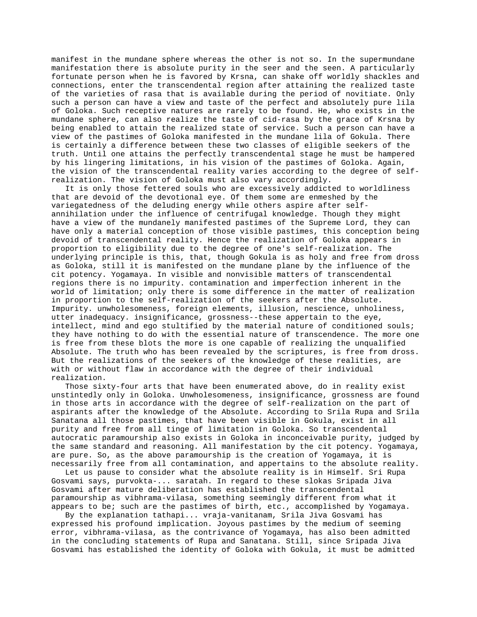manifest in the mundane sphere whereas the other is not so. In the supermundane manifestation there is absolute purity in the seer and the seen. A particularly fortunate person when he is favored by Krsna, can shake off worldly shackles and connections, enter the transcendental region after attaining the realized taste of the varieties of rasa that is available during the period of novitiate. Only such a person can have a view and taste of the perfect and absolutely pure lila of Goloka. Such receptive natures are rarely to be found. He, who exists in the mundane sphere, can also realize the taste of cid-rasa by the grace of Krsna by being enabled to attain the realized state of service. Such a person can have a view of the pastimes of Goloka manifested in the mundane lila of Gokula. There is certainly a difference between these two classes of eligible seekers of the truth. Until one attains the perfectly transcendental stage he must be hampered by his lingering limitations, in his vision of the pastimes of Goloka. Again, the vision of the transcendental reality varies according to the degree of selfrealization. The vision of Goloka must also vary accordingly.

 It is only those fettered souls who are excessively addicted to worldliness that are devoid of the devotional eye. Of them some are enmeshed by the variegatedness of the deluding energy while others aspire after selfannihilation under the influence of centrifugal knowledge. Though they might have a view of the mundanely manifested pastimes of the Supreme Lord, they can have only a material conception of those visible pastimes, this conception being devoid of transcendental reality. Hence the realization of Goloka appears in proportion to eligibility due to the degree of one's self-realization. The underlying principle is this, that, though Gokula is as holy and free from dross as Goloka, still it is manifested on the mundane plane by the influence of the cit potency. Yogamaya. In visible and nonvisible matters of transcendental regions there is no impurity. contamination and imperfection inherent in the world of limitation; only there is some difference in the matter of realization in proportion to the self-realization of the seekers after the Absolute. Impurity. unwholesomeness, foreign elements, illusion, nescience, unholiness, utter inadequacy. insignificance, grossness--these appertain to the eye, intellect, mind and ego stultified by the material nature of conditioned souls; they have nothing to do with the essential nature of transcendence. The more one is free from these blots the more is one capable of realizing the unqualified Absolute. The truth who has been revealed by the scriptures, is free from dross. But the realizations of the seekers of the knowledge of these realities, are with or without flaw in accordance with the degree of their individual realization.

 Those sixty-four arts that have been enumerated above, do in reality exist unstintedly only in Goloka. Unwholesomeness, insignificance, grossness are found in those arts in accordance with the degree of self-realization on the part of aspirants after the knowledge of the Absolute. According to Srila Rupa and Srila Sanatana all those pastimes, that have been visible in Gokula, exist in all purity and free from all tinge of limitation in Goloka. So transcendental autocratic paramourship also exists in Goloka in inconceivable purity, judged by the same standard and reasoning. All manifestation by the cit potency. Yogamaya, are pure. So, as the above paramourship is the creation of Yogamaya, it is necessarily free from all contamination, and appertains to the absolute reality.

 Let us pause to consider what the absolute reality is in Himself. Sri Rupa Gosvami says, purvokta-... saratah. In regard to these slokas Sripada Jiva Gosvami after mature deliberation has established the transcendental paramourship as vibhrama-vilasa, something seemingly different from what it appears to be; such are the pastimes of birth, etc., accomplished by Yogamaya.

 By the explanation tathapi... vraja-vanitanam, Srila Jiva Gosvami has expressed his profound implication. Joyous pastimes by the medium of seeming error, vibhrama-vilasa, as the contrivance of Yogamaya, has also been admitted in the concluding statements of Rupa and Sanatana. Still, since Sripada Jiva Gosvami has established the identity of Goloka with Gokula, it must be admitted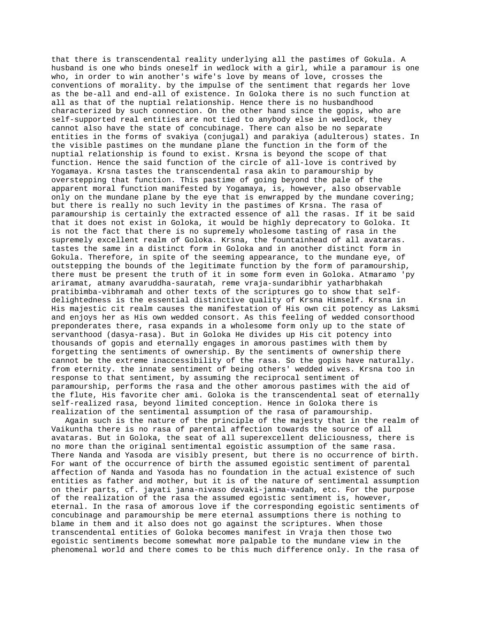that there is transcendental reality underlying all the pastimes of Gokula. A husband is one who binds oneself in wedlock with a girl, while a paramour is one who, in order to win another's wife's love by means of love, crosses the conventions of morality. by the impulse of the sentiment that regards her love as the be-all and end-all of existence. In Goloka there is no such function at all as that of the nuptial relationship. Hence there is no husbandhood characterized by such connection. On the other hand since the gopis, who are self-supported real entities are not tied to anybody else in wedlock, they cannot also have the state of concubinage. There can also be no separate entities in the forms of svakiya (conjugal) and parakiya (adulterous) states. In the visible pastimes on the mundane plane the function in the form of the nuptial relationship is found to exist. Krsna is beyond the scope of that function. Hence the said function of the circle of all-love is contrived by Yogamaya. Krsna tastes the transcendental rasa akin to paramourship by overstepping that function. This pastime of going beyond the pale of the apparent moral function manifested by Yogamaya, is, however, also observable only on the mundane plane by the eye that is enwrapped by the mundane covering; but there is really no such levity in the pastimes of Krsna. The rasa of paramourship is certainly the extracted essence of all the rasas. If it be said that it does not exist in Goloka, it would be highly deprecatory to Goloka. It is not the fact that there is no supremely wholesome tasting of rasa in the supremely excellent realm of Goloka. Krsna, the fountainhead of all avataras. tastes the same in a distinct form in Goloka and in another distinct form in Gokula. Therefore, in spite of the seeming appearance, to the mundane eye, of outstepping the bounds of the legitimate function by the form of paramourship, there must be present the truth of it in some form even in Goloka. Atmaramo 'py ariramat, atmany avaruddha-sauratah, reme vraja-sundaribhir yatharbhakah pratibimba-vibhramah and other texts of the scriptures go to show that selfdelightedness is the essential distinctive quality of Krsna Himself. Krsna in His majestic cit realm causes the manifestation of His own cit potency as Laksmi and enjoys her as His own wedded consort. As this feeling of wedded consorthood preponderates there, rasa expands in a wholesome form only up to the state of servanthood (dasya-rasa). But in Goloka He divides up His cit potency into thousands of gopis and eternally engages in amorous pastimes with them by forgetting the sentiments of ownership. By the sentiments of ownership there cannot be the extreme inaccessibility of the rasa. So the gopis have naturally. from eternity. the innate sentiment of being others' wedded wives. Krsna too in response to that sentiment, by assuming the reciprocal sentiment of paramourship, performs the rasa and the other amorous pastimes with the aid of the flute, His favorite cher ami. Goloka is the transcendental seat of eternally self-realized rasa, beyond limited conception. Hence in Goloka there is realization of the sentimental assumption of the rasa of paramourship.

 Again such is the nature of the principle of the majesty that in the realm of Vaikuntha there is no rasa of parental affection towards the source of all avataras. But in Goloka, the seat of all superexcellent deliciousness, there is no more than the original sentimental egoistic assumption of the same rasa. There Nanda and Yasoda are visibly present, but there is no occurrence of birth. For want of the occurrence of birth the assumed egoistic sentiment of parental affection of Nanda and Yasoda has no foundation in the actual existence of such entities as father and mother, but it is of the nature of sentimental assumption on their parts, cf. jayati jana-nivaso devaki-janma-vadah, etc. For the purpose of the realization of the rasa the assumed egoistic sentiment is, however, eternal. In the rasa of amorous love if the corresponding egoistic sentiments of concubinage and paramourship be mere eternal assumptions there is nothing to blame in them and it also does not go against the scriptures. When those transcendental entities of Goloka becomes manifest in Vraja then those two egoistic sentiments become somewhat more palpable to the mundane view in the phenomenal world and there comes to be this much difference only. In the rasa of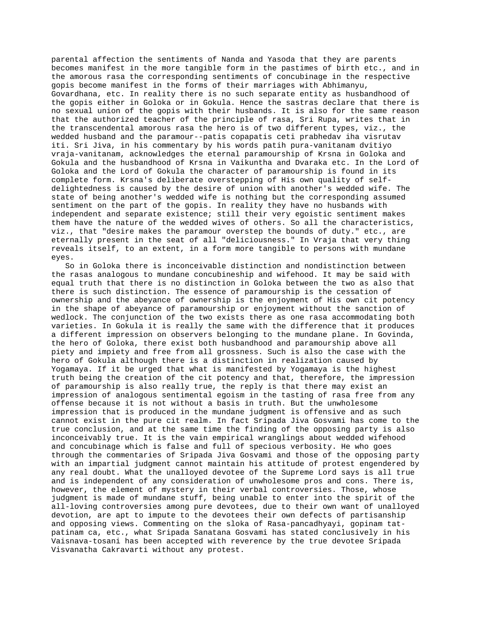parental affection the sentiments of Nanda and Yasoda that they are parents becomes manifest in the more tangible form in the pastimes of birth etc., and in the amorous rasa the corresponding sentiments of concubinage in the respective gopis become manifest in the forms of their marriages with Abhimanyu, Govardhana, etc. In reality there is no such separate entity as husbandhood of the gopis either in Goloka or in Gokula. Hence the sastras declare that there is no sexual union of the gopis with their husbands. It is also for the same reason that the authorized teacher of the principle of rasa, Sri Rupa, writes that in the transcendental amorous rasa the hero is of two different types, viz., the wedded husband and the paramour--patis copapatis ceti prabhedav iha visrutav iti. Sri Jiva, in his commentary by his words patih pura-vanitanam dvitiyo vraja-vanitanam, acknowledges the eternal paramourship of Krsna in Goloka and Gokula and the husbandhood of Krsna in Vaikuntha and Dvaraka etc. In the Lord of Goloka and the Lord of Gokula the character of paramourship is found in its complete form. Krsna's deliberate overstepping of His own quality of selfdelightedness is caused by the desire of union with another's wedded wife. The state of being another's wedded wife is nothing but the corresponding assumed sentiment on the part of the gopis. In reality they have no husbands with independent and separate existence; still their very egoistic sentiment makes them have the nature of the wedded wives of others. So all the characteristics, viz., that "desire makes the paramour overstep the bounds of duty." etc., are eternally present in the seat of all "deliciousness." In Vraja that very thing reveals itself, to an extent, in a form more tangible to persons with mundane eyes.

 So in Goloka there is inconceivable distinction and nondistinction between the rasas analogous to mundane concubineship and wifehood. It may be said with equal truth that there is no distinction in Goloka between the two as also that there is such distinction. The essence of paramourship is the cessation of ownership and the abeyance of ownership is the enjoyment of His own cit potency in the shape of abeyance of paramourship or enjoyment without the sanction of wedlock. The conjunction of the two exists there as one rasa accommodating both varieties. In Gokula it is really the same with the difference that it produces a different impression on observers belonging to the mundane plane. In Govinda, the hero of Goloka, there exist both husbandhood and paramourship above all piety and impiety and free from all grossness. Such is also the case with the hero of Gokula although there is a distinction in realization caused by Yogamaya. If it be urged that what is manifested by Yogamaya is the highest truth being the creation of the cit potency and that, therefore, the impression of paramourship is also really true, the reply is that there may exist an impression of analogous sentimental egoism in the tasting of rasa free from any offense because it is not without a basis in truth. But the unwholesome impression that is produced in the mundane judgment is offensive and as such cannot exist in the pure cit realm. In fact Sripada Jiva Gosvami has come to the true conclusion, and at the same time the finding of the opposing party is also inconceivably true. It is the vain empirical wranglings about wedded wifehood and concubinage which is false and full of specious verbosity. He who goes through the commentaries of Sripada Jiva Gosvami and those of the opposing party with an impartial judgment cannot maintain his attitude of protest engendered by any real doubt. What the unalloyed devotee of the Supreme Lord says is all true and is independent of any consideration of unwholesome pros and cons. There is, however, the element of mystery in their verbal controversies. Those, whose judgment is made of mundane stuff, being unable to enter into the spirit of the all-loving controversies among pure devotees, due to their own want of unalloyed devotion, are apt to impute to the devotees their own defects of partisanship and opposing views. Commenting on the sloka of Rasa-pancadhyayi, gopinam tatpatinam ca, etc., what Sripada Sanatana Gosvami has stated conclusively in his Vaisnava-tosani has been accepted with reverence by the true devotee Sripada Visvanatha Cakravarti without any protest.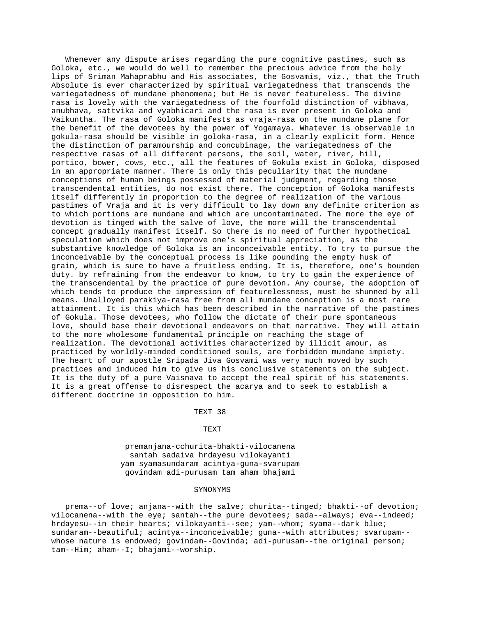Whenever any dispute arises regarding the pure cognitive pastimes, such as Goloka, etc., we would do well to remember the precious advice from the holy lips of Sriman Mahaprabhu and His associates, the Gosvamis, viz., that the Truth Absolute is ever characterized by spiritual variegatedness that transcends the variegatedness of mundane phenomena; but He is never featureless. The divine rasa is lovely with the variegatedness of the fourfold distinction of vibhava, anubhava, sattvika and vyabhicari and the rasa is ever present in Goloka and Vaikuntha. The rasa of Goloka manifests as vraja-rasa on the mundane plane for the benefit of the devotees by the power of Yogamaya. Whatever is observable in gokula-rasa should be visible in goloka-rasa, in a clearly explicit form. Hence the distinction of paramourship and concubinage, the variegatedness of the respective rasas of all different persons, the soil, water, river, hill, portico, bower, cows, etc., all the features of Gokula exist in Goloka, disposed in an appropriate manner. There is only this peculiarity that the mundane conceptions of human beings possessed of material judgment, regarding those transcendental entities, do not exist there. The conception of Goloka manifests itself differently in proportion to the degree of realization of the various pastimes of Vraja and it is very difficult to lay down any definite criterion as to which portions are mundane and which are uncontaminated. The more the eye of devotion is tinged with the salve of love, the more will the transcendental concept gradually manifest itself. So there is no need of further hypothetical speculation which does not improve one's spiritual appreciation, as the substantive knowledge of Goloka is an inconceivable entity. To try to pursue the inconceivable by the conceptual process is like pounding the empty husk of grain, which is sure to have a fruitless ending. It is, therefore, one's bounden duty. by refraining from the endeavor to know, to try to gain the experience of the transcendental by the practice of pure devotion. Any course, the adoption of which tends to produce the impression of featurelessness, must be shunned by all means. Unalloyed parakiya-rasa free from all mundane conception is a most rare attainment. It is this which has been described in the narrative of the pastimes of Gokula. Those devotees, who follow the dictate of their pure spontaneous love, should base their devotional endeavors on that narrative. They will attain to the more wholesome fundamental principle on reaching the stage of realization. The devotional activities characterized by illicit amour, as practiced by worldly-minded conditioned souls, are forbidden mundane impiety. The heart of our apostle Sripada Jiva Gosvami was very much moved by such practices and induced him to give us his conclusive statements on the subject. It is the duty of a pure Vaisnava to accept the real spirit of his statements. It is a great offense to disrespect the acarya and to seek to establish a different doctrine in opposition to him.

#### TEXT 38

# TEXT

 premanjana-cchurita-bhakti-vilocanena santah sadaiva hrdayesu vilokayanti yam syamasundaram acintya-guna-svarupam govindam adi-purusam tam aham bhajami

# SYNONYMS

prema--of love; anjana--with the salve; churita--tinged; bhakti--of devotion; vilocanena--with the eye; santah--the pure devotees; sada--always; eva--indeed; hrdayesu--in their hearts; vilokayanti--see; yam--whom; syama--dark blue; sundaram--beautiful; acintya--inconceivable; guna--with attributes; svarupam- whose nature is endowed; govindam--Govinda; adi-purusam--the original person; tam--Him; aham--I; bhajami--worship.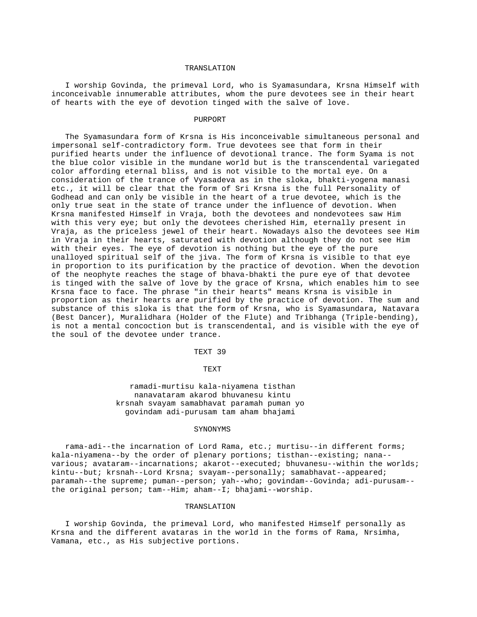### TRANSLATION

 I worship Govinda, the primeval Lord, who is Syamasundara, Krsna Himself with inconceivable innumerable attributes, whom the pure devotees see in their heart of hearts with the eye of devotion tinged with the salve of love.

### PURPORT

 The Syamasundara form of Krsna is His inconceivable simultaneous personal and impersonal self-contradictory form. True devotees see that form in their purified hearts under the influence of devotional trance. The form Syama is not the blue color visible in the mundane world but is the transcendental variegated color affording eternal bliss, and is not visible to the mortal eye. On a consideration of the trance of Vyasadeva as in the sloka, bhakti-yogena manasi etc., it will be clear that the form of Sri Krsna is the full Personality of Godhead and can only be visible in the heart of a true devotee, which is the only true seat in the state of trance under the influence of devotion. When Krsna manifested Himself in Vraja, both the devotees and nondevotees saw Him with this very eye; but only the devotees cherished Him, eternally present in Vraja, as the priceless jewel of their heart. Nowadays also the devotees see Him in Vraja in their hearts, saturated with devotion although they do not see Him with their eyes. The eye of devotion is nothing but the eye of the pure unalloyed spiritual self of the jiva. The form of Krsna is visible to that eye in proportion to its purification by the practice of devotion. When the devotion of the neophyte reaches the stage of bhava-bhakti the pure eye of that devotee is tinged with the salve of love by the grace of Krsna, which enables him to see Krsna face to face. The phrase "in their hearts" means Krsna is visible in proportion as their hearts are purified by the practice of devotion. The sum and substance of this sloka is that the form of Krsna, who is Syamasundara, Natavara (Best Dancer), Muralidhara (Holder of the Flute) and Tribhanga (Triple-bending), is not a mental concoction but is transcendental, and is visible with the eye of the soul of the devotee under trance.

### TEXT 39

# TEXT

 ramadi-murtisu kala-niyamena tisthan nanavataram akarod bhuvanesu kintu krsnah svayam samabhavat paramah puman yo govindam adi-purusam tam aham bhajami

#### SYNONYMS

 rama-adi--the incarnation of Lord Rama, etc.; murtisu--in different forms; kala-niyamena--by the order of plenary portions; tisthan--existing; nana- various; avataram--incarnations; akarot--executed; bhuvanesu--within the worlds; kintu--but; krsnah--Lord Krsna; svayam--personally; samabhavat--appeared; paramah--the supreme; puman--person; yah--who; govindam--Govinda; adi-purusam- the original person; tam--Him; aham--I; bhajami--worship.

# TRANSLATION

 I worship Govinda, the primeval Lord, who manifested Himself personally as Krsna and the different avataras in the world in the forms of Rama, Nrsimha, Vamana, etc., as His subjective portions.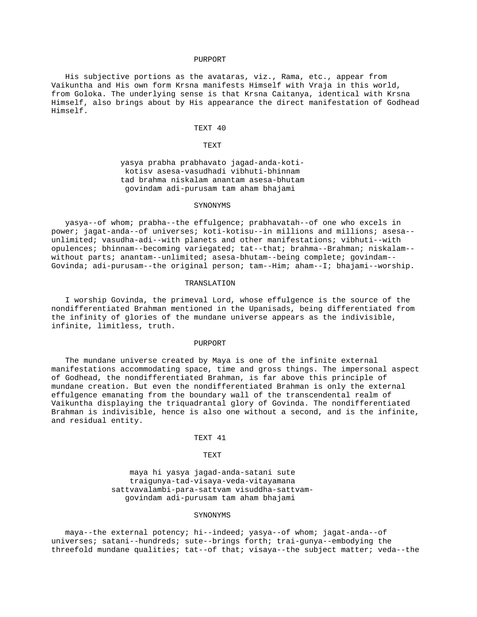# PURPORT

 His subjective portions as the avataras, viz., Rama, etc., appear from Vaikuntha and His own form Krsna manifests Himself with Vraja in this world, from Goloka. The underlying sense is that Krsna Caitanya, identical with Krsna Himself, also brings about by His appearance the direct manifestation of Godhead Himself.

# TEXT 40

# TEXT

# yasya prabha prabhavato jagad-anda-koti kotisv asesa-vasudhadi vibhuti-bhinnam tad brahma niskalam anantam asesa-bhutam govindam adi-purusam tam aham bhajami

# SYNONYMS

 yasya--of whom; prabha--the effulgence; prabhavatah--of one who excels in power; jagat-anda--of universes; koti-kotisu--in millions and millions; asesa- unlimited; vasudha-adi--with planets and other manifestations; vibhuti--with opulences; bhinnam--becoming variegated; tat--that; brahma--Brahman; niskalam- without parts; anantam--unlimited; asesa-bhutam--being complete; govindam-- Govinda; adi-purusam--the original person; tam--Him; aham--I; bhajami--worship.

#### TRANSLATION

 I worship Govinda, the primeval Lord, whose effulgence is the source of the nondifferentiated Brahman mentioned in the Upanisads, being differentiated from the infinity of glories of the mundane universe appears as the indivisible, infinite, limitless, truth.

# PURPORT

 The mundane universe created by Maya is one of the infinite external manifestations accommodating space, time and gross things. The impersonal aspect of Godhead, the nondifferentiated Brahman, is far above this principle of mundane creation. But even the nondifferentiated Brahman is only the external effulgence emanating from the boundary wall of the transcendental realm of Vaikuntha displaying the triquadrantal glory of Govinda. The nondifferentiated Brahman is indivisible, hence is also one without a second, and is the infinite, and residual entity.

#### TEXT 41

# TEXT

 maya hi yasya jagad-anda-satani sute traigunya-tad-visaya-veda-vitayamana sattvavalambi-para-sattvam visuddha-sattvam govindam adi-purusam tam aham bhajami

# SYNONYMS

 maya--the external potency; hi--indeed; yasya--of whom; jagat-anda--of universes; satani--hundreds; sute--brings forth; trai-gunya--embodying the threefold mundane qualities; tat--of that; visaya--the subject matter; veda--the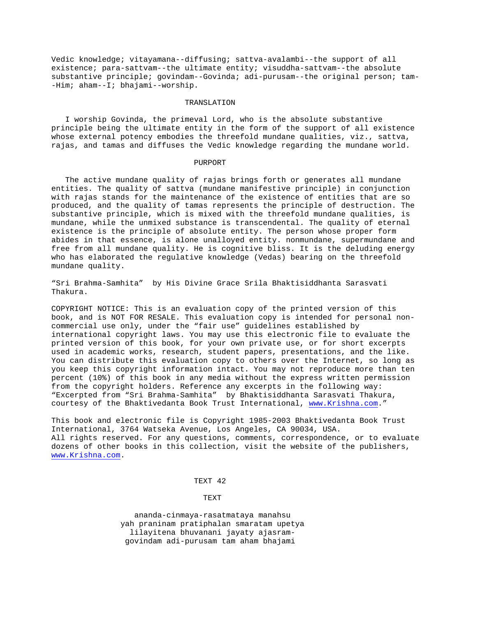Vedic knowledge; vitayamana--diffusing; sattva-avalambi--the support of all existence; para-sattvam--the ultimate entity; visuddha-sattvam--the absolute substantive principle; govindam--Govinda; adi-purusam--the original person; tam- -Him; aham--I; bhajami--worship.

# TRANSLATION

 I worship Govinda, the primeval Lord, who is the absolute substantive principle being the ultimate entity in the form of the support of all existence whose external potency embodies the threefold mundane qualities, viz., sattva, rajas, and tamas and diffuses the Vedic knowledge regarding the mundane world.

## PURPORT

 The active mundane quality of rajas brings forth or generates all mundane entities. The quality of sattva (mundane manifestive principle) in conjunction with rajas stands for the maintenance of the existence of entities that are so produced, and the quality of tamas represents the principle of destruction. The substantive principle, which is mixed with the threefold mundane qualities, is mundane, while the unmixed substance is transcendental. The quality of eternal existence is the principle of absolute entity. The person whose proper form abides in that essence, is alone unalloyed entity. nonmundane, supermundane and free from all mundane quality. He is cognitive bliss. It is the deluding energy who has elaborated the regulative knowledge (Vedas) bearing on the threefold mundane quality.

"Sri Brahma-Samhita" by His Divine Grace Srila Bhaktisiddhanta Sarasvati Thakura.

COPYRIGHT NOTICE: This is an evaluation copy of the printed version of this book, and is NOT FOR RESALE. This evaluation copy is intended for personal noncommercial use only, under the "fair use" guidelines established by international copyright laws. You may use this electronic file to evaluate the printed version of this book, for your own private use, or for short excerpts used in academic works, research, student papers, presentations, and the like. You can distribute this evaluation copy to others over the Internet, so long as you keep this copyright information intact. You may not reproduce more than ten percent (10%) of this book in any media without the express written permission from the copyright holders. Reference any excerpts in the following way: "Excerpted from "Sri Brahma-Samhita" by Bhaktisiddhanta Sarasvati Thakura, courtesy of the Bhaktivedanta Book Trust International, www.Krishna.com."

This book and electronic file is Copyright 1985-2003 Bhaktivedanta Book Trust International, 3764 Watseka Avenue, Los Angeles, CA 90034, USA. All rights reserved. For any questions, comments, correspondence, or to evaluate dozens of other books in this collection, visit the website of the publishers, www.Krishna.com.

#### TEXT 42

TEXT

 ananda-cinmaya-rasatmataya manahsu yah praninam pratiphalan smaratam upetya lilayitena bhuvanani jayaty ajasram govindam adi-purusam tam aham bhajami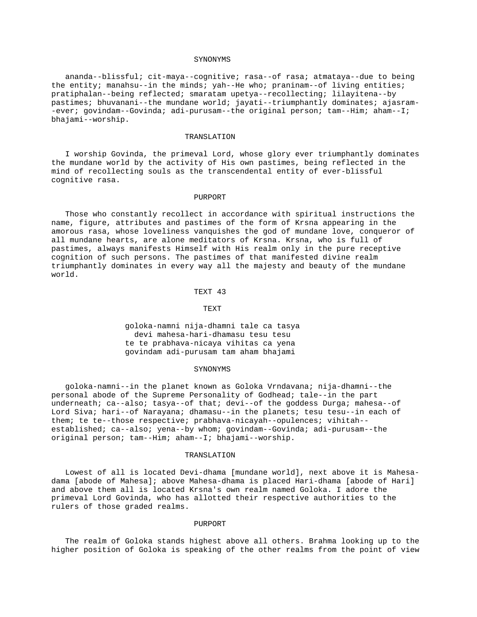#### SYNONYMS

 ananda--blissful; cit-maya--cognitive; rasa--of rasa; atmataya--due to being the entity; manahsu--in the minds; yah--He who; praninam--of living entities; pratiphalan--being reflected; smaratam upetya--recollecting; lilayitena--by pastimes; bhuvanani--the mundane world; jayati--triumphantly dominates; ajasram- -ever; govindam--Govinda; adi-purusam--the original person; tam--Him; aham--I; bhajami--worship.

# TRANSLATION

 I worship Govinda, the primeval Lord, whose glory ever triumphantly dominates the mundane world by the activity of His own pastimes, being reflected in the mind of recollecting souls as the transcendental entity of ever-blissful cognitive rasa.

#### PURPORT

 Those who constantly recollect in accordance with spiritual instructions the name, figure, attributes and pastimes of the form of Krsna appearing in the amorous rasa, whose loveliness vanquishes the god of mundane love, conqueror of all mundane hearts, are alone meditators of Krsna. Krsna, who is full of pastimes, always manifests Himself with His realm only in the pure receptive cognition of such persons. The pastimes of that manifested divine realm triumphantly dominates in every way all the majesty and beauty of the mundane world.

### TEXT 43

# TEXT

 goloka-namni nija-dhamni tale ca tasya devi mahesa-hari-dhamasu tesu tesu te te prabhava-nicaya vihitas ca yena govindam adi-purusam tam aham bhajami

# SYNONYMS

 goloka-namni--in the planet known as Goloka Vrndavana; nija-dhamni--the personal abode of the Supreme Personality of Godhead; tale--in the part underneath; ca--also; tasya--of that; devi--of the goddess Durga; mahesa--of Lord Siva; hari--of Narayana; dhamasu--in the planets; tesu tesu--in each of them; te te--those respective; prabhava-nicayah--opulences; vihitah- established; ca--also; yena--by whom; govindam--Govinda; adi-purusam--the original person; tam--Him; aham--I; bhajami--worship.

# TRANSLATION

 Lowest of all is located Devi-dhama [mundane world], next above it is Mahesadama [abode of Mahesa]; above Mahesa-dhama is placed Hari-dhama [abode of Hari] and above them all is located Krsna's own realm named Goloka. I adore the primeval Lord Govinda, who has allotted their respective authorities to the rulers of those graded realms.

#### PURPORT

 The realm of Goloka stands highest above all others. Brahma looking up to the higher position of Goloka is speaking of the other realms from the point of view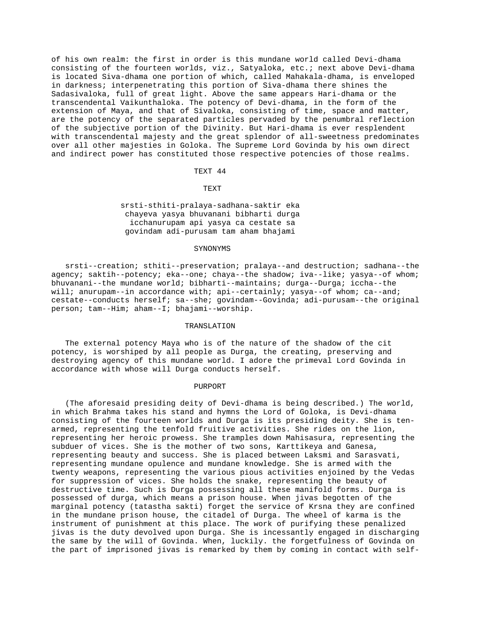of his own realm: the first in order is this mundane world called Devi-dhama consisting of the fourteen worlds, viz., Satyaloka, etc.; next above Devi-dhama is located Siva-dhama one portion of which, called Mahakala-dhama, is enveloped in darkness; interpenetrating this portion of Siva-dhama there shines the Sadasivaloka, full of great light. Above the same appears Hari-dhama or the transcendental Vaikunthaloka. The potency of Devi-dhama, in the form of the extension of Maya, and that of Sivaloka, consisting of time, space and matter, are the potency of the separated particles pervaded by the penumbral reflection of the subjective portion of the Divinity. But Hari-dhama is ever resplendent with transcendental majesty and the great splendor of all-sweetness predominates over all other majesties in Goloka. The Supreme Lord Govinda by his own direct and indirect power has constituted those respective potencies of those realms.

# TEXT 44

#### TEXT

# srsti-sthiti-pralaya-sadhana-saktir eka chayeva yasya bhuvanani bibharti durga icchanurupam api yasya ca cestate sa govindam adi-purusam tam aham bhajami

# SYNONYMS

 srsti--creation; sthiti--preservation; pralaya--and destruction; sadhana--the agency; saktih--potency; eka--one; chaya--the shadow; iva--like; yasya--of whom; bhuvanani--the mundane world; bibharti--maintains; durga--Durga; iccha--the will; anurupam--in accordance with; api--certainly; yasya--of whom; ca--and; cestate--conducts herself; sa--she; govindam--Govinda; adi-purusam--the original person; tam--Him; aham--I; bhajami--worship.

# TRANSLATION

 The external potency Maya who is of the nature of the shadow of the cit potency, is worshiped by all people as Durga, the creating, preserving and destroying agency of this mundane world. I adore the primeval Lord Govinda in accordance with whose will Durga conducts herself.

#### PURPORT

 (The aforesaid presiding deity of Devi-dhama is being described.) The world, in which Brahma takes his stand and hymns the Lord of Goloka, is Devi-dhama consisting of the fourteen worlds and Durga is its presiding deity. She is tenarmed, representing the tenfold fruitive activities. She rides on the lion, representing her heroic prowess. She tramples down Mahisasura, representing the subduer of vices. She is the mother of two sons, Karttikeya and Ganesa, representing beauty and success. She is placed between Laksmi and Sarasvati, representing mundane opulence and mundane knowledge. She is armed with the twenty weapons, representing the various pious activities enjoined by the Vedas for suppression of vices. She holds the snake, representing the beauty of destructive time. Such is Durga possessing all these manifold forms. Durga is possessed of durga, which means a prison house. When jivas begotten of the marginal potency (tatastha sakti) forget the service of Krsna they are confined in the mundane prison house, the citadel of Durga. The wheel of karma is the instrument of punishment at this place. The work of purifying these penalized jivas is the duty devolved upon Durga. She is incessantly engaged in discharging the same by the will of Govinda. When, luckily. the forgetfulness of Govinda on the part of imprisoned jivas is remarked by them by coming in contact with self-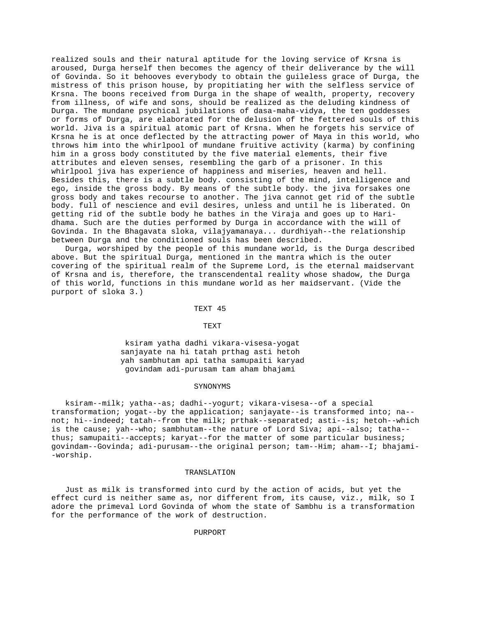realized souls and their natural aptitude for the loving service of Krsna is aroused, Durga herself then becomes the agency of their deliverance by the will of Govinda. So it behooves everybody to obtain the guileless grace of Durga, the mistress of this prison house, by propitiating her with the selfless service of Krsna. The boons received from Durga in the shape of wealth, property, recovery from illness, of wife and sons, should be realized as the deluding kindness of Durga. The mundane psychical jubilations of dasa-maha-vidya, the ten goddesses or forms of Durga, are elaborated for the delusion of the fettered souls of this world. Jiva is a spiritual atomic part of Krsna. When he forgets his service of Krsna he is at once deflected by the attracting power of Maya in this world, who throws him into the whirlpool of mundane fruitive activity (karma) by confining him in a gross body constituted by the five material elements, their five attributes and eleven senses, resembling the garb of a prisoner. In this whirlpool jiva has experience of happiness and miseries, heaven and hell. Besides this, there is a subtle body. consisting of the mind, intelligence and ego, inside the gross body. By means of the subtle body. the jiva forsakes one gross body and takes recourse to another. The jiva cannot get rid of the subtle body. full of nescience and evil desires, unless and until he is liberated. On getting rid of the subtle body he bathes in the Viraja and goes up to Haridhama. Such are the duties performed by Durga in accordance with the will of Govinda. In the Bhagavata sloka, vilajyamanaya... durdhiyah--the relationship between Durga and the conditioned souls has been described.

 Durga, worshiped by the people of this mundane world, is the Durga described above. But the spiritual Durga, mentioned in the mantra which is the outer covering of the spiritual realm of the Supreme Lord, is the eternal maidservant of Krsna and is, therefore, the transcendental reality whose shadow, the Durga of this world, functions in this mundane world as her maidservant. (Vide the purport of sloka 3.)

## TEXT 45

# TEXT

 ksiram yatha dadhi vikara-visesa-yogat sanjayate na hi tatah prthag asti hetoh yah sambhutam api tatha samupaiti karyad govindam adi-purusam tam aham bhajami

## SYNONYMS

 ksiram--milk; yatha--as; dadhi--yogurt; vikara-visesa--of a special transformation; yogat--by the application; sanjayate--is transformed into; na- not; hi--indeed; tatah--from the milk; prthak--separated; asti--is; hetoh--which is the cause; yah--who; sambhutam--the nature of Lord Siva; api--also; tatha- thus; samupaiti--accepts; karyat--for the matter of some particular business; govindam--Govinda; adi-purusam--the original person; tam--Him; aham--I; bhajami- -worship.

#### TRANSLATION

 Just as milk is transformed into curd by the action of acids, but yet the effect curd is neither same as, nor different from, its cause, viz., milk, so I adore the primeval Lord Govinda of whom the state of Sambhu is a transformation for the performance of the work of destruction.

# PURPORT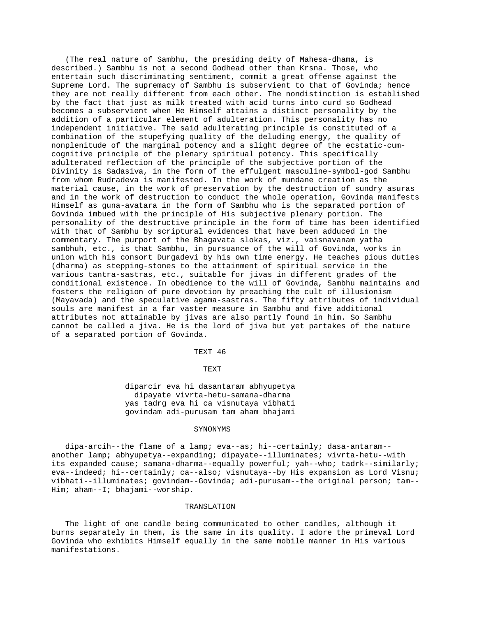(The real nature of Sambhu, the presiding deity of Mahesa-dhama, is described.) Sambhu is not a second Godhead other than Krsna. Those, who entertain such discriminating sentiment, commit a great offense against the Supreme Lord. The supremacy of Sambhu is subservient to that of Govinda; hence they are not really different from each other. The nondistinction is established by the fact that just as milk treated with acid turns into curd so Godhead becomes a subservient when He Himself attains a distinct personality by the addition of a particular element of adulteration. This personality has no independent initiative. The said adulterating principle is constituted of a combination of the stupefying quality of the deluding energy, the quality of nonplenitude of the marginal potency and a slight degree of the ecstatic-cumcognitive principle of the plenary spiritual potency. This specifically adulterated reflection of the principle of the subjective portion of the Divinity is Sadasiva, in the form of the effulgent masculine-symbol-god Sambhu from whom Rudradeva is manifested. In the work of mundane creation as the material cause, in the work of preservation by the destruction of sundry asuras and in the work of destruction to conduct the whole operation, Govinda manifests Himself as guna-avatara in the form of Sambhu who is the separated portion of Govinda imbued with the principle of His subjective plenary portion. The personality of the destructive principle in the form of time has been identified with that of Sambhu by scriptural evidences that have been adduced in the commentary. The purport of the Bhagavata slokas, viz., vaisnavanam yatha sambhuh, etc., is that Sambhu, in pursuance of the will of Govinda, works in union with his consort Durgadevi by his own time energy. He teaches pious duties (dharma) as stepping-stones to the attainment of spiritual service in the various tantra-sastras, etc., suitable for jivas in different grades of the conditional existence. In obedience to the will of Govinda, Sambhu maintains and fosters the religion of pure devotion by preaching the cult of illusionism (Mayavada) and the speculative agama-sastras. The fifty attributes of individual souls are manifest in a far vaster measure in Sambhu and five additional attributes not attainable by jivas are also partly found in him. So Sambhu cannot be called a jiva. He is the lord of jiva but yet partakes of the nature of a separated portion of Govinda.

### TEXT 46

# TEXT

# diparcir eva hi dasantaram abhyupetya dipayate vivrta-hetu-samana-dharma yas tadrg eva hi ca visnutaya vibhati govindam adi-purusam tam aham bhajami

#### SYNONYMS

 dipa-arcih--the flame of a lamp; eva--as; hi--certainly; dasa-antaram- another lamp; abhyupetya--expanding; dipayate--illuminates; vivrta-hetu--with its expanded cause; samana-dharma--equally powerful; yah--who; tadrk--similarly; eva--indeed; hi--certainly; ca--also; visnutaya--by His expansion as Lord Visnu; vibhati--illuminates; govindam--Govinda; adi-purusam--the original person; tam-- Him; aham--I; bhajami--worship.

# TRANSLATION

 The light of one candle being communicated to other candles, although it burns separately in them, is the same in its quality. I adore the primeval Lord Govinda who exhibits Himself equally in the same mobile manner in His various manifestations.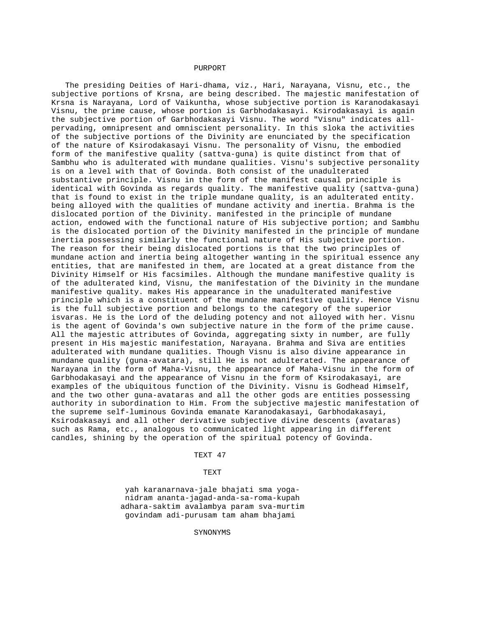## PURPORT

 The presiding Deities of Hari-dhama, viz., Hari, Narayana, Visnu, etc., the subjective portions of Krsna, are being described. The majestic manifestation of Krsna is Narayana, Lord of Vaikuntha, whose subjective portion is Karanodakasayi Visnu, the prime cause, whose portion is Garbhodakasayi. Ksirodakasayi is again the subjective portion of Garbhodakasayi Visnu. The word "Visnu" indicates allpervading, omnipresent and omniscient personality. In this sloka the activities of the subjective portions of the Divinity are enunciated by the specification of the nature of Ksirodakasayi Visnu. The personality of Visnu, the embodied form of the manifestive quality (sattva-guna) is quite distinct from that of Sambhu who is adulterated with mundane qualities. Visnu's subjective personality is on a level with that of Govinda. Both consist of the unadulterated substantive principle. Visnu in the form of the manifest causal principle is identical with Govinda as regards quality. The manifestive quality (sattva-guna) that is found to exist in the triple mundane quality, is an adulterated entity. being alloyed with the qualities of mundane activity and inertia. Brahma is the dislocated portion of the Divinity. manifested in the principle of mundane action, endowed with the functional nature of His subjective portion; and Sambhu is the dislocated portion of the Divinity manifested in the principle of mundane inertia possessing similarly the functional nature of His subjective portion. The reason for their being dislocated portions is that the two principles of mundane action and inertia being altogether wanting in the spiritual essence any entities, that are manifested in them, are located at a great distance from the Divinity Himself or His facsimiles. Although the mundane manifestive quality is of the adulterated kind, Visnu, the manifestation of the Divinity in the mundane manifestive quality. makes His appearance in the unadulterated manifestive principle which is a constituent of the mundane manifestive quality. Hence Visnu is the full subjective portion and belongs to the category of the superior isvaras. He is the Lord of the deluding potency and not alloyed with her. Visnu is the agent of Govinda's own subjective nature in the form of the prime cause. All the majestic attributes of Govinda, aggregating sixty in number, are fully present in His majestic manifestation, Narayana. Brahma and Siva are entities adulterated with mundane qualities. Though Visnu is also divine appearance in mundane quality (guna-avatara), still He is not adulterated. The appearance of Narayana in the form of Maha-Visnu, the appearance of Maha-Visnu in the form of Garbhodakasayi and the appearance of Visnu in the form of Ksirodakasayi, are examples of the ubiquitous function of the Divinity. Visnu is Godhead Himself, and the two other guna-avataras and all the other gods are entities possessing authority in subordination to Him. From the subjective majestic manifestation of the supreme self-luminous Govinda emanate Karanodakasayi, Garbhodakasayi, Ksirodakasayi and all other derivative subjective divine descents (avataras) such as Rama, etc., analogous to communicated light appearing in different candles, shining by the operation of the spiritual potency of Govinda.

#### TEXT 47

TEXT

 yah karanarnava-jale bhajati sma yoga nidram ananta-jagad-anda-sa-roma-kupah adhara-saktim avalambya param sva-murtim govindam adi-purusam tam aham bhajami

SYNONYMS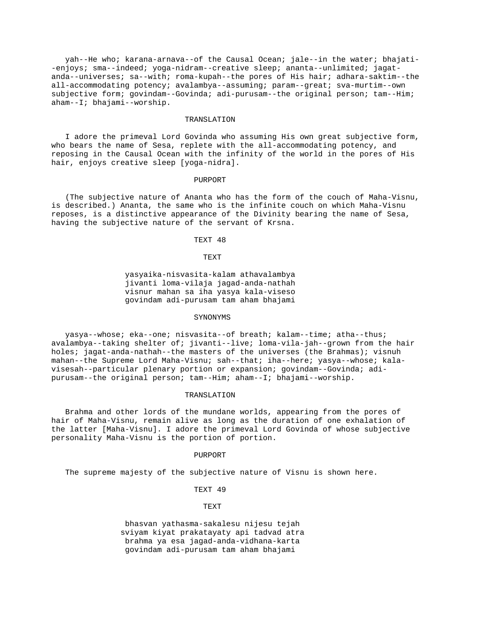yah--He who; karana-arnava--of the Causal Ocean; jale--in the water; bhajati- -enjoys; sma--indeed; yoga-nidram--creative sleep; ananta--unlimited; jagatanda--universes; sa--with; roma-kupah--the pores of His hair; adhara-saktim--the all-accommodating potency; avalambya--assuming; param--great; sva-murtim--own subjective form; govindam--Govinda; adi-purusam--the original person; tam--Him; aham--I; bhajami--worship.

### TRANSLATION

 I adore the primeval Lord Govinda who assuming His own great subjective form, who bears the name of Sesa, replete with the all-accommodating potency, and reposing in the Causal Ocean with the infinity of the world in the pores of His hair, enjoys creative sleep [yoga-nidra].

#### PURPORT

 (The subjective nature of Ananta who has the form of the couch of Maha-Visnu, is described.) Ananta, the same who is the infinite couch on which Maha-Visnu reposes, is a distinctive appearance of the Divinity bearing the name of Sesa, having the subjective nature of the servant of Krsna.

### TEXT 48

# TEXT

 yasyaika-nisvasita-kalam athavalambya jivanti loma-vilaja jagad-anda-nathah visnur mahan sa iha yasya kala-viseso govindam adi-purusam tam aham bhajami

## SYNONYMS

 yasya--whose; eka--one; nisvasita--of breath; kalam--time; atha--thus; avalambya--taking shelter of; jivanti--live; loma-vila-jah--grown from the hair holes; jagat-anda-nathah--the masters of the universes (the Brahmas); visnuh mahan--the Supreme Lord Maha-Visnu; sah--that; iha--here; yasya--whose; kalavisesah--particular plenary portion or expansion; govindam--Govinda; adipurusam--the original person; tam--Him; aham--I; bhajami--worship.

## TRANSLATION

 Brahma and other lords of the mundane worlds, appearing from the pores of hair of Maha-Visnu, remain alive as long as the duration of one exhalation of the latter [Maha-Visnu]. I adore the primeval Lord Govinda of whose subjective personality Maha-Visnu is the portion of portion.

#### PURPORT

The supreme majesty of the subjective nature of Visnu is shown here.

TEXT 49

# TEXT

 bhasvan yathasma-sakalesu nijesu tejah sviyam kiyat prakatayaty api tadvad atra brahma ya esa jagad-anda-vidhana-karta govindam adi-purusam tam aham bhajami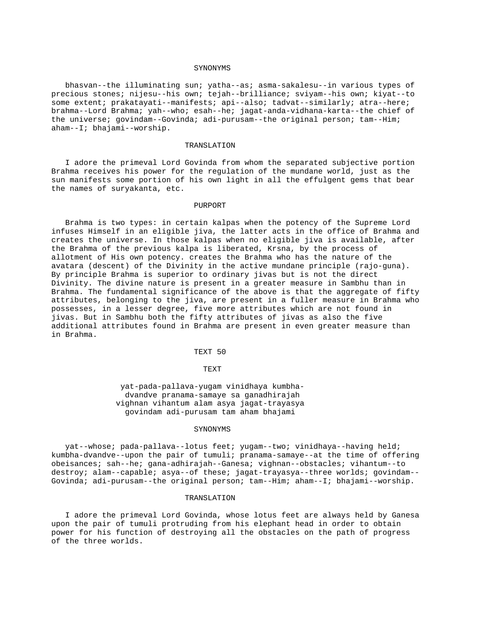#### SYNONYMS

 bhasvan--the illuminating sun; yatha--as; asma-sakalesu--in various types of precious stones; nijesu--his own; tejah--brilliance; sviyam--his own; kiyat--to some extent; prakatayati--manifests; api--also; tadvat--similarly; atra--here; brahma--Lord Brahma; yah--who; esah--he; jagat-anda-vidhana-karta--the chief of the universe; govindam--Govinda; adi-purusam--the original person; tam--Him; aham--I; bhajami--worship.

#### TRANSLATION

 I adore the primeval Lord Govinda from whom the separated subjective portion Brahma receives his power for the regulation of the mundane world, just as the sun manifests some portion of his own light in all the effulgent gems that bear the names of suryakanta, etc.

### PURPORT

 Brahma is two types: in certain kalpas when the potency of the Supreme Lord infuses Himself in an eligible jiva, the latter acts in the office of Brahma and creates the universe. In those kalpas when no eligible jiva is available, after the Brahma of the previous kalpa is liberated, Krsna, by the process of allotment of His own potency. creates the Brahma who has the nature of the avatara (descent) of the Divinity in the active mundane principle (rajo-guna). By principle Brahma is superior to ordinary jivas but is not the direct Divinity. The divine nature is present in a greater measure in Sambhu than in Brahma. The fundamental significance of the above is that the aggregate of fifty attributes, belonging to the jiva, are present in a fuller measure in Brahma who possesses, in a lesser degree, five more attributes which are not found in jivas. But in Sambhu both the fifty attributes of jivas as also the five additional attributes found in Brahma are present in even greater measure than in Brahma.

### TEXT 50

# TEXT

 yat-pada-pallava-yugam vinidhaya kumbha dvandve pranama-samaye sa ganadhirajah vighnan vihantum alam asya jagat-trayasya govindam adi-purusam tam aham bhajami

#### SYNONYMS

 yat--whose; pada-pallava--lotus feet; yugam--two; vinidhaya--having held; kumbha-dvandve--upon the pair of tumuli; pranama-samaye--at the time of offering obeisances; sah--he; gana-adhirajah--Ganesa; vighnan--obstacles; vihantum--to destroy; alam--capable; asya--of these; jagat-trayasya--three worlds; govindam-- Govinda; adi-purusam--the original person; tam--Him; aham--I; bhajami--worship.

### TRANSLATION

 I adore the primeval Lord Govinda, whose lotus feet are always held by Ganesa upon the pair of tumuli protruding from his elephant head in order to obtain power for his function of destroying all the obstacles on the path of progress of the three worlds.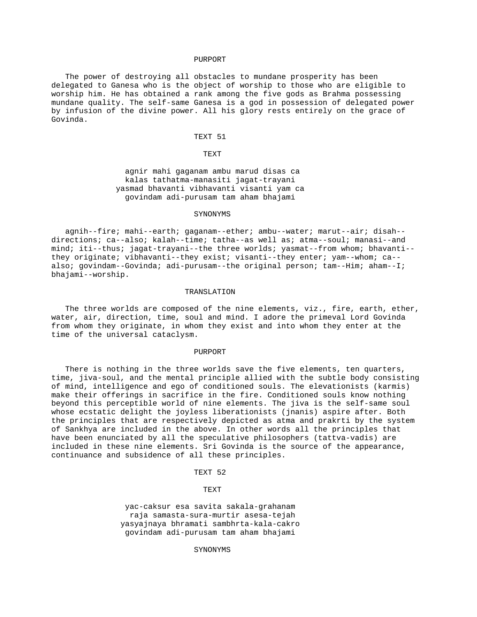### PURPORT

 The power of destroying all obstacles to mundane prosperity has been delegated to Ganesa who is the object of worship to those who are eligible to worship him. He has obtained a rank among the five gods as Brahma possessing mundane quality. The self-same Ganesa is a god in possession of delegated power by infusion of the divine power. All his glory rests entirely on the grace of Govinda.

# TEXT 51

# TEXT

 agnir mahi gaganam ambu marud disas ca kalas tathatma-manasiti jagat-trayani yasmad bhavanti vibhavanti visanti yam ca govindam adi-purusam tam aham bhajami

# SYNONYMS

 agnih--fire; mahi--earth; gaganam--ether; ambu--water; marut--air; disah- directions; ca--also; kalah--time; tatha--as well as; atma--soul; manasi--and mind; iti--thus; jagat-trayani--the three worlds; yasmat--from whom; bhavanti- they originate; vibhavanti--they exist; visanti--they enter; yam--whom; ca- also; govindam--Govinda; adi-purusam--the original person; tam--Him; aham--I; bhajami--worship.

#### TRANSLATION

 The three worlds are composed of the nine elements, viz., fire, earth, ether, water, air, direction, time, soul and mind. I adore the primeval Lord Govinda from whom they originate, in whom they exist and into whom they enter at the time of the universal cataclysm.

# PURPORT

 There is nothing in the three worlds save the five elements, ten quarters, time, jiva-soul, and the mental principle allied with the subtle body consisting of mind, intelligence and ego of conditioned souls. The elevationists (karmis) make their offerings in sacrifice in the fire. Conditioned souls know nothing beyond this perceptible world of nine elements. The jiva is the self-same soul whose ecstatic delight the joyless liberationists (jnanis) aspire after. Both the principles that are respectively depicted as atma and prakrti by the system of Sankhya are included in the above. In other words all the principles that have been enunciated by all the speculative philosophers (tattva-vadis) are included in these nine elements. Sri Govinda is the source of the appearance, continuance and subsidence of all these principles.

#### TEXT 52

# TEXT

 yac-caksur esa savita sakala-grahanam raja samasta-sura-murtir asesa-tejah yasyajnaya bhramati sambhrta-kala-cakro govindam adi-purusam tam aham bhajami

#### SYNONYMS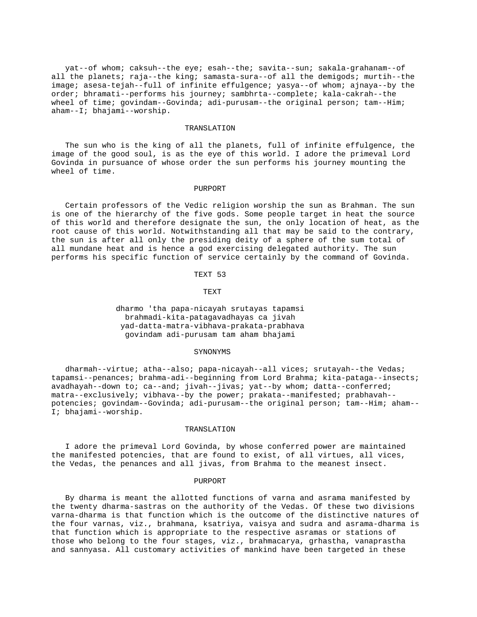yat--of whom; caksuh--the eye; esah--the; savita--sun; sakala-grahanam--of all the planets; raja--the king; samasta-sura--of all the demigods; murtih--the image; asesa-tejah--full of infinite effulgence; yasya--of whom; ajnaya--by the order; bhramati--performs his journey; sambhrta--complete; kala-cakrah--the wheel of time; govindam--Govinda; adi-purusam--the original person; tam--Him; aham--I; bhajami--worship.

# TRANSLATION

 The sun who is the king of all the planets, full of infinite effulgence, the image of the good soul, is as the eye of this world. I adore the primeval Lord Govinda in pursuance of whose order the sun performs his journey mounting the wheel of time.

#### PURPORT

 Certain professors of the Vedic religion worship the sun as Brahman. The sun is one of the hierarchy of the five gods. Some people target in heat the source of this world and therefore designate the sun, the only location of heat, as the root cause of this world. Notwithstanding all that may be said to the contrary, the sun is after all only the presiding deity of a sphere of the sum total of all mundane heat and is hence a god exercising delegated authority. The sun performs his specific function of service certainly by the command of Govinda.

# TEXT 53

TEXT

# dharmo 'tha papa-nicayah srutayas tapamsi brahmadi-kita-patagavadhayas ca jivah yad-datta-matra-vibhava-prakata-prabhava govindam adi-purusam tam aham bhajami

# SYNONYMS

 dharmah--virtue; atha--also; papa-nicayah--all vices; srutayah--the Vedas; tapamsi--penances; brahma-adi--beginning from Lord Brahma; kita-pataga--insects; avadhayah--down to; ca--and; jivah--jivas; yat--by whom; datta--conferred; matra--exclusively; vibhava--by the power; prakata--manifested; prabhavah- potencies; govindam--Govinda; adi-purusam--the original person; tam--Him; aham-- I; bhajami--worship.

#### TRANSLATION

 I adore the primeval Lord Govinda, by whose conferred power are maintained the manifested potencies, that are found to exist, of all virtues, all vices, the Vedas, the penances and all jivas, from Brahma to the meanest insect.

#### PURPORT

 By dharma is meant the allotted functions of varna and asrama manifested by the twenty dharma-sastras on the authority of the Vedas. Of these two divisions varna-dharma is that function which is the outcome of the distinctive natures of the four varnas, viz., brahmana, ksatriya, vaisya and sudra and asrama-dharma is that function which is appropriate to the respective asramas or stations of those who belong to the four stages, viz., brahmacarya, grhastha, vanaprastha and sannyasa. All customary activities of mankind have been targeted in these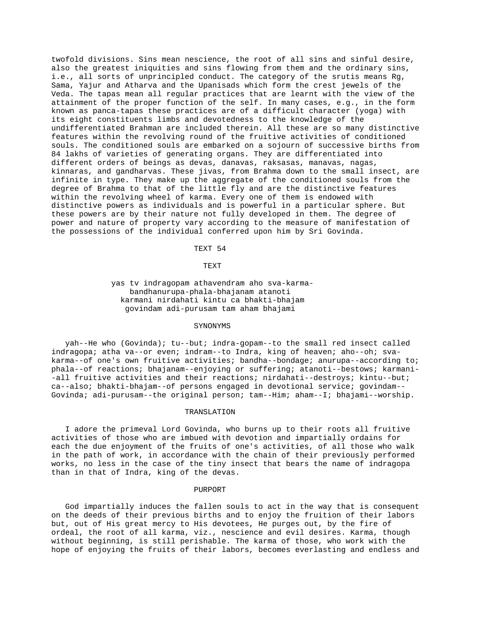twofold divisions. Sins mean nescience, the root of all sins and sinful desire, also the greatest iniquities and sins flowing from them and the ordinary sins, i.e., all sorts of unprincipled conduct. The category of the srutis means Rg, Sama, Yajur and Atharva and the Upanisads which form the crest jewels of the Veda. The tapas mean all regular practices that are learnt with the view of the attainment of the proper function of the self. In many cases, e.g., in the form known as panca-tapas these practices are of a difficult character (yoga) with its eight constituents limbs and devotedness to the knowledge of the undifferentiated Brahman are included therein. All these are so many distinctive features within the revolving round of the fruitive activities of conditioned souls. The conditioned souls are embarked on a sojourn of successive births from 84 lakhs of varieties of generating organs. They are differentiated into different orders of beings as devas, danavas, raksasas, manavas, nagas, kinnaras, and gandharvas. These jivas, from Brahma down to the small insect, are infinite in type. They make up the aggregate of the conditioned souls from the degree of Brahma to that of the little fly and are the distinctive features within the revolving wheel of karma. Every one of them is endowed with distinctive powers as individuals and is powerful in a particular sphere. But these powers are by their nature not fully developed in them. The degree of power and nature of property vary according to the measure of manifestation of the possessions of the individual conferred upon him by Sri Govinda.

## TEXT 54

# TEXT

 yas tv indragopam athavendram aho sva-karma bandhanurupa-phala-bhajanam atanoti karmani nirdahati kintu ca bhakti-bhajam govindam adi-purusam tam aham bhajami

# SYNONYMS

 yah--He who (Govinda); tu--but; indra-gopam--to the small red insect called indragopa; atha va--or even; indram--to Indra, king of heaven; aho--oh; svakarma--of one's own fruitive activities; bandha--bondage; anurupa--according to; phala--of reactions; bhajanam--enjoying or suffering; atanoti--bestows; karmani- -all fruitive activities and their reactions; nirdahati--destroys; kintu--but; ca--also; bhakti-bhajam--of persons engaged in devotional service; govindam-- Govinda; adi-purusam--the original person; tam--Him; aham--I; bhajami--worship.

#### TRANSLATION

 I adore the primeval Lord Govinda, who burns up to their roots all fruitive activities of those who are imbued with devotion and impartially ordains for each the due enjoyment of the fruits of one's activities, of all those who walk in the path of work, in accordance with the chain of their previously performed works, no less in the case of the tiny insect that bears the name of indragopa than in that of Indra, king of the devas.

#### PURPORT

 God impartially induces the fallen souls to act in the way that is consequent on the deeds of their previous births and to enjoy the fruition of their labors but, out of His great mercy to His devotees, He purges out, by the fire of ordeal, the root of all karma, viz., nescience and evil desires. Karma, though without beginning, is still perishable. The karma of those, who work with the hope of enjoying the fruits of their labors, becomes everlasting and endless and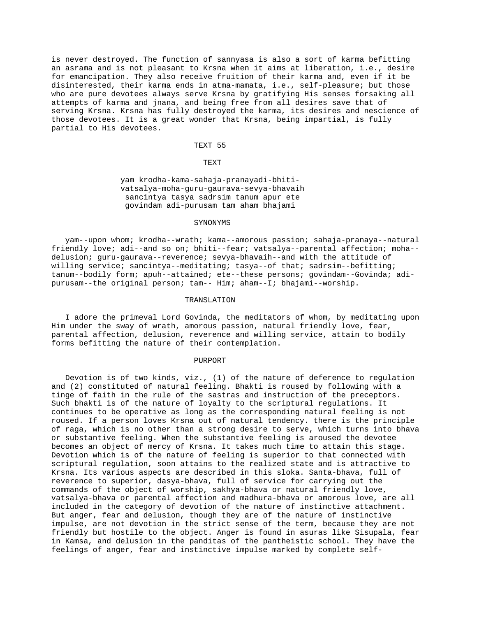is never destroyed. The function of sannyasa is also a sort of karma befitting an asrama and is not pleasant to Krsna when it aims at liberation, i.e., desire for emancipation. They also receive fruition of their karma and, even if it be disinterested, their karma ends in atma-mamata, i.e., self-pleasure; but those who are pure devotees always serve Krsna by gratifying His senses forsaking all attempts of karma and jnana, and being free from all desires save that of serving Krsna. Krsna has fully destroyed the karma, its desires and nescience of those devotees. It is a great wonder that Krsna, being impartial, is fully partial to His devotees.

#### TEXT 55

# TEXT

# yam krodha-kama-sahaja-pranayadi-bhiti vatsalya-moha-guru-gaurava-sevya-bhavaih sancintya tasya sadrsim tanum apur ete govindam adi-purusam tam aham bhajami

# SYNONYMS

 yam--upon whom; krodha--wrath; kama--amorous passion; sahaja-pranaya--natural friendly love; adi--and so on; bhiti--fear; vatsalya--parental affection; moha- delusion; guru-gaurava--reverence; sevya-bhavaih--and with the attitude of willing service; sancintya--meditating; tasya--of that; sadrsim--befitting; tanum--bodily form; apuh--attained; ete--these persons; govindam--Govinda; adipurusam--the original person; tam-- Him; aham--I; bhajami--worship.

# TRANSLATION

 I adore the primeval Lord Govinda, the meditators of whom, by meditating upon Him under the sway of wrath, amorous passion, natural friendly love, fear, parental affection, delusion, reverence and willing service, attain to bodily forms befitting the nature of their contemplation.

# PURPORT

 Devotion is of two kinds, viz., (1) of the nature of deference to regulation and (2) constituted of natural feeling. Bhakti is roused by following with a tinge of faith in the rule of the sastras and instruction of the preceptors. Such bhakti is of the nature of loyalty to the scriptural regulations. It continues to be operative as long as the corresponding natural feeling is not roused. If a person loves Krsna out of natural tendency. there is the principle of raga, which is no other than a strong desire to serve, which turns into bhava or substantive feeling. When the substantive feeling is aroused the devotee becomes an object of mercy of Krsna. It takes much time to attain this stage. Devotion which is of the nature of feeling is superior to that connected with scriptural regulation, soon attains to the realized state and is attractive to Krsna. Its various aspects are described in this sloka. Santa-bhava, full of reverence to superior, dasya-bhava, full of service for carrying out the commands of the object of worship, sakhya-bhava or natural friendly love, vatsalya-bhava or parental affection and madhura-bhava or amorous love, are all included in the category of devotion of the nature of instinctive attachment. But anger, fear and delusion, though they are of the nature of instinctive impulse, are not devotion in the strict sense of the term, because they are not friendly but hostile to the object. Anger is found in asuras like Sisupala, fear in Kamsa, and delusion in the panditas of the pantheistic school. They have the feelings of anger, fear and instinctive impulse marked by complete self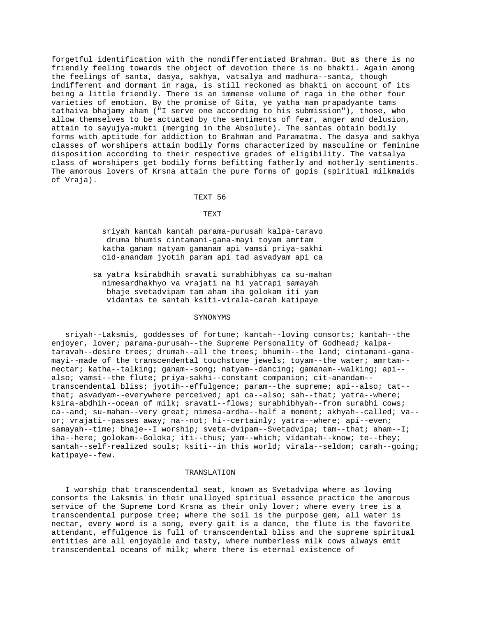forgetful identification with the nondifferentiated Brahman. But as there is no friendly feeling towards the object of devotion there is no bhakti. Again among the feelings of santa, dasya, sakhya, vatsalya and madhura--santa, though indifferent and dormant in raga, is still reckoned as bhakti on account of its being a little friendly. There is an immense volume of raga in the other four varieties of emotion. By the promise of Gita, ye yatha mam prapadyante tams tathaiva bhajamy aham ("I serve one according to his submission"), those, who allow themselves to be actuated by the sentiments of fear, anger and delusion, attain to sayujya-mukti (merging in the Absolute). The santas obtain bodily forms with aptitude for addiction to Brahman and Paramatma. The dasya and sakhya classes of worshipers attain bodily forms characterized by masculine or feminine disposition according to their respective grades of eligibility. The vatsalya class of worshipers get bodily forms befitting fatherly and motherly sentiments. The amorous lovers of Krsna attain the pure forms of gopis (spiritual milkmaids of Vraja).

#### TEXT 56

# TEXT

 sriyah kantah kantah parama-purusah kalpa-taravo druma bhumis cintamani-gana-mayi toyam amrtam katha ganam natyam gamanam api vamsi priya-sakhi cid-anandam jyotih param api tad asvadyam api ca

 sa yatra ksirabdhih sravati surabhibhyas ca su-mahan nimesardhakhyo va vrajati na hi yatrapi samayah bhaje svetadvipam tam aham iha golokam iti yam vidantas te santah ksiti-virala-carah katipaye

# SYNONYMS

 sriyah--Laksmis, goddesses of fortune; kantah--loving consorts; kantah--the enjoyer, lover; parama-purusah--the Supreme Personality of Godhead; kalpataravah--desire trees; drumah--all the trees; bhumih--the land; cintamani-ganamayi--made of the transcendental touchstone jewels; toyam--the water; amrtam- nectar; katha--talking; ganam--song; natyam--dancing; gamanam--walking; api- also; vamsi--the flute; priya-sakhi--constant companion; cit-anandam- transcendental bliss; jyotih--effulgence; param--the supreme; api--also; tat- that; asvadyam--everywhere perceived; api ca--also; sah--that; yatra--where; ksira-abdhih--ocean of milk; sravati--flows; surabhibhyah--from surabhi cows; ca--and; su-mahan--very great; nimesa-ardha--half a moment; akhyah--called; va- or; vrajati--passes away; na--not; hi--certainly; yatra--where; api--even; samayah--time; bhaje--I worship; sveta-dvipam--Svetadvipa; tam--that; aham--I; iha--here; golokam--Goloka; iti--thus; yam--which; vidantah--know; te--they; santah--self-realized souls; ksiti--in this world; virala--seldom; carah--going; katipaye--few.

#### TRANSLATION

 I worship that transcendental seat, known as Svetadvipa where as loving consorts the Laksmis in their unalloyed spiritual essence practice the amorous service of the Supreme Lord Krsna as their only lover; where every tree is a transcendental purpose tree; where the soil is the purpose gem, all water is nectar, every word is a song, every gait is a dance, the flute is the favorite attendant, effulgence is full of transcendental bliss and the supreme spiritual entities are all enjoyable and tasty, where numberless milk cows always emit transcendental oceans of milk; where there is eternal existence of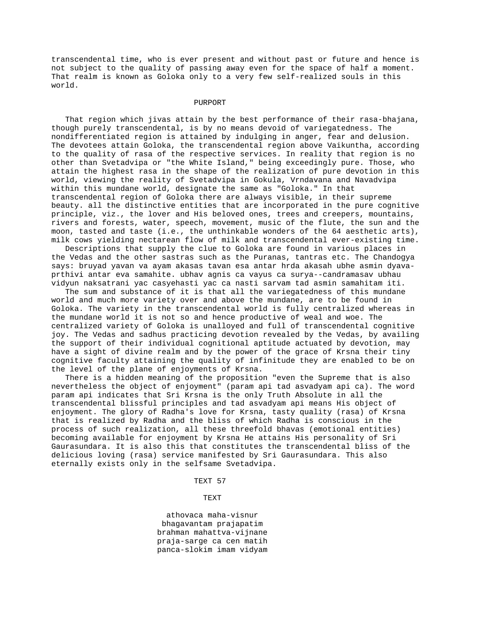transcendental time, who is ever present and without past or future and hence is not subject to the quality of passing away even for the space of half a moment. That realm is known as Goloka only to a very few self-realized souls in this world.

## PURPORT

 That region which jivas attain by the best performance of their rasa-bhajana, though purely transcendental, is by no means devoid of variegatedness. The nondifferentiated region is attained by indulging in anger, fear and delusion. The devotees attain Goloka, the transcendental region above Vaikuntha, according to the quality of rasa of the respective services. In reality that region is no other than Svetadvipa or "the White Island," being exceedingly pure. Those, who attain the highest rasa in the shape of the realization of pure devotion in this world, viewing the reality of Svetadvipa in Gokula, Vrndavana and Navadvipa within this mundane world, designate the same as "Goloka." In that transcendental region of Goloka there are always visible, in their supreme beauty. all the distinctive entities that are incorporated in the pure cognitive principle, viz., the lover and His beloved ones, trees and creepers, mountains, rivers and forests, water, speech, movement, music of the flute, the sun and the moon, tasted and taste (i.e., the unthinkable wonders of the 64 aesthetic arts), milk cows yielding nectarean flow of milk and transcendental ever-existing time.

 Descriptions that supply the clue to Goloka are found in various places in the Vedas and the other sastras such as the Puranas, tantras etc. The Chandogya says: bruyad yavan va ayam akasas tavan esa antar hrda akasah ubhe asmin dyavaprthivi antar eva samahite. ubhav agnis ca vayus ca surya--candramasav ubhau vidyun naksatrani yac casyehasti yac ca nasti sarvam tad asmin samahitam iti.

 The sum and substance of it is that all the variegatedness of this mundane world and much more variety over and above the mundane, are to be found in Goloka. The variety in the transcendental world is fully centralized whereas in the mundane world it is not so and hence productive of weal and woe. The centralized variety of Goloka is unalloyed and full of transcendental cognitive joy. The Vedas and sadhus practicing devotion revealed by the Vedas, by availing the support of their individual cognitional aptitude actuated by devotion, may have a sight of divine realm and by the power of the grace of Krsna their tiny cognitive faculty attaining the quality of infinitude they are enabled to be on the level of the plane of enjoyments of Krsna.

 There is a hidden meaning of the proposition "even the Supreme that is also nevertheless the object of enjoyment" (param api tad asvadyam api ca). The word param api indicates that Sri Krsna is the only Truth Absolute in all the transcendental blissful principles and tad asvadyam api means His object of enjoyment. The glory of Radha's love for Krsna, tasty quality (rasa) of Krsna that is realized by Radha and the bliss of which Radha is conscious in the process of such realization, all these threefold bhavas (emotional entities) becoming available for enjoyment by Krsna He attains His personality of Sri Gaurasundara. It is also this that constitutes the transcendental bliss of the delicious loving (rasa) service manifested by Sri Gaurasundara. This also eternally exists only in the selfsame Svetadvipa.

## TEXT 57

# TEXT

 athovaca maha-visnur bhagavantam prajapatim brahman mahattva-vijnane praja-sarge ca cen matih panca-slokim imam vidyam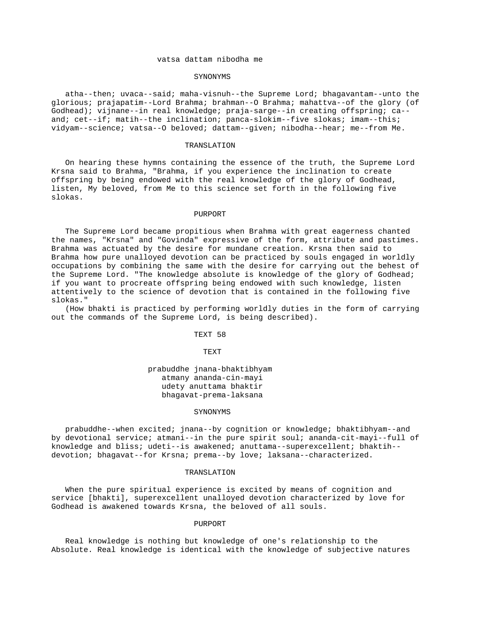# vatsa dattam nibodha me

#### SYNONYMS

 atha--then; uvaca--said; maha-visnuh--the Supreme Lord; bhagavantam--unto the glorious; prajapatim--Lord Brahma; brahman--O Brahma; mahattva--of the glory (of Godhead); vijnane--in real knowledge; praja-sarge--in creating offspring; ca-and; cet--if; matih--the inclination; panca-slokim--five slokas; imam--this; vidyam--science; vatsa--O beloved; dattam--given; nibodha--hear; me--from Me.

#### TRANSLATION

 On hearing these hymns containing the essence of the truth, the Supreme Lord Krsna said to Brahma, "Brahma, if you experience the inclination to create offspring by being endowed with the real knowledge of the glory of Godhead, listen, My beloved, from Me to this science set forth in the following five slokas.

# PURPORT

 The Supreme Lord became propitious when Brahma with great eagerness chanted the names, "Krsna" and "Govinda" expressive of the form, attribute and pastimes. Brahma was actuated by the desire for mundane creation. Krsna then said to Brahma how pure unalloyed devotion can be practiced by souls engaged in worldly occupations by combining the same with the desire for carrying out the behest of the Supreme Lord. "The knowledge absolute is knowledge of the glory of Godhead; if you want to procreate offspring being endowed with such knowledge, listen attentively to the science of devotion that is contained in the following five slokas."

 (How bhakti is practiced by performing worldly duties in the form of carrying out the commands of the Supreme Lord, is being described).

TEXT 58

TEXT

 prabuddhe jnana-bhaktibhyam atmany ananda-cin-mayi udety anuttama bhaktir bhagavat-prema-laksana

#### SYNONYMS

 prabuddhe--when excited; jnana--by cognition or knowledge; bhaktibhyam--and by devotional service; atmani--in the pure spirit soul; ananda-cit-mayi--full of knowledge and bliss; udeti--is awakened; anuttama--superexcellent; bhaktih- devotion; bhagavat--for Krsna; prema--by love; laksana--characterized.

#### TRANSLATION

 When the pure spiritual experience is excited by means of cognition and service [bhakti], superexcellent unalloyed devotion characterized by love for Godhead is awakened towards Krsna, the beloved of all souls.

#### PURPORT

 Real knowledge is nothing but knowledge of one's relationship to the Absolute. Real knowledge is identical with the knowledge of subjective natures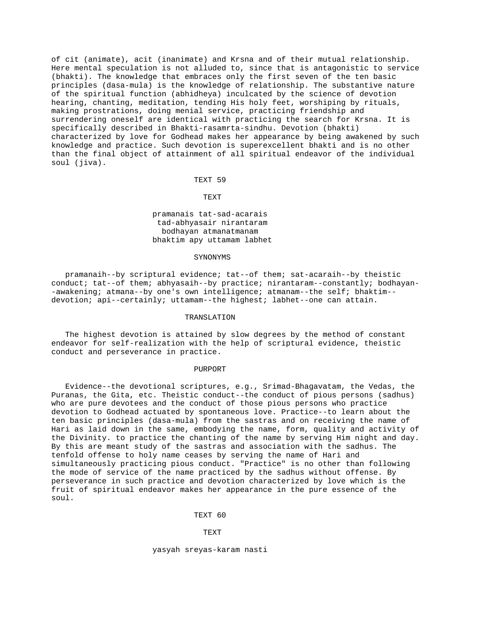of cit (animate), acit (inanimate) and Krsna and of their mutual relationship. Here mental speculation is not alluded to, since that is antagonistic to service (bhakti). The knowledge that embraces only the first seven of the ten basic principles (dasa-mula) is the knowledge of relationship. The substantive nature of the spiritual function (abhidheya) inculcated by the science of devotion hearing, chanting, meditation, tending His holy feet, worshiping by rituals, making prostrations, doing menial service, practicing friendship and surrendering oneself are identical with practicing the search for Krsna. It is specifically described in Bhakti-rasamrta-sindhu. Devotion (bhakti) characterized by love for Godhead makes her appearance by being awakened by such knowledge and practice. Such devotion is superexcellent bhakti and is no other than the final object of attainment of all spiritual endeavor of the individual soul (jiva).

### TEXT 59

# TEXT

# pramanais tat-sad-acarais tad-abhyasair nirantaram bodhayan atmanatmanam bhaktim apy uttamam labhet

# SYNONYMS

 pramanaih--by scriptural evidence; tat--of them; sat-acaraih--by theistic conduct; tat--of them; abhyasaih--by practice; nirantaram--constantly; bodhayan- -awakening; atmana--by one's own intelligence; atmanam--the self; bhaktim- devotion; api--certainly; uttamam--the highest; labhet--one can attain.

#### TRANSLATION

 The highest devotion is attained by slow degrees by the method of constant endeavor for self-realization with the help of scriptural evidence, theistic conduct and perseverance in practice.

# PURPORT

 Evidence--the devotional scriptures, e.g., Srimad-Bhagavatam, the Vedas, the Puranas, the Gita, etc. Theistic conduct--the conduct of pious persons (sadhus) who are pure devotees and the conduct of those pious persons who practice devotion to Godhead actuated by spontaneous love. Practice--to learn about the ten basic principles (dasa-mula) from the sastras and on receiving the name of Hari as laid down in the same, embodying the name, form, quality and activity of the Divinity. to practice the chanting of the name by serving Him night and day. By this are meant study of the sastras and association with the sadhus. The tenfold offense to holy name ceases by serving the name of Hari and simultaneously practicing pious conduct. "Practice" is no other than following the mode of service of the name practiced by the sadhus without offense. By perseverance in such practice and devotion characterized by love which is the fruit of spiritual endeavor makes her appearance in the pure essence of the soul.

### TEXT 60

# TEXT

#### yasyah sreyas-karam nasti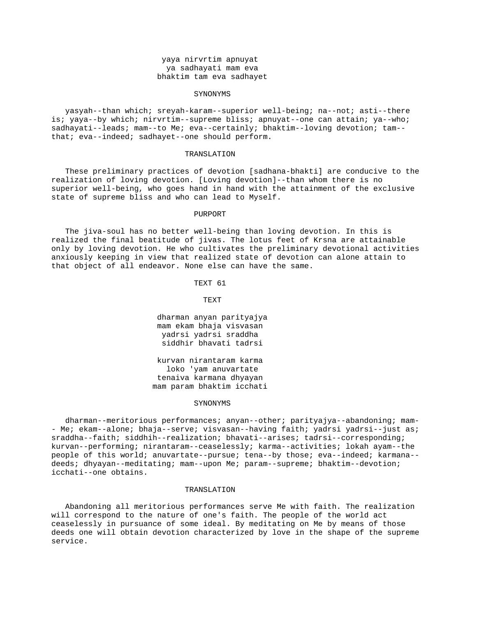# yaya nirvrtim apnuyat ya sadhayati mam eva bhaktim tam eva sadhayet

#### SYNONYMS

 yasyah--than which; sreyah-karam--superior well-being; na--not; asti--there is; yaya--by which; nirvrtim--supreme bliss; apnuyat--one can attain; ya--who; sadhayati--leads; mam--to Me; eva--certainly; bhaktim--loving devotion; tam- that; eva--indeed; sadhayet--one should perform.

# TRANSLATION

 These preliminary practices of devotion [sadhana-bhakti] are conducive to the realization of loving devotion. [Loving devotion]--than whom there is no superior well-being, who goes hand in hand with the attainment of the exclusive state of supreme bliss and who can lead to Myself.

# PURPORT

 The jiva-soul has no better well-being than loving devotion. In this is realized the final beatitude of jivas. The lotus feet of Krsna are attainable only by loving devotion. He who cultivates the preliminary devotional activities anxiously keeping in view that realized state of devotion can alone attain to that object of all endeavor. None else can have the same.

### TEXT 61

# TEXT

 dharman anyan parityajya mam ekam bhaja visvasan yadrsi yadrsi sraddha siddhir bhavati tadrsi

 kurvan nirantaram karma loko 'yam anuvartate tenaiva karmana dhyayan mam param bhaktim icchati

# SYNONYMS

 dharman--meritorious performances; anyan--other; parityajya--abandoning; mam- - Me; ekam--alone; bhaja--serve; visvasan--having faith; yadrsi yadrsi--just as; sraddha--faith; siddhih--realization; bhavati--arises; tadrsi--corresponding; kurvan--performing; nirantaram--ceaselessly; karma--activities; lokah ayam--the people of this world; anuvartate--pursue; tena--by those; eva--indeed; karmana- deeds; dhyayan--meditating; mam--upon Me; param--supreme; bhaktim--devotion; icchati--one obtains.

# TRANSLATION

 Abandoning all meritorious performances serve Me with faith. The realization will correspond to the nature of one's faith. The people of the world act ceaselessly in pursuance of some ideal. By meditating on Me by means of those deeds one will obtain devotion characterized by love in the shape of the supreme service.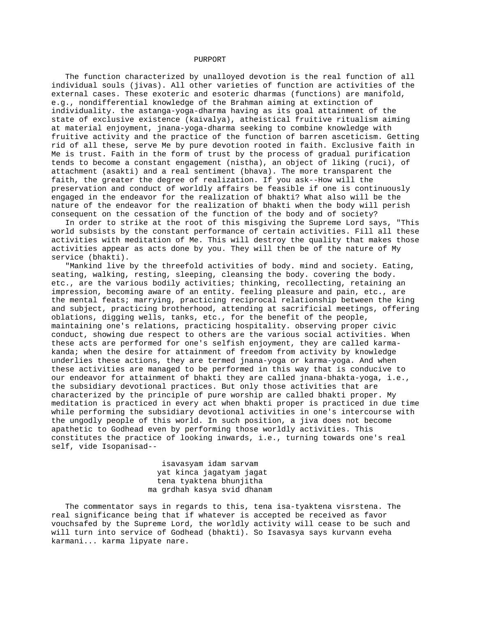# PURPORT

 The function characterized by unalloyed devotion is the real function of all individual souls (jivas). All other varieties of function are activities of the external cases. These exoteric and esoteric dharmas (functions) are manifold, e.g., nondifferential knowledge of the Brahman aiming at extinction of individuality. the astanga-yoga-dharma having as its goal attainment of the state of exclusive existence (kaivalya), atheistical fruitive ritualism aiming at material enjoyment, jnana-yoga-dharma seeking to combine knowledge with fruitive activity and the practice of the function of barren asceticism. Getting rid of all these, serve Me by pure devotion rooted in faith. Exclusive faith in Me is trust. Faith in the form of trust by the process of gradual purification tends to become a constant engagement (nistha), an object of liking (ruci), of attachment (asakti) and a real sentiment (bhava). The more transparent the faith, the greater the degree of realization. If you ask--How will the preservation and conduct of worldly affairs be feasible if one is continuously engaged in the endeavor for the realization of bhakti? What also will be the nature of the endeavor for the realization of bhakti when the body will perish consequent on the cessation of the function of the body and of society?

 In order to strike at the root of this misgiving the Supreme Lord says, "This world subsists by the constant performance of certain activities. Fill all these activities with meditation of Me. This will destroy the quality that makes those activities appear as acts done by you. They will then be of the nature of My service (bhakti).

 "Mankind live by the threefold activities of body. mind and society. Eating, seating, walking, resting, sleeping, cleansing the body. covering the body. etc., are the various bodily activities; thinking, recollecting, retaining an impression, becoming aware of an entity. feeling pleasure and pain, etc., are the mental feats; marrying, practicing reciprocal relationship between the king and subject, practicing brotherhood, attending at sacrificial meetings, offering oblations, digging wells, tanks, etc., for the benefit of the people, maintaining one's relations, practicing hospitality. observing proper civic conduct, showing due respect to others are the various social activities. When these acts are performed for one's selfish enjoyment, they are called karmakanda; when the desire for attainment of freedom from activity by knowledge underlies these actions, they are termed jnana-yoga or karma-yoga. And when these activities are managed to be performed in this way that is conducive to our endeavor for attainment of bhakti they are called jnana-bhakta-yoga, i.e., the subsidiary devotional practices. But only those activities that are characterized by the principle of pure worship are called bhakti proper. My meditation is practiced in every act when bhakti proper is practiced in due time while performing the subsidiary devotional activities in one's intercourse with the ungodly people of this world. In such position, a jiva does not become apathetic to Godhead even by performing those worldly activities. This constitutes the practice of looking inwards, i.e., turning towards one's real self, vide Isopanisad--

> isavasyam idam sarvam yat kinca jagatyam jagat tena tyaktena bhunjitha ma grdhah kasya svid dhanam

 The commentator says in regards to this, tena isa-tyaktena visrstena. The real significance being that if whatever is accepted be received as favor vouchsafed by the Supreme Lord, the worldly activity will cease to be such and will turn into service of Godhead (bhakti). So Isavasya says kurvann eveha karmani... karma lipyate nare.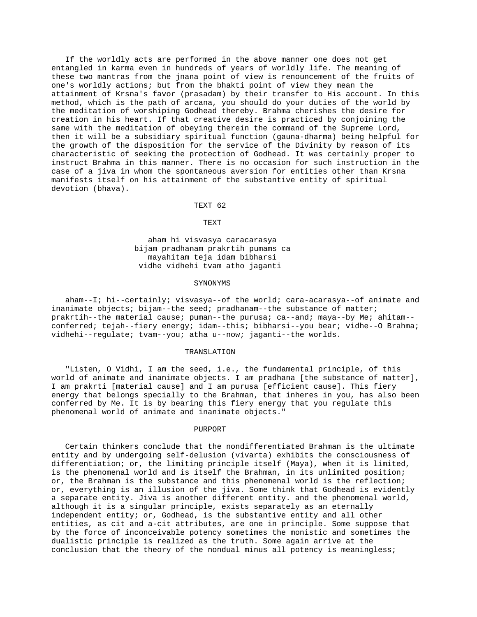If the worldly acts are performed in the above manner one does not get entangled in karma even in hundreds of years of worldly life. The meaning of these two mantras from the jnana point of view is renouncement of the fruits of one's worldly actions; but from the bhakti point of view they mean the attainment of Krsna's favor (prasadam) by their transfer to His account. In this method, which is the path of arcana, you should do your duties of the world by the meditation of worshiping Godhead thereby. Brahma cherishes the desire for creation in his heart. If that creative desire is practiced by conjoining the same with the meditation of obeying therein the command of the Supreme Lord, then it will be a subsidiary spiritual function (gauna-dharma) being helpful for the growth of the disposition for the service of the Divinity by reason of its characteristic of seeking the protection of Godhead. It was certainly proper to instruct Brahma in this manner. There is no occasion for such instruction in the case of a jiva in whom the spontaneous aversion for entities other than Krsna manifests itself on his attainment of the substantive entity of spiritual devotion (bhava).

#### TEXT 62

# TEXT

# aham hi visvasya caracarasya bijam pradhanam prakrtih pumams ca mayahitam teja idam bibharsi vidhe vidhehi tvam atho jaganti

#### SYNONYMS

 aham--I; hi--certainly; visvasya--of the world; cara-acarasya--of animate and inanimate objects; bijam--the seed; pradhanam--the substance of matter; prakrtih--the material cause; puman--the purusa; ca--and; maya--by Me; ahitam- conferred; tejah--fiery energy; idam--this; bibharsi--you bear; vidhe--O Brahma; vidhehi--regulate; tvam--you; atha u--now; jaganti--the worlds.

### TRANSLATION

 "Listen, O Vidhi, I am the seed, i.e., the fundamental principle, of this world of animate and inanimate objects. I am pradhana [the substance of matter], I am prakrti [material cause] and I am purusa [efficient cause]. This fiery energy that belongs specially to the Brahman, that inheres in you, has also been conferred by Me. It is by bearing this fiery energy that you regulate this phenomenal world of animate and inanimate objects."

### PURPORT

 Certain thinkers conclude that the nondifferentiated Brahman is the ultimate entity and by undergoing self-delusion (vivarta) exhibits the consciousness of differentiation; or, the limiting principle itself (Maya), when it is limited, is the phenomenal world and is itself the Brahman, in its unlimited position; or, the Brahman is the substance and this phenomenal world is the reflection; or, everything is an illusion of the jiva. Some think that Godhead is evidently a separate entity. Jiva is another different entity. and the phenomenal world, although it is a singular principle, exists separately as an eternally independent entity; or, Godhead, is the substantive entity and all other entities, as cit and a-cit attributes, are one in principle. Some suppose that by the force of inconceivable potency sometimes the monistic and sometimes the dualistic principle is realized as the truth. Some again arrive at the conclusion that the theory of the nondual minus all potency is meaningless;